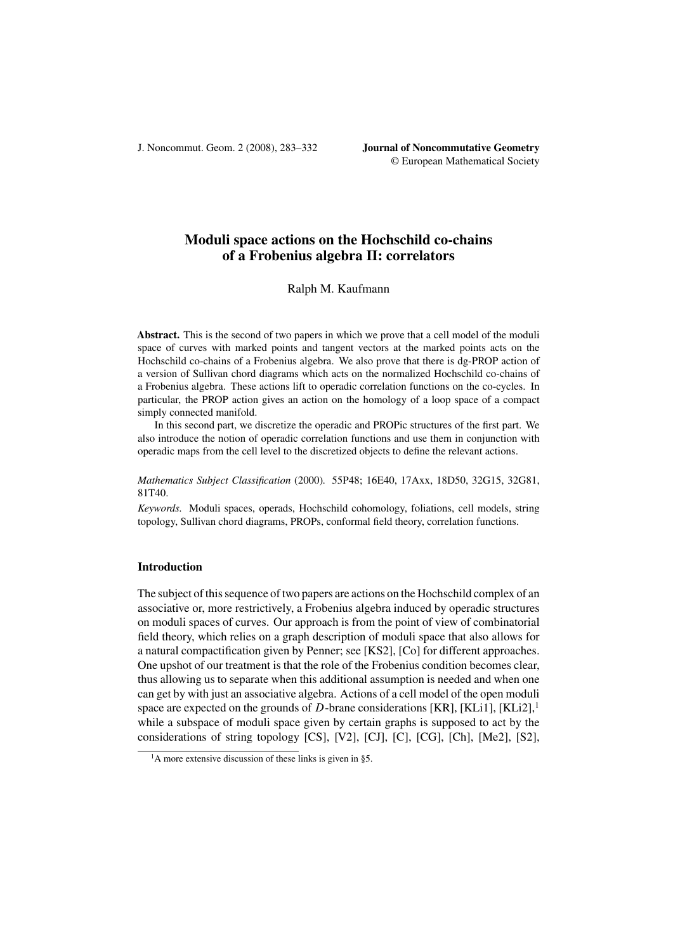J. Noncommut. Geom. 2 (2008), 283–332 **Journal of Noncommutative Geometry**

# **Moduli space actions on the Hochschild co-chains of a Frobenius algebra II: correlators**

#### Ralph M. Kaufmann

**Abstract.** This is the second of two papers in which we prove that a cell model of the moduli space of curves with marked points and tangent vectors at the marked points acts on the Hochschild co-chains of a Frobenius algebra. We also prove that there is dg-PROP action of a version of Sullivan chord diagrams which acts on the normalized Hochschild co-chains of a Frobenius algebra. These actions lift to operadic correlation functions on the co-cycles. In particular, the PROP action gives an action on the homology of a loop space of a compact simply connected manifold.

In this second part, we discretize the operadic and PROPic structures of the first part. We also introduce the notion of operadic correlation functions and use them in conjunction with operadic maps from the cell level to the discretized objects to define the relevant actions.

*Mathematics Subject Classification* (2000)*.* 55P48; 16E40, 17Axx, 18D50, 32G15, 32G81, 81T40.

*Keywords.* Moduli spaces, operads, Hochschild cohomology, foliations, cell models, string topology, Sullivan chord diagrams, PROPs, conformal field theory, correlation functions.

## **Introduction**

The subject of this sequence of two papers are actions on the Hochschild complex of an associative or, more restrictively, a Frobenius algebra induced by operadic structures on moduli spaces of curves. Our approach is from the point of view of combinatorial field theory, which relies on a graph description of moduli space that also allows for a natural compactification given by Penner; see [\[KS2\]](#page-48-0), [\[Co\]](#page-46-0) for different approaches. One upshot of our treatment is that the role of the Frobenius condition becomes clear, thus allowing us to separate when this additional assumption is needed and when one can get by with just an associative algebra. Actions of a cell model of the open moduli space are expected on the grounds of D-brane considerations [\[KR\]](#page-47-0), [\[KLi1\]](#page-46-0), [\[KLi2\]](#page-47-0),<sup>1</sup> while a subspace of moduli space given by certain graphs is supposed to act by the considerations of string topology [\[CS\]](#page-46-0), [\[V2\]](#page-48-0), [\[CJ\]](#page-46-0), [\[C\]](#page-46-0), [\[CG\]](#page-46-0), [\[Ch\]](#page-46-0), [\[Me2\]](#page-48-0), [\[S2\]](#page-48-0),

<sup>&</sup>lt;sup>1</sup>A more extensive discussion of these links is given in [§5.](#page-44-0)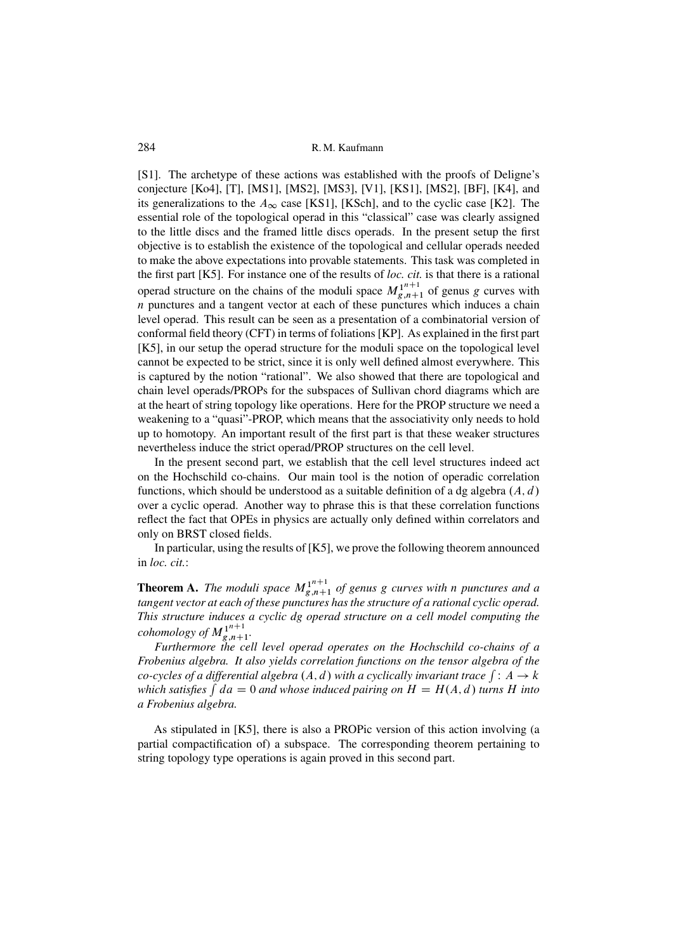<span id="page-1-0"></span>[\[S1\]](#page-48-0). The archetype of these actions was established with the proofs of Deligne's conjecture [\[Ko4\]](#page-47-0), [\[T\]](#page-48-0), [\[MS1\]](#page-48-0), [\[MS2\]](#page-48-0), [\[MS3\]](#page-48-0), [\[V1\]](#page-48-0), [\[KS1\]](#page-47-0), [\[MS2\]](#page-48-0), [\[BF\]](#page-46-0), [\[K4\]](#page-47-0), and its generalizations to the  $A_{\infty}$  case [\[KS1\]](#page-47-0), [\[KSch\]](#page-47-0), and to the cyclic case [\[K2\]](#page-47-0). The essential role of the topological operad in this "classical" case was clearly assigned to the little discs and the framed little discs operads. In the present setup the first objective is to establish the existence of the topological and cellular operads needed to make the above expectations into provable statements. This task was completed in the first part [\[K5\]](#page-47-0). For instance one of the results of *loc. cit.* is that there is a rational operad structure on the chains of the moduli space  $M_{g,n+1}^{1^{n+1}}$  of genus g curves with n punctures and a tangent vector at each of these punctures which induces a chain  $n$  punctures and a tangent vector at each of these punctures which induces a chain level operad. This result can be seen as a presentation of a combinatorial version of conformal field theory (CFT) in terms of foliations [\[KP\]](#page-47-0). As explained in the first part [\[K5\]](#page-47-0), in our setup the operad structure for the moduli space on the topological level cannot be expected to be strict, since it is only well defined almost everywhere. This is captured by the notion "rational". We also showed that there are topological and chain level operads/PROPs for the subspaces of Sullivan chord diagrams which are at the heart of string topology like operations. Here for the PROP structure we need a weakening to a "quasi"-PROP, which means that the associativity only needs to hold up to homotopy. An important result of the first part is that these weaker structures nevertheless induce the strict operad/PROP structures on the cell level.

In the present second part, we establish that the cell level structures indeed act on the Hochschild co-chains. Our main tool is the notion of operadic correlation functions, which should be understood as a suitable definition of a dg algebra  $(A, d)$ over a cyclic operad. Another way to phrase this is that these correlation functions reflect the fact that OPEs in physics are actually only defined within correlators and only on BRST closed fields.

In particular, using the results of [\[K5\]](#page-47-0), we prove the following theorem announced in *loc. cit.*:

**Theorem A.** The moduli space  $M_{g,n+1}^{1^{n+1}}$  of genus g curves with n punctures and a<br>tangent vector at each of these punctures has the structure of a rational cyclic operad *tangent vector at each of these punctures has the structure of a rational cyclic operad. This structure induces a cyclic dg operad structure on a cell model computing the*  $\frac{1}{g}$  *cohomology of*  $M_{g,n+1}^{1^{n+1}}$ .<br>Furthermore the cell

*Furthermore the cell level operad operates on the Hochschild co-chains of a Frobenius algebra. It also yields correlation functions on the tensor algebra of the co-cycles of a differential algebra*  $(A, d)$  with a cyclically invariant trace  $\int : A \to k$ <br>which satisfies  $\int da = 0$  and whose induced pairing on  $H = H(A, d)$  turns H into *which satisfies*  $\int da = 0$  *and whose induced pairing on*  $H = H(A, d)$  *turns* H *into a Frobenius algebra.*

As stipulated in [\[K5\]](#page-47-0), there is also a PROPic version of this action involving (a partial compactification of) a subspace. The corresponding theorem pertaining to string topology type operations is again proved in this second part.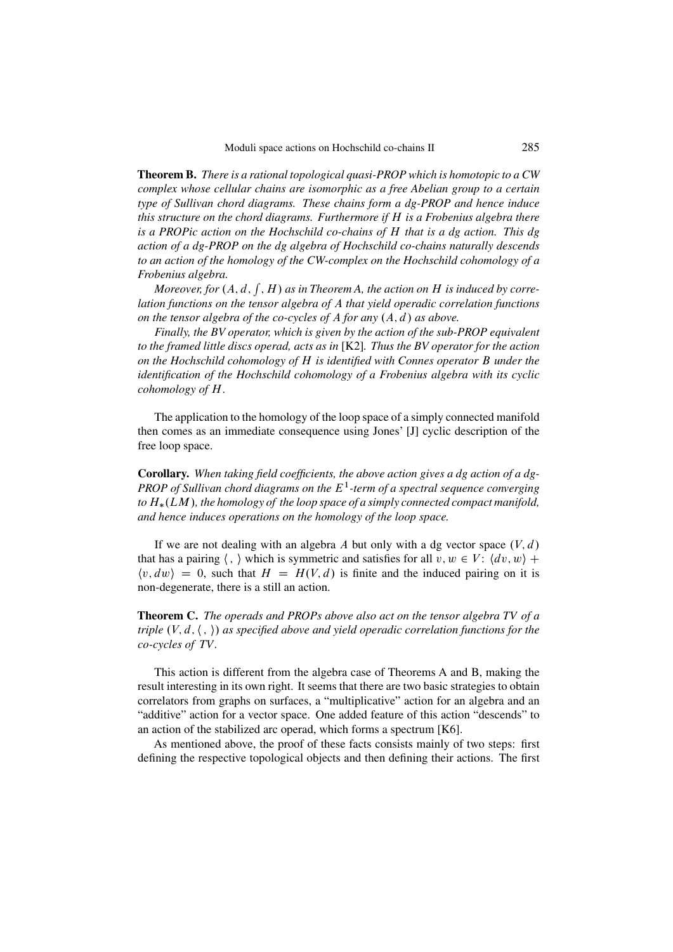**Theorem B.** *There is a rational topological quasi-PROP which is homotopic to a CW complex whose cellular chains are isomorphic as a free Abelian group to a certain type of Sullivan chord diagrams. These chains form a dg-PROP and hence induce this structure on the chord diagrams. Furthermore if* H *is a Frobenius algebra there is a PROPic action on the Hochschild co-chains of* H *that is a dg action. This dg action of a dg-PROP on the dg algebra of Hochschild co-chains naturally descends to an action of the homology of the CW-complex on the Hochschild cohomology of a Frobenius algebra.*

Moreover, for  $(A,d,\int ,H)$  as in Theorem [A,](#page-1-0) the action on  $H$  is induced by corre*lation functions on the tensor algebra of* A *that yield operadic correlation functions on the tensor algebra of the co-cycles of A for any*  $(A, d)$  *as above.* 

*Finally, the BV operator, which is given by the action of the sub-PROP equivalent to the framed little discs operad, acts as in* [\[K2\]](#page-47-0)*. Thus the BV operator for the action on the Hochschild cohomology of* H *is identified with Connes operator* B *under the identification of the Hochschild cohomology of a Frobenius algebra with its cyclic cohomology of* H*.*

The application to the homology of the loop space of a simply connected manifold then comes as an immediate consequence using Jones' [\[J\]](#page-46-0) cyclic description of the free loop space.

**Corollary.** *When taking field coefficients, the above action gives a dg action of a dg-PROP of Sullivan chord diagrams on the* E1*-term of a spectral sequence converging* to  $H_*(LM)$ , the homology of the loop space of a simply connected compact manifold,<br>and haves induses operations on the homology of the loop space. *and hence induces operations on the homology of the loop space.*

If we are not dealing with an algebra A but only with a dg vector space  $(V, d)$ that has a pairing  $\langle , \rangle$  which is symmetric and satisfies for all  $v, w \in V$ :  $\langle dv, w \rangle$  +  $\langle v, dw \rangle = 0$ , such that  $H = H(V, d)$  is finite and the induced pairing on it is non-degenerate, there is a still an action.

**Theorem C.** *The operads and PROPs above also act on the tensor algebra TV of a triple*  $(V, d, \langle , \rangle)$  as specified above and yield operadic correlation functions for the *co-cycles of TV.*

This action is different from the algebra case of Theorems A and B, making the result interesting in its own right. It seems that there are two basic strategies to obtain correlators from graphs on surfaces, a "multiplicative" action for an algebra and an "additive" action for a vector space. One added feature of this action "descends" to an action of the stabilized arc operad, which forms a spectrum [\[K6\]](#page-47-0).

As mentioned above, the proof of these facts consists mainly of two steps: first defining the respective topological objects and then defining their actions. The first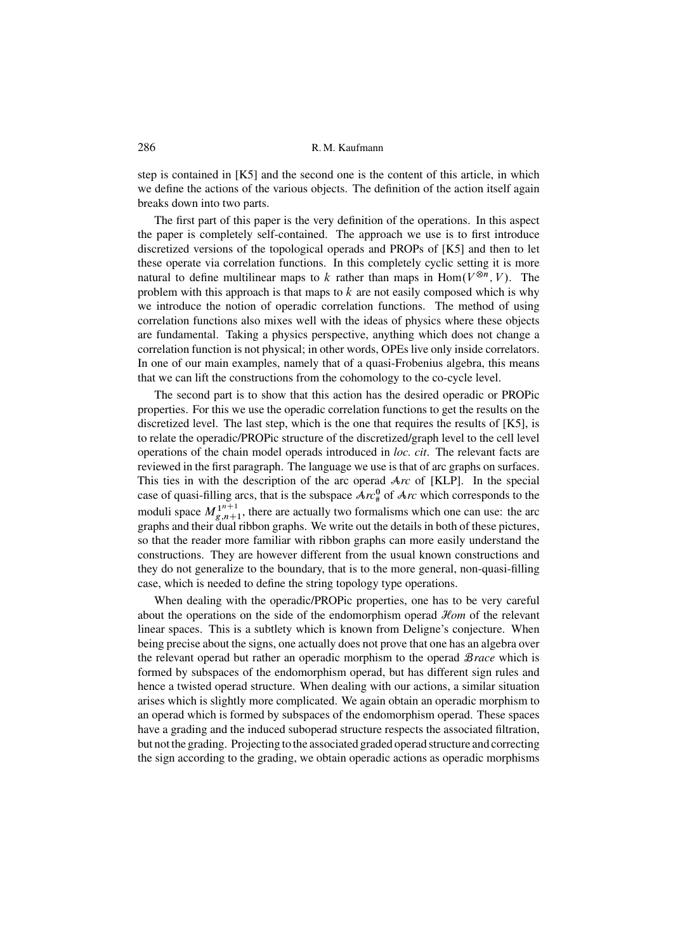step is contained in [\[K5\]](#page-47-0) and the second one is the content of this article, in which we define the actions of the various objects. The definition of the action itself again breaks down into two parts.

The first part of this paper is the very definition of the operations. In this aspect the paper is completely self-contained. The approach we use is to first introduce discretized versions of the topological operads and PROPs of [\[K5\]](#page-47-0) and then to let these operate via correlation functions. In this completely cyclic setting it is more natural to define multilinear maps to k rather than maps in Hom $(V^{\otimes n}, V)$ . The problem with this approach is that maps to  $k$  are not easily composed which is why we introduce the notion of operadic correlation functions. The method of using correlation functions also mixes well with the ideas of physics where these objects are fundamental. Taking a physics perspective, anything which does not change a correlation function is not physical; in other words, OPEs live only inside correlators. In one of our main examples, namely that of a quasi-Frobenius algebra, this means that we can lift the constructions from the cohomology to the co-cycle level.

The second part is to show that this action has the desired operadic or PROPic properties. For this we use the operadic correlation functions to get the results on the discretized level. The last step, which is the one that requires the results of  $[K5]$ , is to relate the operadic/PROPic structure of the discretized/graph level to the cell level operations of the chain model operads introduced in *loc. cit*. The relevant facts are reviewed in the first paragraph. The language we use is that of arc graphs on surfaces. This ties in with the description of the arc operad A*rc* of [\[KLP\]](#page-47-0). In the special case of quasi-filling arcs, that is the subspace  $Arc<sub>#</sub><sup>0</sup>$  of  $Arc$  which corresponds to the moduli space  $M_{g,n+1}^{1^{n+1}}$ , there are actually two formalisms which one can use: the arc<br>graphs and their dual ribbon graphs. We write out the details in both of these pictures. graphs and their dual ribbon graphs. We write out the details in both of these pictures, so that the reader more familiar with ribbon graphs can more easily understand the constructions. They are however different from the usual known constructions and they do not generalize to the boundary, that is to the more general, non-quasi-filling case, which is needed to define the string topology type operations.

When dealing with the operadic/PROPic properties, one has to be very careful about the operations on the side of the endomorphism operad H*om* of the relevant linear spaces. This is a subtlety which is known from Deligne's conjecture. When being precise about the signs, one actually does not prove that one has an algebra over the relevant operad but rather an operadic morphism to the operad B*race* which is formed by subspaces of the endomorphism operad, but has different sign rules and hence a twisted operad structure. When dealing with our actions, a similar situation arises which is slightly more complicated. We again obtain an operadic morphism to an operad which is formed by subspaces of the endomorphism operad. These spaces have a grading and the induced suboperad structure respects the associated filtration, but not the grading. Projecting to the associated graded operad structure and correcting the sign according to the grading, we obtain operadic actions as operadic morphisms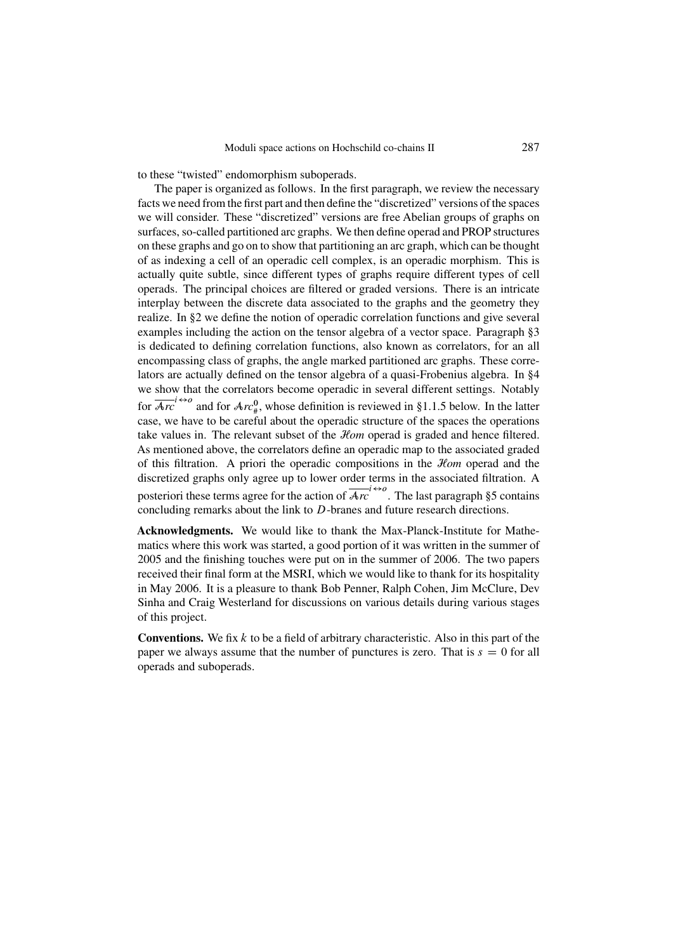to these "twisted" endomorphism suboperads.

The paper is organized as follows. In the first paragraph, we review the necessary facts we need from the first part and then define the "discretized" versions of the spaces we will consider. These "discretized" versions are free Abelian groups of graphs on surfaces, so-called partitioned arc graphs. We then define operad and PROP structures on these graphs and go on to show that partitioning an arc graph, which can be thought of as indexing a cell of an operadic cell complex, is an operadic morphism. This is actually quite subtle, since different types of graphs require different types of cell operads. The principal choices are filtered or graded versions. There is an intricate interplay between the discrete data associated to the graphs and the geometry they realize. In §2 we define the notion of operadic correlation functions and give several examples including the action on the tensor algebra of a vector space. Paragraph §3 is dedicated to defining correlation functions, also known as correlators, for an all encompassing class of graphs, the angle marked partitioned arc graphs. These correlators are actually defined on the tensor algebra of a quasi-Frobenius algebra. In §4 we show that the correlators become operadic in several different settings. Notably for  $Arc^{\circ}$  and for  $Arc_{\#}^0$ , whose definition is reviewed in [§1.1.5](#page-7-0) below. In the latter case, we have to be careful about the operadic structure of the spaces the operations take values in. The relevant subset of the H*om* operad is graded and hence filtered. As mentioned above, the correlators define an operadic map to the associated graded of this filtration. A priori the operadic compositions in the H*om* operad and the discretized graphs only agree up to lower order terms in the associated filtration. A posteriori these terms agree for the action of  $Arc^{\sim}$ . The last paragraph §5 contains concluding remarks about the link to D-branes and future research directions.

**Acknowledgments.** We would like to thank the Max-Planck-Institute for Mathematics where this work was started, a good portion of it was written in the summer of 2005 and the finishing touches were put on in the summer of 2006. The two papers received their final form at the MSRI, which we would like to thank for its hospitality in May 2006. It is a pleasure to thank Bob Penner, Ralph Cohen, Jim McClure, Dev Sinha and Craig Westerland for discussions on various details during various stages of this project.

**Conventions.** We fix  $k$  to be a field of arbitrary characteristic. Also in this part of the paper we always assume that the number of punctures is zero. That is  $s = 0$  for all operads and suboperads.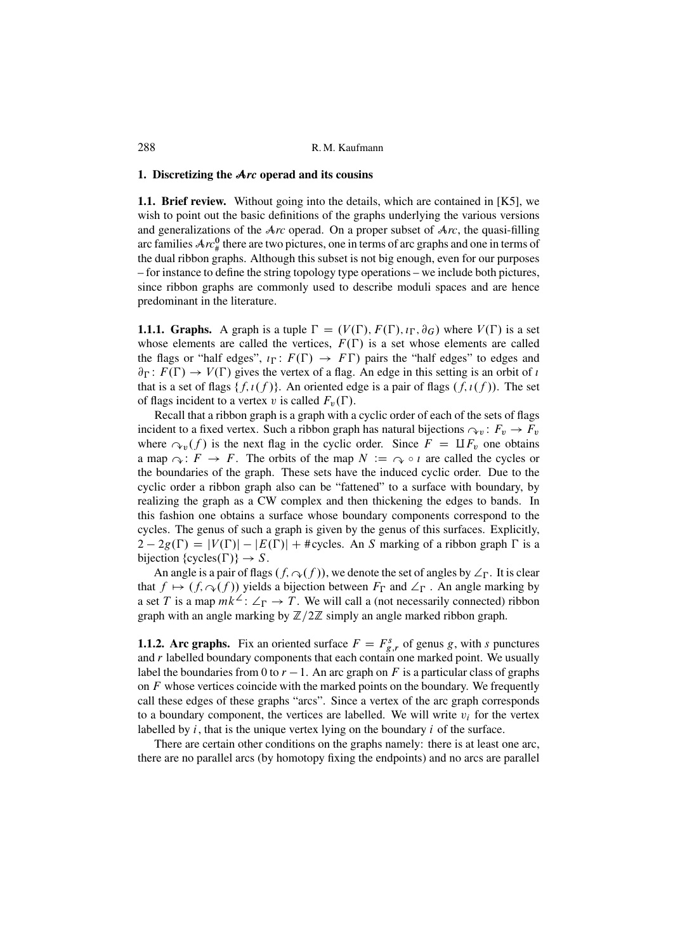## <span id="page-5-0"></span>**1. Discretizing the** A*rc* **operad and its cousins**

**1.1. Brief review.** Without going into the details, which are contained in [\[K5\]](#page-47-0), we wish to point out the basic definitions of the graphs underlying the various versions and generalizations of the A*rc* operad. On a proper subset of A*rc*, the quasi-filling arc families  $\mathcal{A}r c_\#^0$  there are two pictures, one in terms of arc graphs and one in terms of the dual ribbon graphs. Although this subset is not big enough, even for our purposes – for instance to define the string topology type operations – we include both pictures, since ribbon graphs are commonly used to describe moduli spaces and are hence predominant in the literature.

**1.1.1. Graphs.** A graph is a tuple  $\Gamma = (V(\Gamma), F(\Gamma), i_{\Gamma}, \partial_G)$  where  $V(\Gamma)$  is a set whose elements are called the vertices.  $F(\Gamma)$  is a set whose elements are called whose elements are called the vertices,  $F(\Gamma)$  is a set whose elements are called the flags or "half edges",  $i_{\Gamma} : F(\Gamma) \to F(\Gamma)$  pairs the "half edges" to edges and<br> $\partial_{\Gamma} : F(\Gamma) \to V(\Gamma)$  gives the vertex of a flag. An edge in this setting is an orbit of t  $\partial_{\Gamma} : F(\Gamma) \to V(\Gamma)$  gives the vertex of a flag. An edge in this setting is an orbit of t<br>that is a set of flags { f t (f)}. An oriented edge is a pair of flags ( f t (f)). The set that is a set of flags  $\{f, \iota(f)\}$ . An oriented edge is a pair of flags  $(f, \iota(f))$ . The set of flags incident to a vertex v is called  $F_v(\Gamma)$ .<br>Possibly that a ribbon graph is a graph with a

Recall that a ribbon graph is a graph with a cyclic order of each of the sets of flags incident to a fixed vertex. Such a ribbon graph has natural bijections  $\sim_v : F_v \to F_v$ where  $\bigcirc_v(f)$  is the next flag in the cyclic order. Since  $F = \Pi F_v$  one obtains a map  $\gamma$ :  $F \to F$ . The orbits of the map  $N := \gamma \circ i$  are called the cycles or the boundaries of the graph. These sets have the induced cyclic order. Due to the cyclic order a ribbon graph also can be "fattened" to a surface with boundary, by realizing the graph as a CW complex and then thickening the edges to bands. In this fashion one obtains a surface whose boundary components correspond to the cycles. The genus of such a graph is given by the genus of this surfaces. Explicitly,  $2 - 2g(\Gamma) = |V(\Gamma)| - |E(\Gamma)| + \text{\#cycles. An } S \text{ marking of a ribbon graph } \Gamma \text{ is a  
biiection } f(x) \geq S$ bijection {cycles( $\Gamma$ )}  $\rightarrow$  S.<br>An angle is a pair of flagg

An angle is a pair of flags  $(f, \varphi(f))$ , we denote the set of angles by  $\varphi_{\Gamma}$ . It is clear<br> $f \mapsto (f \varphi(f))$  yields a bijection between  $F_{\Gamma}$  and  $\varphi_{\Gamma}$ . An angle marking by that  $f \mapsto (f, \neg(f))$  yields a bijection between  $F_{\Gamma}$  and  $\angle_{\Gamma}$ . An angle marking by<br>a set T is a man  $mk^{\angle}$ :  $\angle_F \rightarrow T$ . We will call a (not necessarily connected) ribbon a set T is a map  $mk^2$ :  $\angle_{\Gamma} \rightarrow T$ . We will call a (not necessarily connected) ribbon<br>graph with an angle marking by  $\mathbb{Z}/2\mathbb{Z}$  simply an angle marked ribbon graph graph with an angle marking by  $\mathbb{Z}/2\mathbb{Z}$  simply an angle marked ribbon graph.

**1.1.2. Arc graphs.** Fix an oriented surface  $F = F_{g,r}^s$  of genus g, with s punctures and r labelled boundary components that each contain one marked point. We usually and r labelled boundary components that each contain one marked point. We usually label the boundaries from 0 to  $r - 1$ . An arc graph on F is a particular class of graphs<br>on F whose vertices coincide with the marked points on the boundary. We frequently on  $F$  whose vertices coincide with the marked points on the boundary. We frequently call these edges of these graphs "arcs". Since a vertex of the arc graph corresponds to a boundary component, the vertices are labelled. We will write  $v_i$  for the vertex labelled by  $i$ , that is the unique vertex lying on the boundary  $i$  of the surface.

There are certain other conditions on the graphs namely: there is at least one arc, there are no parallel arcs (by homotopy fixing the endpoints) and no arcs are parallel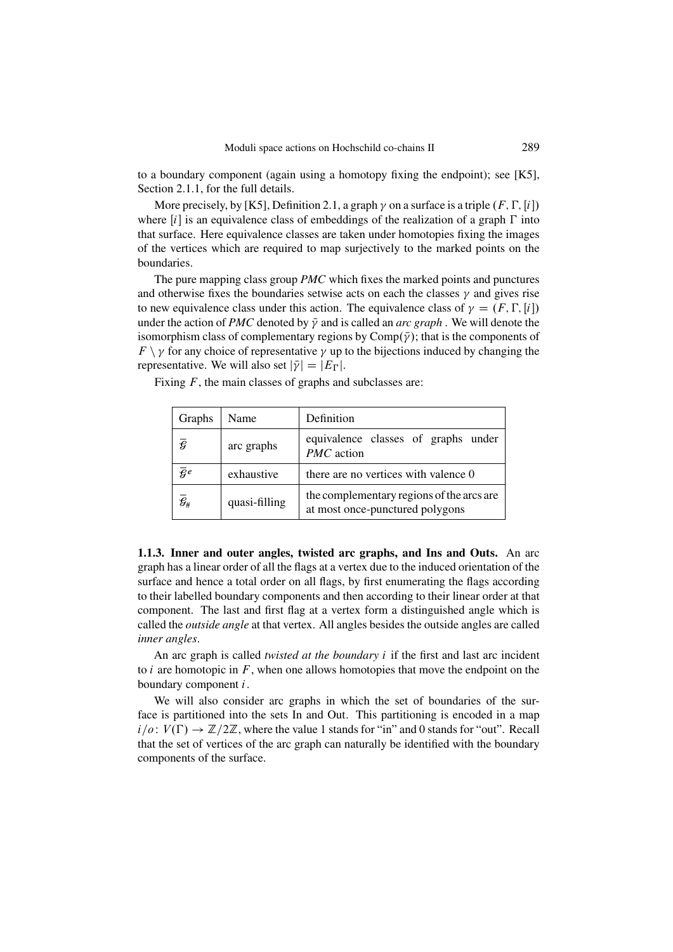to a boundary component (again using a homotopy fixing the endpoint); see [\[K5\]](#page-47-0), Section 2.1.1, for the full details.

More precisely, by [\[K5\]](#page-47-0), Definition 2.1, a graph  $\gamma$  on a surface is a triple  $(F,\Gamma,[i])$ where  $[i]$  is an equivalence class of embeddings of the realization of a graph  $\Gamma$  into that surface. Here equivalence classes are taken under homotopies fixing the images of the vertices which are required to map surjectively to the marked points on the boundaries.

The pure mapping class group *PMC* which fixes the marked points and punctures and otherwise fixes the boundaries setwise acts on each the classes  $\nu$  and gives rise to new equivalence class under this action. The equivalence class of  $\gamma = (F, \Gamma, [i])$ <br>under the action of *PMC* denoted by  $\bar{\nu}$  and is called an *arc graph*. We will denote the under the action of *PMC* denoted by  $\bar{v}$  and is called an *arc graph*. We will denote the isomorphism class of complementary regions by  $\text{Comp}(\bar{y})$ ; that is the components of  $F \setminus \gamma$  for any choice of representative  $\gamma$  up to the bijections induced by changing the representative. We will also set  $|\bar{y}| = |E_{\Gamma}|$ .<br>Eiving E, the main alones of graphs and

| Graphs                                     | Name          | Definition                                                                   |
|--------------------------------------------|---------------|------------------------------------------------------------------------------|
| $\mathcal G$                               | arc graphs    | equivalence classes of graphs under<br><i>PMC</i> action                     |
| $\bar{\mathcal{G}}^e$                      | exhaustive    | there are no vertices with valence 0                                         |
| $\bar{\mathcal{G}}_{\scriptscriptstyle\#}$ | quasi-filling | the complementary regions of the arcs are<br>at most once-punctured polygons |

Fixing  $F$ , the main classes of graphs and subclasses are:

**1.1.3. Inner and outer angles, twisted arc graphs, and Ins and Outs.** An arc graph has a linear order of all the flags at a vertex due to the induced orientation of the surface and hence a total order on all flags, by first enumerating the flags according to their labelled boundary components and then according to their linear order at that component. The last and first flag at a vertex form a distinguished angle which is called the *outside angle* at that vertex. All angles besides the outside angles are called *inner angles*.

An arc graph is called *twisted at the boundary* i if the first and last arc incident to i are homotopic in  $F$ , when one allows homotopies that move the endpoint on the boundary component i.

We will also consider arc graphs in which the set of boundaries of the surface is partitioned into the sets In and Out. This partitioning is encoded in a map  $i/\sigma: V(\Gamma) \to \mathbb{Z}/2\mathbb{Z}$ , where the value 1 stands for "in" and 0 stands for "out". Recall that the set of vertices of the arc graph can naturally be identified with the boundary that the set of vertices of the arc graph can naturally be identified with the boundary components of the surface.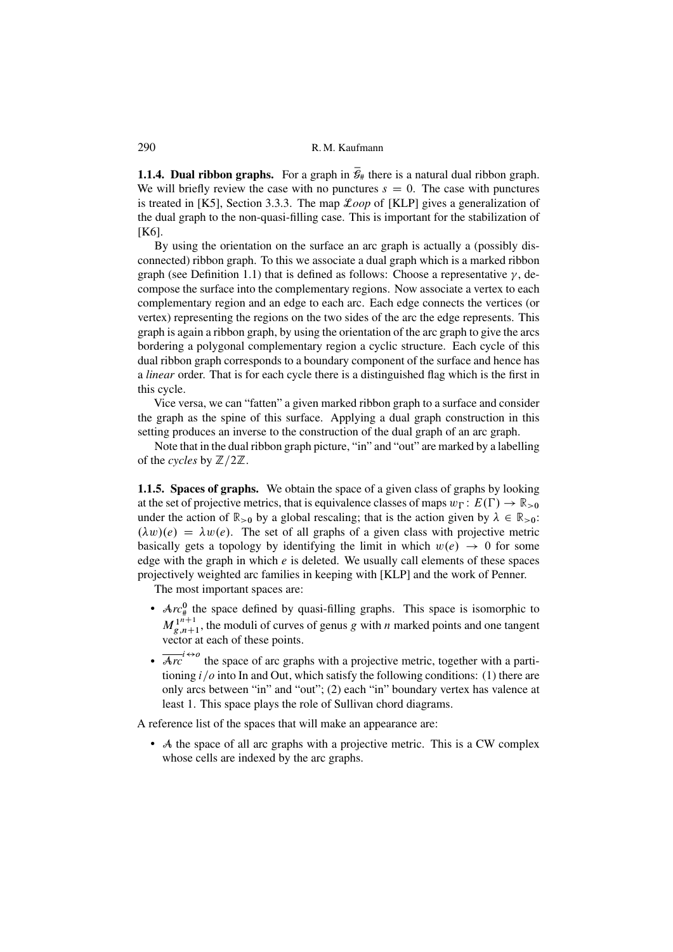<span id="page-7-0"></span>**1.1.4. Dual ribbon graphs.** For a graph in  $\overline{\mathcal{G}}_{\#}$  there is a natural dual ribbon graph. We will briefly review the case with no punctures  $s = 0$ . The case with punctures is treated in [\[K5\]](#page-47-0), Section 3.3.3. The map L*oop* of [\[KLP\]](#page-47-0) gives a generalization of the dual graph to the non-quasi-filling case. This is important for the stabilization of [\[K6\]](#page-47-0).

By using the orientation on the surface an arc graph is actually a (possibly disconnected) ribbon graph. To this we associate a dual graph which is a marked ribbon graph (see Definition [1.1\)](#page-9-0) that is defined as follows: Choose a representative  $\gamma$ , decompose the surface into the complementary regions. Now associate a vertex to each complementary region and an edge to each arc. Each edge connects the vertices (or vertex) representing the regions on the two sides of the arc the edge represents. This graph is again a ribbon graph, by using the orientation of the arc graph to give the arcs bordering a polygonal complementary region a cyclic structure. Each cycle of this dual ribbon graph corresponds to a boundary component of the surface and hence has a *linear* order. That is for each cycle there is a distinguished flag which is the first in this cycle.

Vice versa, we can "fatten" a given marked ribbon graph to a surface and consider the graph as the spine of this surface. Applying a dual graph construction in this setting produces an inverse to the construction of the dual graph of an arc graph.

Note that in the dual ribbon graph picture, "in" and "out" are marked by a labelling of the *cycles* by  $\mathbb{Z}/2\mathbb{Z}$ .

**1.1.5. Spaces of graphs.** We obtain the space of a given class of graphs by looking at the set of projective metrics, that is equivalence classes of maps  $w_{\Gamma}: E(\Gamma) \to \mathbb{R}_{>0}$ <br>under the action of  $\mathbb{R}_{\geq 0}$  by a global rescaling; that is the action given by  $\lambda \in \mathbb{R}_{\geq 0}$ . under the action of  $\mathbb{R}_{>0}$  by a global rescaling; that is the action given by  $\lambda \in \mathbb{R}_{>0}$ :  $(\lambda w)(e) = \lambda w(e)$ . The set of all graphs of a given class with projective metric basically gets a topology by identifying the limit in which  $w(e) \rightarrow 0$  for some edge with the graph in which  $e$  is deleted. We usually call elements of these spaces projectively weighted arc families in keeping with [\[KLP\]](#page-47-0) and the work of Penner.

The most important spaces are:

- $Arc_{\#}^0$  the space defined by quasi-filling graphs. This space is isomorphic to  $M_{g,n+1}^{1^{n+1}}$ , the moduli of curves of genus g with n marked points and one tangent<br>vector at each of these points vector at each of these points.
- $Arc'$  the space of arc graphs with a projective metric, together with a partitioning  $i/\sigma$  into In and Out, which satisfy the following conditions: (1) there are only arcs between "in" and "out"; (2) each "in" boundary vertex has valence at least 1. This space plays the role of Sullivan chord diagrams.

A reference list of the spaces that will make an appearance are:

 A the space of all arc graphs with a projective metric. This is a CW complex whose cells are indexed by the arc graphs.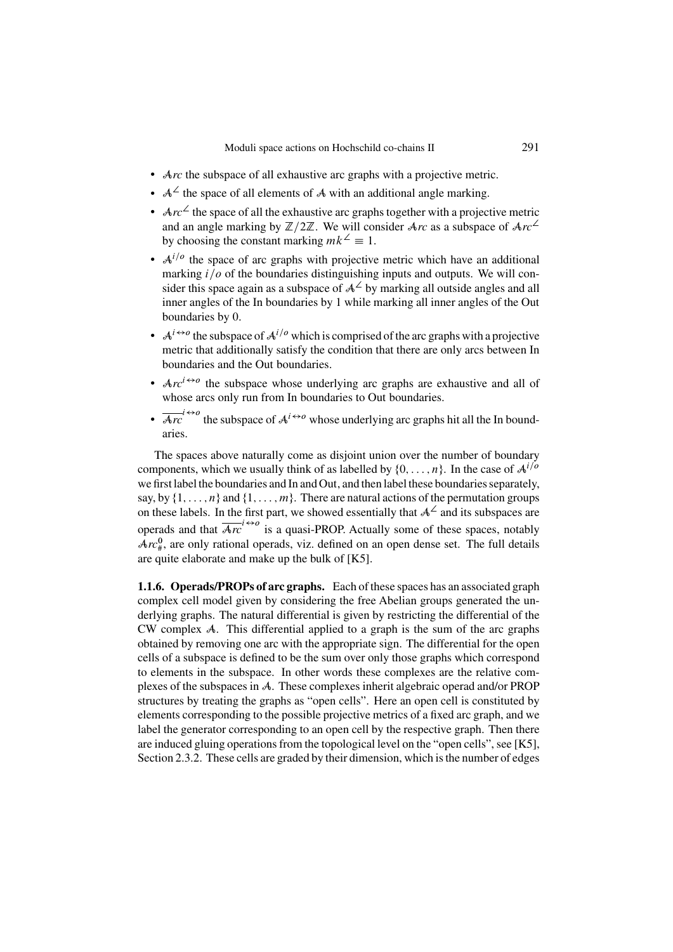- A*rc* the subspace of all exhaustive arc graphs with a projective metric.
- $A^{\angle}$  the space of all elements of A with an additional angle marking.
- $\cdot$   $Arc<sup>2</sup>$  the space of all the exhaustive arc graphs together with a projective metric and an angle marking by  $\mathbb{Z}/2\mathbb{Z}$ . We will consider  $Arc$  as a subspace of  $Arc^2$ by choosing the constant marking  $mk^2 \equiv 1$ .
- $\cdot$   $\mathcal{A}^{i/o}$  the space of arc graphs with projective metric which have an additional marking  $i/\sigma$  of the boundaries distinguishing inputs and outputs. We will consider this space again as a subspace of  $A^2$  by marking all outside angles and all inner angles of the In boundaries by 1 while marking all inner angles of the Out boundaries by 0.
- $\blacklozenge$   $\mathcal{A}^{i \leftrightarrow o}$  the subspace of  $\mathcal{A}^{i/o}$  which is comprised of the arc graphs with a projective metric that additionally satisfy the condition that there are only arcs between In boundaries and the Out boundaries.
- $\cdot$  Arc<sup>i $\leftrightarrow$ o</sup> the subspace whose underlying arc graphs are exhaustive and all of whose arcs only run from In boundaries to Out boundaries.
- $Arc$  is the subspace of  $A^{t\leftrightarrow o}$  whose underlying arc graphs hit all the In boundaries.

The spaces above naturally come as disjoint union over the number of boundary components, which we usually think of as labelled by  $\{0, \ldots, n\}$ . In the case of  $\mathcal{A}^{i/o}$ we first label the boundaries and In and Out, and then label these boundaries separately, say, by  $\{1, \ldots, n\}$  and  $\{1, \ldots, m\}$ . There are natural actions of the permutation groups on these labels. In the first part, we showed essentially that  $A^2$  and its subspaces are operads and that  $Arc$  is a quasi-PROP. Actually some of these spaces, notably  $Arc_{\#}^{0}$ , are only rational operads, viz. defined on an open dense set. The full details are quite elaborate and make up the bulk of [\[K5\]](#page-47-0).

**1.1.6. Operads/PROPs of arc graphs.** Each of these spaces has an associated graph complex cell model given by considering the free Abelian groups generated the underlying graphs. The natural differential is given by restricting the differential of the CW complex A. This differential applied to a graph is the sum of the arc graphs obtained by removing one arc with the appropriate sign. The differential for the open cells of a subspace is defined to be the sum over only those graphs which correspond to elements in the subspace. In other words these complexes are the relative complexes of the subspaces in A. These complexes inherit algebraic operad and/or PROP structures by treating the graphs as "open cells". Here an open cell is constituted by elements corresponding to the possible projective metrics of a fixed arc graph, and we label the generator corresponding to an open cell by the respective graph. Then there are induced gluing operations from the topological level on the "open cells", see [\[K5\]](#page-47-0), Section 2.3.2. These cells are graded by their dimension, which is the number of edges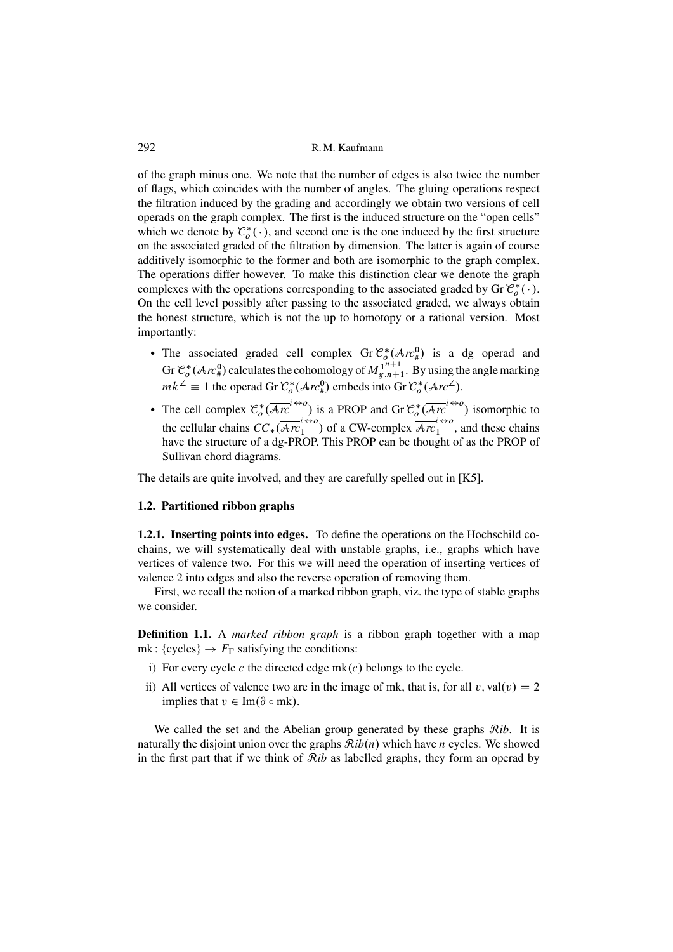<span id="page-9-0"></span>of the graph minus one. We note that the number of edges is also twice the number of flags, which coincides with the number of angles. The gluing operations respect the filtration induced by the grading and accordingly we obtain two versions of cell operads on the graph complex. The first is the induced structure on the "open cells" which we denote by  $\mathcal{C}_{o}^{*}(\cdot)$ , and second one is the one induced by the first structure<br>on the associated graded of the filtration by dimension. The latter is again of course on the associated graded of the filtration by dimension. The latter is again of course additively isomorphic to the former and both are isomorphic to the graph complex. The operations differ however. To make this distinction clear we denote the graph complexes with the operations corresponding to the associated graded by  $\operatorname{Gr} \mathcal{C}_o^*(\cdot)$ .<br>On the cell level possibly after passing to the associated graded, we always obtain On the cell level possibly after passing to the associated graded, we always obtain the honest structure, which is not the up to homotopy or a rational version. Most importantly:

- The associated graded cell complex Gr  $\mathcal{C}_o^*(\mathcal{A}rc_v^0)$  is a dg operad and  $G_v^*(\mathcal{A}rc_v^0)$  is  $\mathcal{A}^*(\mathcal{A}v^0)$  and the colored to constant  $\mathcal{A}^*(\mathcal{A}^*v^0)$ Gr  $\mathcal{C}_o^*(\mathcal{A}rc^0_+)$  calculates the cohomology of  $M^{1^{n+1}}_{g,n+1}$ . By using the angle marking  $mV^2 = 1$  the angred  $Cr\mathcal{C}^*(4m^0)$  embods into  $Cr\mathcal{C}^*(4m^2)$  $mk^2 \equiv 1$  the operad Gr  $\mathcal{C}_o^*(\mathcal{A}rc^0_+)$  embeds into Gr  $\mathcal{C}_o^*(\mathcal{A}rc^2)$ .
- The cell complex  $\mathcal{C}_o^*(\mathcal{A}r\mathcal{C}^*)$  is a PROP and Gr  $\mathcal{C}_o^*(\mathcal{A}r\mathcal{C}^*)$  isomorphic to the cellular chains  $CC_*(Arc_1^{\bullet})$  of a CW-complex  $Arc_1^{\bullet}$ , and these chains<br>have the structure of a dg-PROP This PROP can be thought of as the PROP of have the structure of a dg-PROP. This PROP can be thought of as the PROP of Sullivan chord diagrams.

The details are quite involved, and they are carefully spelled out in [\[K5\]](#page-47-0).

# **1.2. Partitioned ribbon graphs**

**1.2.1. Inserting points into edges.** To define the operations on the Hochschild cochains, we will systematically deal with unstable graphs, i.e., graphs which have vertices of valence two. For this we will need the operation of inserting vertices of valence 2 into edges and also the reverse operation of removing them.

First, we recall the notion of a marked ribbon graph, viz. the type of stable graphs we consider.

**Definition 1.1.** A *marked ribbon graph* is a ribbon graph together with a map mk: {cycles}  $\rightarrow F_{\Gamma}$  satisfying the conditions:

- i) For every cycle c the directed edge  $mk(c)$  belongs to the cycle.
- ii) All vertices of valence two are in the image of mk, that is, for all v, val $(v) = 2$ implies that  $v \in \text{Im}(\partial \circ \text{mk}).$

We called the set and the Abelian group generated by these graphs R*ib*. It is naturally the disjoint union over the graphs  $\mathcal{R}ib(n)$  which have n cycles. We showed in the first part that if we think of R*ib* as labelled graphs, they form an operad by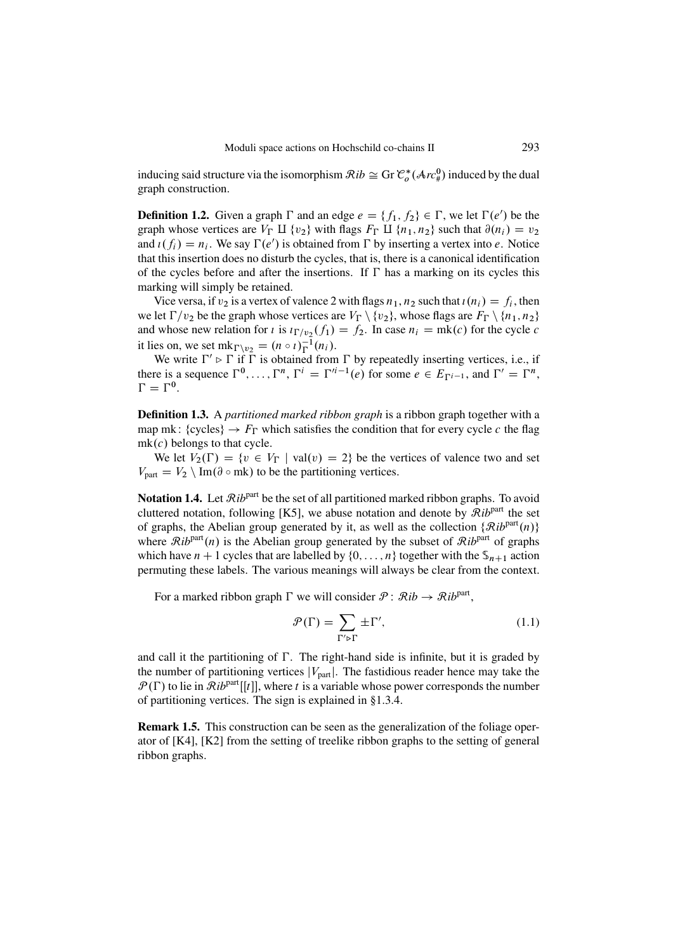<span id="page-10-0"></span>inducing said structure via the isomorphism  $\mathcal{R}ib \cong Gr \mathcal{C}_o^*(\mathcal{A}rc^0_{\#})$  induced by the dual graph construction graph construction.

**Definition 1.2.** Given a graph  $\Gamma$  and an edge  $e = \{f_1, f_2\} \in \Gamma$ , we let  $\Gamma(e')$  be the graph whose vertices are  $V_{\Gamma}$  II  $\{v_2\}$  with flags  $F_{\Gamma}$  II  $\{u_1, u_2\}$  such that  $\partial(u_i) = v_2$ graph whose vertices are  $V_{\Gamma} \amalg \{v_2\}$  with flags  $F_{\Gamma} \amalg \{n_1, n_2\}$  such that  $\partial(n_i) = v_2$ <br>and  $\iota(f_i) = n_i$ . We say  $\Gamma(e')$  is obtained from  $\Gamma$  by inserting a vertex into e. Notice and  $\iota(f_i) = n_i$ . We say  $\Gamma(e')$  is obtained from  $\Gamma$  by inserting a vertex into e. Notice that this insertion does no disturb the cycles, that is, there is a canonical identification that this insertion does no disturb the cycles, that is, there is a canonical identification of the cycles before and after the insertions. If  $\Gamma$  has a marking on its cycles this marking will simply be retained.

Vice versa, if  $v_2$  is a vertex of valence 2 with flags  $n_1, n_2$  such that  $i(n_i) = f_i$ , then we let  $\Gamma/v_2$  be the graph whose vertices are  $V_{\Gamma} \setminus \{v_2\}$ , whose flags are  $F_{\Gamma} \setminus \{n_1, n_2\}$ <br>and whose new relation for *t* is  $I_{\Gamma}(u) = f_2$ . In case  $n_i = m k/c$  for the cycle c and whose new relation for  $i$  is  $i_{\Gamma/v_2}(f_1) = f_2$ . In case  $n_i = mk(c)$  for the cycle  $c$  it lies on we set  $m_{\Gamma(v_1)} = (n_{\Omega_v})^{-1}(n_v)$ it lies on, we set  $m k_{\Gamma \setminus \nu_2} = (n \circ i)^{-1} (n_i)$ .<br>We write  $\Gamma' \triangleright \Gamma$  if  $\Gamma$  is obtained from

We write  $\Gamma' \triangleright \Gamma$  if  $\Gamma$  is obtained from  $\Gamma$  by repeatedly inserting vertices, i.e., if<br>re is a sequence  $\Gamma^0$   $\Gamma^n$   $\Gamma^i = \Gamma'^{i-1}(e)$  for some  $e \in E_{\Gamma(i-1)}$  and  $\Gamma' = \Gamma^n$ there is a sequence  $\Gamma^0, \ldots, \Gamma^n, \Gamma^i = \Gamma^{n-1}(e)$  for some  $e \in E_{\Gamma^{i-1}}$ , and  $\Gamma' = \Gamma^n$ ,  $\Gamma = \Gamma^0$  $\Gamma = \Gamma^0$ .

**Definition 1.3.** A *partitioned marked ribbon graph* is a ribbon graph together with a map mk: {cycles}  $\rightarrow F_{\Gamma}$  which satisfies the condition that for every cycle c the flag mk(c) belongs to that cycle  $mk(c)$  belongs to that cycle.

We let  $V_2(\Gamma) = \{v \in V_\Gamma \mid val(v) = 2\}$  be the vertices of valence two and set  $v = V_2 \setminus Im(\partial \circ mk)$  to be the partitioning vertices  $V_{\text{part}} = V_2 \setminus \text{Im}(\partial \circ \text{mk})$  to be the partitioning vertices.

**Notation 1.4.** Let  $\mathcal{R}ib^{part}$  be the set of all partitioned marked ribbon graphs. To avoid cluttered notation, following [\[K5\]](#page-47-0), we abuse notation and denote by  $\mathcal{R}ib^{\text{part}}$  the set of graphs, the Abelian group generated by it, as well as the collection  $\{\mathcal{R}ib^{\text{part}}(n)\}\$ where  $Rib<sup>part</sup>(n)$  is the Abelian group generated by the subset of  $Rib<sup>part</sup>$  of graphs which have  $n + 1$  cycles that are labelled by  $\{0, \ldots, n\}$  together with the  $\mathcal{S}_{n+1}$  action permuting these labels. The various meanings will always be clear from the context.

For a marked ribbon graph  $\Gamma$  we will consider  $\mathcal{P} \colon \mathcal{R}ib \to \mathcal{R}ib^{\text{part}},$ 

$$
\mathcal{P}(\Gamma) = \sum_{\Gamma' \triangleright \Gamma} \pm \Gamma',\tag{1.1}
$$

and call it the partitioning of  $\Gamma$ . The right-hand side is infinite, but it is graded by the number of partitioning vertices  $|V_{part}|$ . The fastidious reader hence may take the  $\mathcal{P}(\Gamma)$  to lie in  $\mathcal{R}ib^{\text{part}}[[t]]$ , where t is a variable whose power corresponds the number of partitioning vertices. The sign is explained in [§1.3.4.](#page-12-0)

**Remark 1.5.** This construction can be seen as the generalization of the foliage operator of [\[K4\]](#page-47-0), [\[K2\]](#page-47-0) from the setting of treelike ribbon graphs to the setting of general ribbon graphs.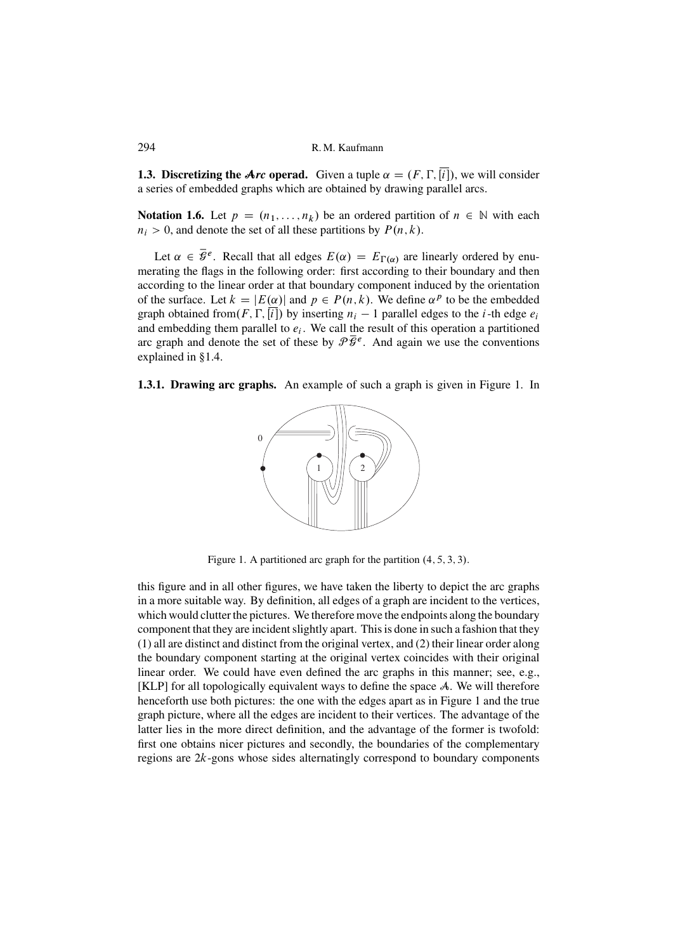<span id="page-11-0"></span>**1.3. Discretizing the Arc operad.** Given a tuple  $\alpha = (F, \Gamma, [i])$ , we will consider a series of embedded graphs which are obtained by drawing parallel arcs a series of embedded graphs which are obtained by drawing parallel arcs.

**Notation 1.6.** Let  $p = (n_1, \ldots, n_k)$  be an ordered partition of  $n \in \mathbb{N}$  with each  $n_i > 0$ , and denote the set of all these partitions by  $P(n, k)$ .

Let  $\alpha \in \mathcal{G}^e$ . Recall that all edges  $E(\alpha) = E_{\Gamma(\alpha)}$  are linearly ordered by enu-<br>rating the flags in the following order: first according to their boundary and then merating the flags in the following order: first according to their boundary and then according to the linear order at that boundary component induced by the orientation of the surface. Let  $k = |E(\alpha)|$  and  $p \in P(n, k)$ . We define  $\alpha^p$  to be the embedded graph obtained from  $(F, \Gamma, [i])$  by inserting  $n_i - 1$  parallel edges to the *i*-th edge  $e_i$ <br>and ombodding them parallel to  $e_i$ . We call the result of this operation a partitioned , [*i*]) by inserting  $n_i$  –<br>llel to e: We call the i and embedding them parallel to  $e_i$ . We call the result of this operation a partitioned<br>are graph and danote the set of these by  $\mathcal{P}\overline{\mathcal{E}}e$ . And again we use the conventions arc graph and denote the set of these by  $\mathcal{P}\overline{\mathcal{G}}e$ . And again we use the conventions explained in [§1.4.](#page-10-0)

**1.3.1. Drawing arc graphs.** An example of such a graph is given in Figure 1. In



Figure 1. A partitioned arc graph for the partition  $(4, 5, 3, 3)$ .

this figure and in all other figures, we have taken the liberty to depict the arc graphs in a more suitable way. By definition, all edges of a graph are incident to the vertices, which would clutter the pictures. We therefore move the endpoints along the boundary component that they are incident slightly apart. This is done in such a fashion that they (1) all are distinct and distinct from the original vertex, and (2) their linear order along the boundary component starting at the original vertex coincides with their original linear order. We could have even defined the arc graphs in this manner; see, e.g., [\[KLP\]](#page-47-0) for all topologically equivalent ways to define the space A. We will therefore henceforth use both pictures: the one with the edges apart as in Figure 1 and the true graph picture, where all the edges are incident to their vertices. The advantage of the latter lies in the more direct definition, and the advantage of the former is twofold: first one obtains nicer pictures and secondly, the boundaries of the complementary regions are 2k-gons whose sides alternatingly correspond to boundary components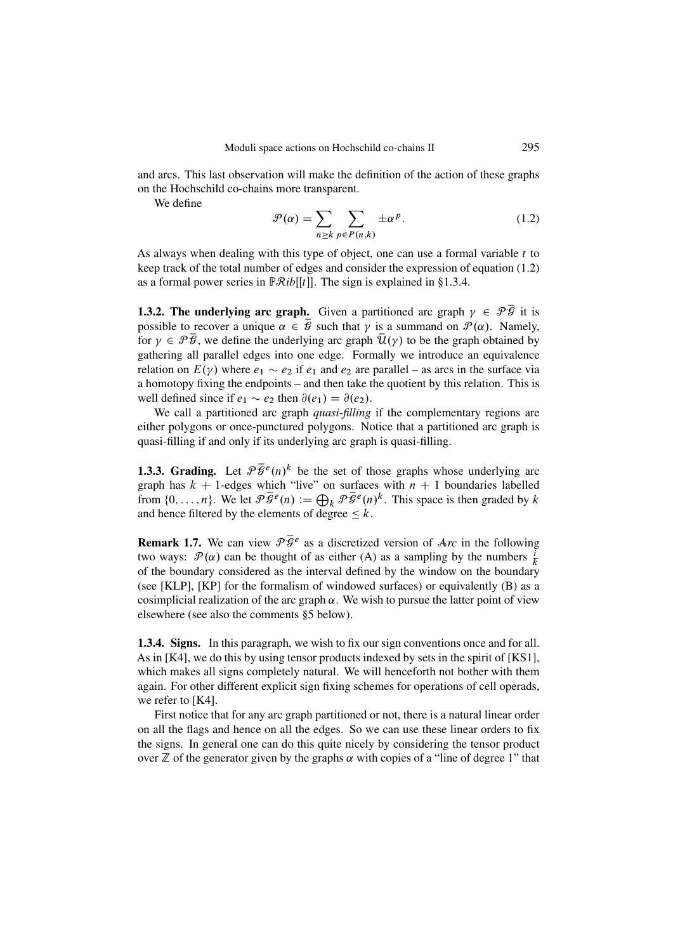<span id="page-12-0"></span>and arcs. This last observation will make the definition of the action of these graphs on the Hochschild co-chains more transparent.

We define

$$
\mathcal{P}(\alpha) = \sum_{n \ge k} \sum_{p \in P(n,k)} \pm \alpha^p.
$$
 (1.2)

As always when dealing with this type of object, one can use a formal variable  $t$  to keep track of the total number of edges and consider the expression of equation (1.2) as a formal power series in  $\mathbb{R}\ddot{\mathcal{R}}$ *ib*[[*t*]]. The sign is explained in §1.3.4.

**1.3.2. The underlying arc graph.** Given a partitioned arc graph  $\gamma \in \mathcal{PG}$  it is nossible to recover a unique  $\alpha \in \overline{\mathcal{G}}$  such that  $\gamma$  is a summand on  $\mathcal{P}(\alpha)$ . Namely possible to recover a unique  $\alpha \in \mathcal{G}$  such that  $\gamma$  is a summand on  $\mathcal{P}(\alpha)$ . Namely,<br>for  $\gamma \in \mathcal{P}\overline{\mathcal{G}}$  we define the underlying arc graph  $\overline{\mathcal{U}}(\gamma)$  to be the graph obtained by for  $\gamma \in \mathcal{P}\bar{\mathcal{G}}$ , we define the underlying arc graph  $\bar{\mathcal{U}}(\gamma)$  to be the graph obtained by gathering all parallel edges into one edge. Formally we introduce an equivalence relation on  $E(y)$  where  $e_1 \sim e_2$  if  $e_1$  and  $e_2$  are parallel – as arcs in the surface via a homotopy fixing the endpoints – and then take the quotient by this relation. This is well defined since if  $e_1 \sim e_2$  then  $\partial(e_1) = \partial(e_2)$ .

We call a partitioned arc graph *quasi-filling* if the complementary regions are either polygons or once-punctured polygons. Notice that a partitioned arc graph is quasi-filling if and only if its underlying arc graph is quasi-filling.

**1.3.3. Grading.** Let  $\mathcal{P}\overline{\mathcal{G}}^e(n)^k$  be the set of those graphs whose underlying arc graph has  $k + 1$ -edges which "live" on surfaces with  $n + 1$  boundaries labelled from  $\{0, \ldots, n\}$ . We let  $\mathcal{P}\mathcal{G}^e(n) := \bigoplus_k \mathcal{P}\mathcal{G}^e(n)^k$ . This space is then graded by k and hence filtered by the elements of degree  $\leq k$ and hence filtered by the elements of degree  $\leq k$ .

**Remark 1.7.** We can view  $\mathcal{P}\overline{\mathcal{G}}^e$  as a discretized version of  $\mathcal{A}_{rc}$  in the following two ways:  $\mathcal{P}(\alpha)$  can be thought of as either (A) as a sampling by the numbers  $\frac{\bar{i}}{h}$ of the boundary considered as the interval defined by the window on the boundary (see  $[KLP]$ ,  $[KP]$  for the formalism of windowed surfaces) or equivalently  $(B)$  as a cosimplicial realization of the arc graph  $\alpha$ . We wish to pursue the latter point of view elsewhere (see also the comments [§5](#page-44-0) below).

**1.3.4. Signs.** In this paragraph, we wish to fix our sign conventions once and for all. As in [\[K4\]](#page-47-0), we do this by using tensor products indexed by sets in the spirit of [\[KS1\]](#page-47-0), which makes all signs completely natural. We will henceforth not bother with them again. For other different explicit sign fixing schemes for operations of cell operads, we refer to [\[K4\]](#page-47-0).

First notice that for any arc graph partitioned or not, there is a natural linear order on all the flags and hence on all the edges. So we can use these linear orders to fix the signs. In general one can do this quite nicely by considering the tensor product over  $\mathbb Z$  of the generator given by the graphs  $\alpha$  with copies of a "line of degree 1" that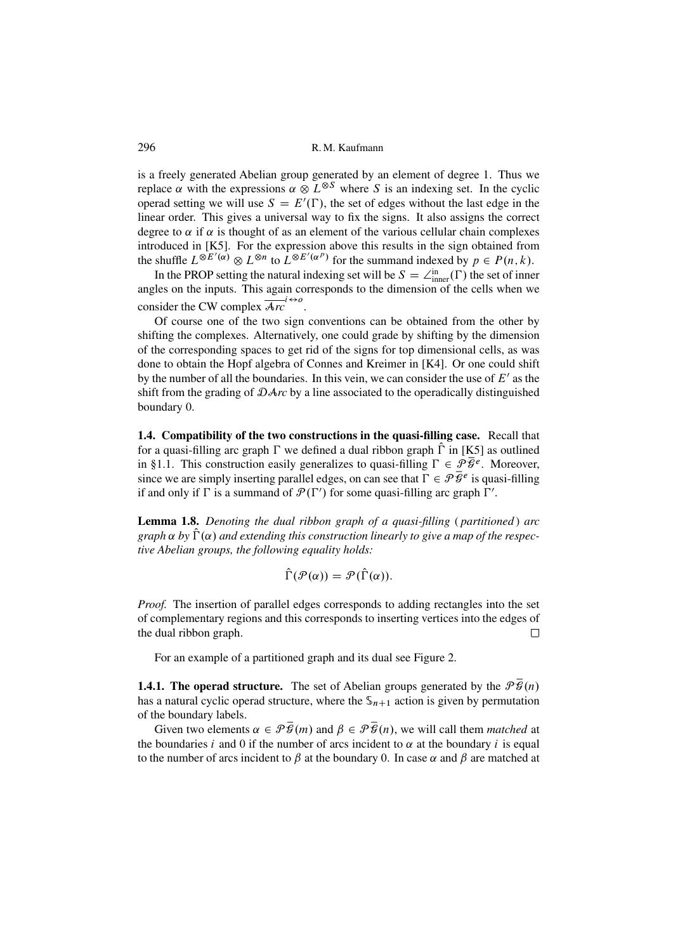## <span id="page-13-0"></span>296 R. M. Kaufmann

is a freely generated Abelian group generated by an element of degree 1. Thus we replace  $\alpha$  with the expressions  $\alpha \otimes L^{\otimes S}$  where S is an indexing set. In the cyclic replace  $\alpha$  with the expressions  $\alpha \otimes L^{\otimes S}$  where S is an indexing set. In the cyclic operad setting we will use  $S = F'(\Gamma)$  the set of edges without the last edge in the operad setting we will use  $S = E'(\Gamma)$ , the set of edges without the last edge in the linear order. This gives a universal way to fix the signs. It also assigns the correct linear order. This gives a universal way to fix the signs. It also assigns the correct degree to  $\alpha$  if  $\alpha$  is thought of as an element of the various cellular chain complexes introduced in [\[K5\]](#page-47-0). For the expression above this results in the sign obtained from the shuffle  $L^{\otimes E'(\alpha)} \otimes L^{\otimes n}$  to  $\tilde{L}^{\otimes E'(\alpha^p)}$  for the summand indexed by  $p \in P(n, k)$ .<br>In the PROP setting the natural indexing set will be  $S = \sqrt{p}$ . (F) the set of inner

In the PROP setting the natural indexing set will be  $S = \angle_{\text{inner}}^{\text{in}}(\Gamma)$  the set of inner<br>les on the inputs. This again corresponds to the dimension of the cells when we angles on the inputs. This again corresponds to the dimension of the cells when we consider the CW complex  $Arc^{\cdots}$ .

Of course one of the two sign conventions can be obtained from the other by shifting the complexes. Alternatively, one could grade by shifting by the dimension of the corresponding spaces to get rid of the signs for top dimensional cells, as was done to obtain the Hopf algebra of Connes and Kreimer in [\[K4\]](#page-47-0). Or one could shift by the number of all the boundaries. In this vein, we can consider the use of  $E'$  as the shift from the grading of DA*rc* by a line associated to the operadically distinguished boundary 0.

**1.4. Compatibility of the two constructions in the quasi-filling case.** Recall that for a quasi-filling arc graph  $\Gamma$  we defined a dual ribbon graph  $\Gamma$  in [\[K5\]](#page-47-0) as outlined<br>in 8.1.1. This construction assily consmiting to suse filling  $\Gamma \in \mathcal{Q}^{\overline{E}e}$ . Moreover, in [§1.1.](#page-5-0) This construction easily generalizes to quasi-filling  $\Gamma \in \mathcal{PG}^e$ . Moreover, since we are simply inserting parallel edges, on can see that  $\Gamma \in \mathcal{PG}^e$  is quasi-filling since we are simply inserting parallel edges, on can see that  $\Gamma \in \mathcal{P}\mathcal{G}^e$  is quasi-filling<br>if and only if  $\Gamma$  is a summand of  $\mathcal{P}(\Gamma')$  for some quasi-filling are graph  $\Gamma'$ if and only if  $\Gamma$  is a summand of  $\mathcal{P}(\Gamma')$  for some quasi-filling arc graph  $\Gamma'$ .

**Lemma 1.8.** *Denoting the dual ribbon graph of a quasi-filling* ( *partitioned* ) *arc*  $graph \alpha$  by  $\Gamma(\alpha)$  and extending this construction linearly to give a map of the respec-<br>  $\Gamma(\alpha)$  and the fill with constituted by the set of the set of the set of the set of the set of the set of the s *tive Abelian groups, the following equality holds:*

$$
\hat{\Gamma}(\mathcal{P}(\alpha)) = \mathcal{P}(\hat{\Gamma}(\alpha)).
$$

*Proof.* The insertion of parallel edges corresponds to adding rectangles into the set of complementary regions and this corresponds to inserting vertices into the edges of the dual ribbon graph.  $\Box$ 

For an example of a partitioned graph and its dual see Figure [2.](#page-14-0)

**1.4.1. The operad structure.** The set of Abelian groups generated by the  $\mathcal{P}\overline{\mathcal{G}}(n)$ has a natural cyclic operad structure, where the  $\mathcal{S}_{n+1}$  action is given by permutation of the boundary labels.

Given two elements  $\alpha \in \mathcal{P}\overline{\mathcal{G}}(m)$  and  $\beta \in \mathcal{P}\overline{\mathcal{G}}(n)$ , we will call them *matched* at the boundaries i and 0 if the number of arcs incident to  $\alpha$  at the boundary i is equal to the number of arcs incident to  $\beta$  at the boundary 0. In case  $\alpha$  and  $\beta$  are matched at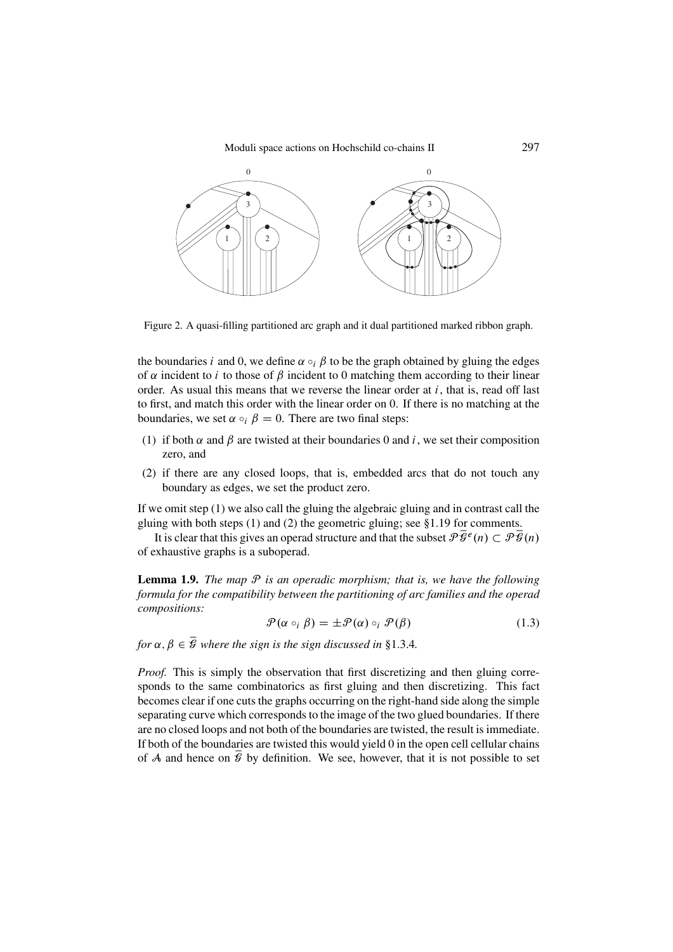Moduli space actions on Hochschild co-chains II 297

<span id="page-14-0"></span>

Figure 2. A quasi-filling partitioned arc graph and it dual partitioned marked ribbon graph.

the boundaries i and 0, we define  $\alpha \circ_i \beta$  to be the graph obtained by gluing the edges of  $\alpha$  incident to i to those of  $\beta$  incident to 0 matching them according to their linear order. As usual this means that we reverse the linear order at  $i$ , that is, read off last to first, and match this order with the linear order on 0. If there is no matching at the boundaries, we set  $\alpha \circ_i \beta = 0$ . There are two final steps:

- (1) if both  $\alpha$  and  $\beta$  are twisted at their boundaries 0 and i, we set their composition zero, and
- (2) if there are any closed loops, that is, embedded arcs that do not touch any boundary as edges, we set the product zero.

If we omit step (1) we also call the gluing the algebraic gluing and in contrast call the gluing with both steps (1) and (2) the geometric gluing; see [§1.19](#page-18-0) for comments.

It is clear that this gives an operad structure and that the subset  $\mathcal{P}\bar{\mathcal{G}}(n) \subset \mathcal{P}\bar{\mathcal{G}}(n)$ . of exhaustive graphs is a suboperad.

**Lemma 1.9.** *The map*  $\mathcal P$  *is an operadic morphism; that is, we have the following formula for the compatibility between the partitioning of arc families and the operad compositions:*

$$
\mathcal{P}(\alpha \circ_i \beta) = \pm \mathcal{P}(\alpha) \circ_i \mathcal{P}(\beta) \tag{1.3}
$$

*for*  $\alpha$ ,  $\beta \in \overline{G}$  *where the sign is the sign discussed in* [§1.3.4](#page-12-0)*.* 

*Proof.* This is simply the observation that first discretizing and then gluing corresponds to the same combinatorics as first gluing and then discretizing. This fact becomes clear if one cuts the graphs occurring on the right-hand side along the simple separating curve which corresponds to the image of the two glued boundaries. If there are no closed loops and not both of the boundaries are twisted, the result is immediate. If both of the boundaries are twisted this would yield 0 in the open cell cellular chains of A and hence on  $\bar{g}$  by definition. We see, however, that it is not possible to set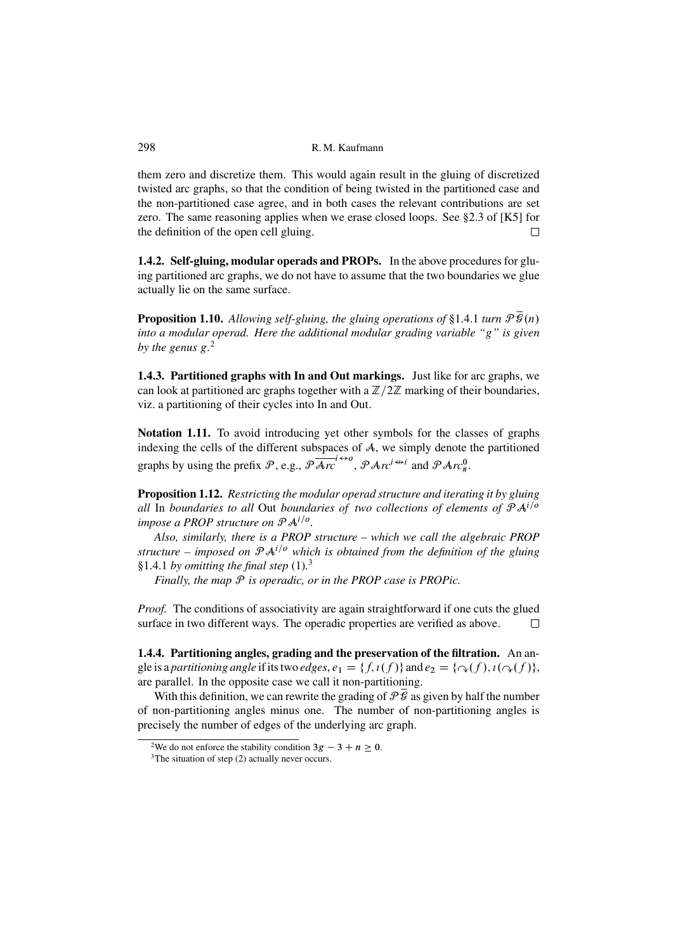<span id="page-15-0"></span>them zero and discretize them. This would again result in the gluing of discretized twisted arc graphs, so that the condition of being twisted in the partitioned case and the non-partitioned case agree, and in both cases the relevant contributions are set zero. The same reasoning applies when we erase closed loops. See §2.3 of [\[K5\]](#page-47-0) for the definition of the open cell gluing.  $\Box$ 

**1.4.2. Self-gluing, modular operads and PROPs.** In the above procedures for gluing partitioned arc graphs, we do not have to assume that the two boundaries we glue actually lie on the same surface.

**Proposition 1.10.** Allowing self-gluing, the gluing operations of [§1.4.1](#page-13-0) *turn*  $\mathcal{P}\mathcal{G}(n)$ *into a modular operad. Here the additional modular grading variable "*g*" is given by the genus* g*.* 2

**1.4.3. Partitioned graphs with In and Out markings.** Just like for arc graphs, we can look at partitioned arc graphs together with a  $\mathbb{Z}/2\mathbb{Z}$  marking of their boundaries, viz. a partitioning of their cycles into In and Out.

**Notation 1.11.** To avoid introducing yet other symbols for the classes of graphs indexing the cells of the different subspaces of A, we simply denote the partitioned graphs by using the prefix  $P$ , e.g.,  $\overline{P \cdot Arc}^{\cdots}$ ,  $\overline{P \cdot Arc}^{i \leftrightarrow i}$  and  $\overline{P \cdot Arc}^0$ .

**Proposition 1.12.** *Restricting the modular operad structure and iterating it by gluing all* In *boundaries to all* Out *boundaries of two collections of elements of*  $\mathcal{P} A^{i/\delta}$ *impose a PROP structure on*  $\mathcal{P} A^{i/o}$ .

*Also, similarly, there is a PROP structure – which we call the algebraic PROP structure – imposed on*  $\mathcal{P}A^{i/o}$  *which is obtained from the definition of the gluing* [§1.4.1](#page-13-0) *by omitting the final step*  $(1)$ .<sup>3</sup>

*Finally, the map*  $P$  *is operadic, or in the PROP case is PROPic.* 

*Proof.* The conditions of associativity are again straightforward if one cuts the glued surface in two different ways. The operadic properties are verified as above.  $\Box$ 

**1.4.4. Partitioning angles, grading and the preservation of the filtration.** An angle is a *partitioning angle* if its two *edges*,  $e_1 = \{f, i(f)\}$  and  $e_2 = \{\varphi(f), i(\varphi(f))\}$ , are parallel. In the opposite case we call it non-partitioning.

With this definition, we can rewrite the grading of  $\mathcal{P}\bar{\mathcal{G}}$  as given by half the number of non-partitioning angles minus one. The number of non-partitioning angles is precisely the number of edges of the underlying arc graph.

<sup>&</sup>lt;sup>2</sup>We do not enforce the stability condition  $3g - 3 + n \ge 0$ .<br><sup>3</sup>The situation of step (2) actually never occurs.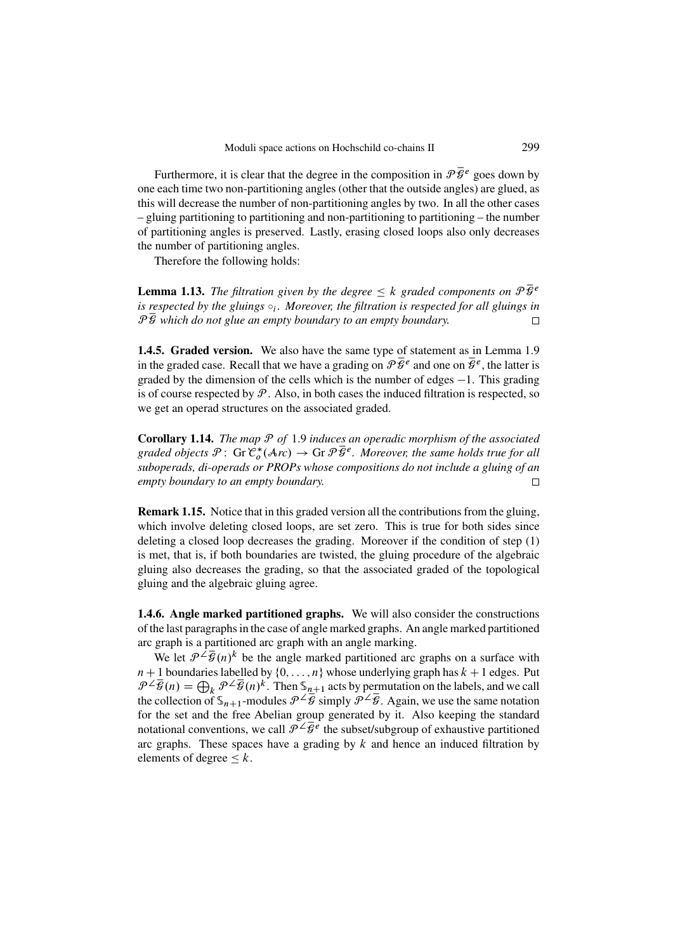Furthermore, it is clear that the degree in the composition in  $\mathcal{P}\bar{\mathcal{G}}^e$  goes down by one each time two non-partitioning angles (other that the outside angles) are glued, as this will decrease the number of non-partitioning angles by two. In all the other cases – gluing partitioning to partitioning and non-partitioning to partitioning – the number of partitioning angles is preserved. Lastly, erasing closed loops also only decreases the number of partitioning angles.

Therefore the following holds:

**Lemma 1.13.** *The filtration given by the degree*  $\leq k$  *graded components on*  $\mathcal{P}\bar{\mathcal{G}}^e$ *is respected by the gluings*  $\circ_i$ *. Moreover, the filtration is respected for all gluings in*<br> $\mathcal{P}\overline{\mathcal{B}}$  which do not glue an empty boundary to an empty boundary. P G which do not glue an empty boundary to an empty boundary.

**1.4.5. Graded version.** We also have the same type of statement as in Lemma [1.9](#page-14-0) in the graded case. Recall that we have a grading on  $\mathcal{P}\overline{\mathcal{G}}^e$  and one on  $\overline{\mathcal{G}}^e$ , the latter is graded by the dimension of the cells which is the number of edges  $-1$ . This grading is of course respected by  $\mathcal{P}$  Also, in both cases the induced filtration is respected, so is of course respected by  $\mathcal P$ . Also, in both cases the induced filtration is respected, so we get an operad structures on the associated graded.

**Corollary 1.14.** *The map* P *of* [1.9](#page-14-0) *induces an operadic morphism of the associated*  $g$ raded objects  $\mathcal{P} \colon \mathop{\mathrm{Gr}}\nolimits \mathcal{C}_o^*(\mathcal{A}r) \to \mathop{\mathrm{Gr}}\nolimits \mathcal{P}\mathcal{G}^e$ . Moreover, the same holds true for all<br>subonerads, di-onerads or PROPs whose compositions do not include a gluing of an *suboperads, di-operads or PROPs whose compositions do not include a gluing of an empty boundary to an empty boundary.*  $\Box$ 

**Remark 1.15.** Notice that in this graded version all the contributions from the gluing, which involve deleting closed loops, are set zero. This is true for both sides since deleting a closed loop decreases the grading. Moreover if the condition of step (1) is met, that is, if both boundaries are twisted, the gluing procedure of the algebraic gluing also decreases the grading, so that the associated graded of the topological gluing and the algebraic gluing agree.

**1.4.6. Angle marked partitioned graphs.** We will also consider the constructions of the last paragraphs in the case of angle marked graphs. An angle marked partitioned arc graph is a partitioned arc graph with an angle marking.

We let  $\mathcal{P}^{\angle} \overline{\mathcal{G}}(n)^k$  be the angle marked partitioned arc graphs on a surface with  $n+1$  boundaries labelled by  $\{0, \ldots, n\}$  whose underlying graph has  $k+1$  edges. Put  $n+1$  boundaries labelled by  $\{0, \ldots, n\}$  whose underlying graph has  $k+1$  edges. Put  $\varphi \angle \overline{e}(n) = \bigoplus_{k=1}^{\infty} \varphi \angle \overline{e}(n)^k$ . Then  $\zeta_{k+1}$  acts by permutation on the labels, and we call  $\mathcal{P}^{\perp} \mathcal{G}(n) = \bigoplus_{k} \mathcal{P}^{\perp} \mathcal{G}(n)^{k}$ . Then  $\mathbb{S}_{n+1}$  acts by permutation on the labels, and we call the collection of  $\mathbb{S}_{n+1}$  -modules  $\mathcal{P}^{\perp} \overline{\mathcal{G}}$  simply  $\mathcal{P}^{\perp} \overline{\mathcal{G}}$ . A gain, w the collection of  $\mathbb{S}_{n+1}$ -modules  $\mathcal{P}^{\angle}\overline{\mathcal{G}}$  simply  $\mathcal{P}^{\angle}\overline{\mathcal{G}}$ . Again, we use the same notation for the set and the free Abelian group generated by it. Also keeping the standard notational conventions, we call  $\mathcal{P}^{\angle}\bar{\mathcal{G}}^e$  the subset/subgroup of exhaustive partitioned arc graphs. These spaces have a grading by  $k$  and hence an induced filtration by elements of degree  $\leq k$ .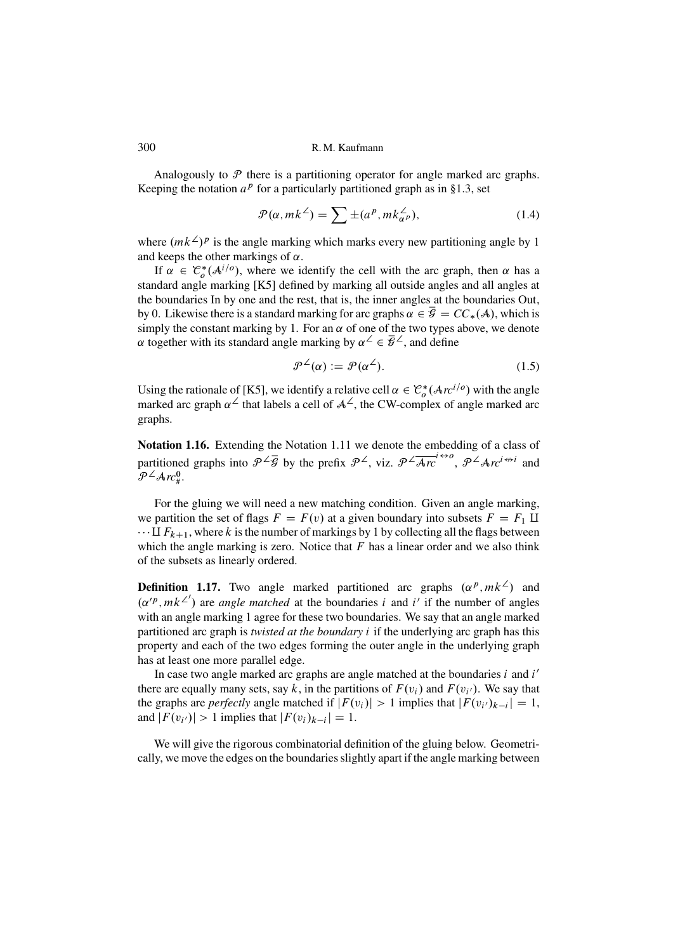## 300 R. M. Kaufmann

Analogously to  $P$  there is a partitioning operator for angle marked arc graphs. Keeping the notation  $a^p$  for a particularly partitioned graph as in [§1.3,](#page-11-0) set

$$
\mathcal{P}(\alpha, mk^{\angle}) = \sum \pm (a^p, mk_{\alpha^p}^{\angle}), \qquad (1.4)
$$

where  $(mk^2)^p$  is the angle marking which marks every new partitioning angle by 1 and keeps the other markings of  $\alpha$ .

If  $\alpha \in C_o^*(\mathcal{A}^{1/0})$ , where we identify the cell with the arc graph, then  $\alpha$  has a light data angle marking IR51 defined by marking all outside angles and all angles at standard angle marking [\[K5\]](#page-47-0) defined by marking all outside angles and all angles at the boundaries In by one and the rest, that is, the inner angles at the boundaries Out, by 0. Likewise there is a standard marking for arc graphs  $\alpha \in \mathcal{G} = CC_*(\mathcal{A})$ , which is simply the constant marking by 1. For an  $\alpha$  of one of the two types above, we denote by 0. Likewise there is a standard marking for arc graphs  $\alpha \in \mathcal{G} = CC_*(\mathcal{A})$ , which is  $\alpha$  together with its standard angle marking by  $\alpha^2 \in \overline{G}^2$ , and define

$$
\mathcal{P}^{\angle}(\alpha) := \mathcal{P}(\alpha^{\angle}). \tag{1.5}
$$

Using the rationale of [\[K5\]](#page-47-0), we identify a relative cell  $\alpha \in C_o^*(\mathcal{A}rc^{1/\sigma})$  with the angle marked arc graph  $\alpha^{\angle}$  that labels a cell of  $\mathcal{A}^{\angle}$ , the CW-complex of angle marked arc graphs.

**Notation 1.16.** Extending the Notation [1.11](#page-15-0) we denote the embedding of a class of partitioned graphs into  $\mathcal{P}^{\angle} \mathcal{G}$  by the prefix  $\mathcal{P}^{\angle}$ , viz.  $\mathcal{P}^{\angle} A r c^{i \sim \circ}$ ,  $\mathcal{P}^{\angle} A r c^{i \leftrightarrow i}$  and  $\mathcal{P}^{\angle}$ Arc<sup>o</sup><sub>#</sub>.

For the gluing we will need a new matching condition. Given an angle marking, we partition the set of flags  $F = F(v)$  at a given boundary into subsets  $F = F<sub>1</sub>$   $\Box$  $\cdots$  LI  $F_{k+1}$ , where k is the number of markings by 1 by collecting all the flags between which the angle marking is zero. Notice that  $F$  has a linear order and we also think of the subsets as linearly ordered.

**Definition 1.17.** Two angle marked partitioned arc graphs  $(\alpha^p, mk^2)$  and  $(\alpha'^p, mk^{\prime\prime})$  are *angle matched* at the boundaries i and i' if the number of angles with an angle marking 1 agree for these two boundaries. We say that an angle marked partitioned arc graph is *twisted at the boundary* i if the underlying arc graph has this property and each of the two edges forming the outer angle in the underlying graph has at least one more parallel edge.

In case two angle marked arc graphs are angle matched at the boundaries  $i$  and  $i'$ there are equally many sets, say k, in the partitions of  $F(v_i)$  and  $F(v_{i'})$ . We say that the graphs are *perfectly* angle matched if  $|F(v_i)| > 1$  implies that  $|F(v_i)|_{k-i} = 1$ , and  $|F(v_{i'})| > 1$  implies that  $|F(v_i)|_{k-i} = 1$ .

We will give the rigorous combinatorial definition of the gluing below. Geometrically, we move the edges on the boundaries slightly apart if the angle marking between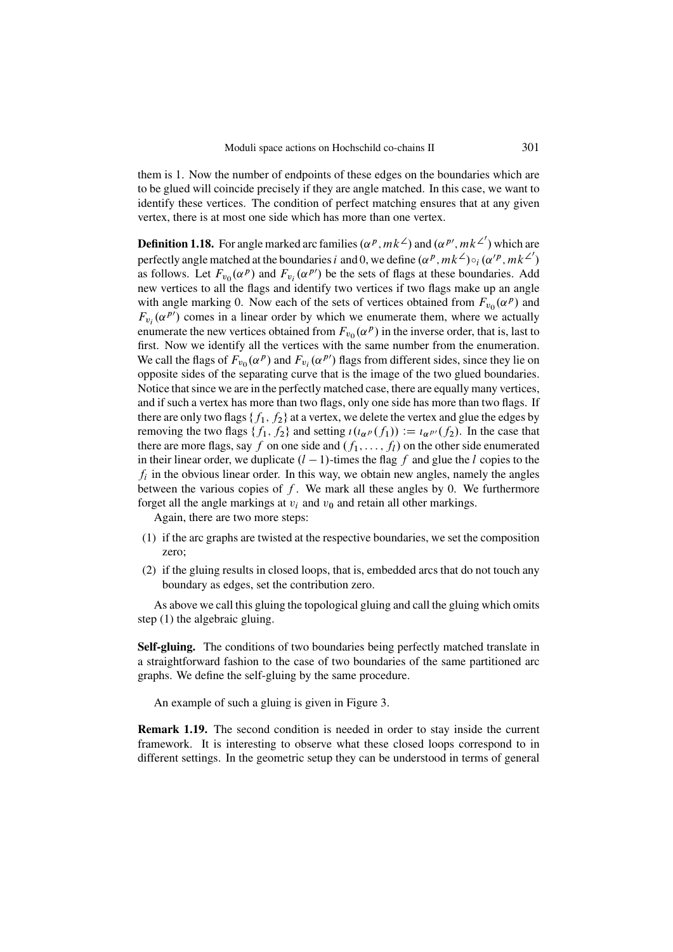<span id="page-18-0"></span>them is 1. Now the number of endpoints of these edges on the boundaries which are to be glued will coincide precisely if they are angle matched. In this case, we want to identify these vertices. The condition of perfect matching ensures that at any given vertex, there is at most one side which has more than one vertex.

**Definition 1.18.** For angle marked arc families  $(\alpha^p, mk^{\perp})$  and  $(\alpha^{p'}, mk^{\perp})$  which are perfectly angle matched at the boundaries i and 0, we define  $(\alpha^p, mk^{\prime\prime}) \circ_i (\alpha'^p, mk^{\prime\prime})$ <br>as follows. Let  $F_n$ ,  $(\alpha^p)$  and  $F_n$ ,  $(\alpha^p')$  be the sets of flags at these boundaries. Add as follows. Let  $F_{v_0}(\alpha^p)$  and  $F_{v_i}(\alpha^p)$  be the sets of flags at these boundaries. Add new vertices to all the flags and identify two vertices if two flags make up an angle with angle marking 0. Now each of the sets of vertices obtained from  $F_{v0}(\alpha^p)$  and  $F_{\nu_i}(\alpha^{p})$  comes in a linear order by which we enumerate them, where we actually<br>enumerate the new vertices obtained from  $F_{\nu_i}(\alpha^{p_i})$  in the inverse order that is less to enumerate the new vertices obtained from  $F_{v_0}(\alpha^p)$  in the inverse order, that is, last to first. Now we identify all the vertices with the same number from the enumeration. We call the flags of  $F_{v_0}(\alpha^p)$  and  $F_{v_i}(\alpha^p)$  flags from different sides, since they lie on<br>connecte sides of the separating curve that is the image of the two glued boundaries. opposite sides of the separating curve that is the image of the two glued boundaries. Notice that since we are in the perfectly matched case, there are equally many vertices, and if such a vertex has more than two flags, only one side has more than two flags. If there are only two flags  $\{f_1, f_2\}$  at a vertex, we delete the vertex and glue the edges by removing the two flags { $f_1, f_2$ } and setting  $\iota(\iota_{\alpha}(\iota_{f1})) := \iota_{\alpha}(\iota_{f2})$ . In the case that there are more flags, say f on one side and  $(f_1, \ldots, f_l)$  on the other side enumerated in their linear order, we duplicate  $(l - 1)$ -times the flag f and glue the l copies to the f-<br>f- in the obvious linear order. In this way, we obtain new angles, namely the angles  $f_i$  in the obvious linear order. In this way, we obtain new angles, namely the angles between the various copies of  $f$ . We mark all these angles by 0. We furthermore forget all the angle markings at  $v_i$  and  $v_0$  and retain all other markings.

Again, there are two more steps:

- (1) if the arc graphs are twisted at the respective boundaries, we set the composition zero;
- (2) if the gluing results in closed loops, that is, embedded arcs that do not touch any boundary as edges, set the contribution zero.

As above we call this gluing the topological gluing and call the gluing which omits step (1) the algebraic gluing.

**Self-gluing.** The conditions of two boundaries being perfectly matched translate in a straightforward fashion to the case of two boundaries of the same partitioned arc graphs. We define the self-gluing by the same procedure.

An example of such a gluing is given in Figure [3.](#page-19-0)

**Remark 1.19.** The second condition is needed in order to stay inside the current framework. It is interesting to observe what these closed loops correspond to in different settings. In the geometric setup they can be understood in terms of general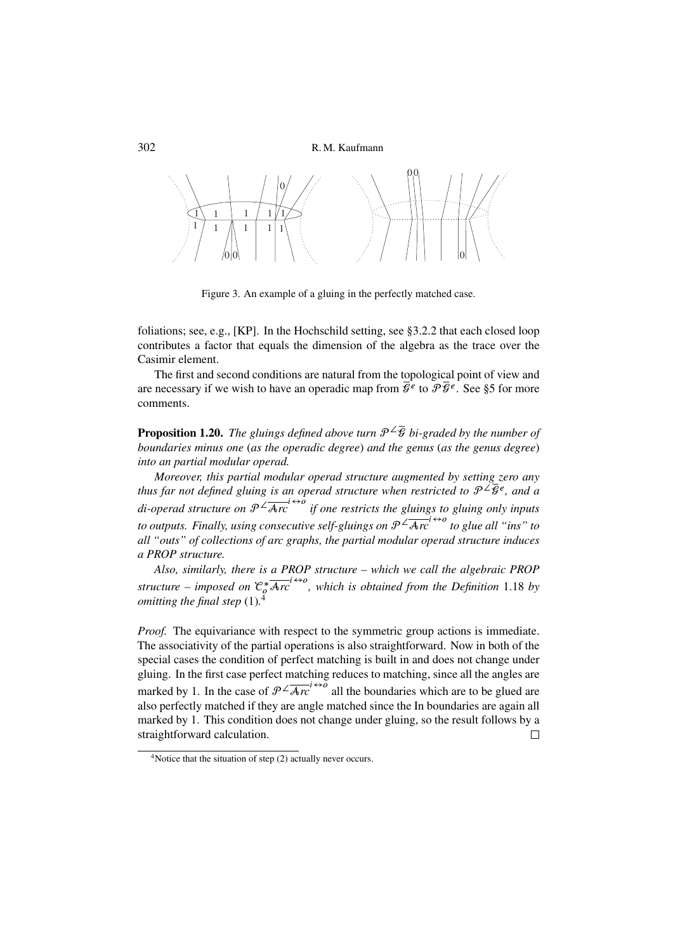<span id="page-19-0"></span>

Figure 3. An example of a gluing in the perfectly matched case.

foliations; see, e.g., [\[KP\]](#page-47-0). In the Hochschild setting, see  $\S$ 3.2.2 that each closed loop contributes a factor that equals the dimension of the algebra as the trace over the Casimir element.

The first and second conditions are natural from the topological point of view and are necessary if we wish to have an operadic map from  $\overline{\mathcal{G}}^e$  to  $\overline{\mathcal{P}}\overline{\mathcal{G}}^e$ . See [§5](#page-44-0) for more comments.

**Proposition 1.20.** *The gluings defined above turn*  $\mathcal{P}^{\angle} \overline{\mathcal{G}}$  *bi-graded by the number of boundaries minus one* (*as the operadic degree*) *and the genus* (*as the genus degree*) *into an partial modular operad.*

*Moreover, this partial modular operad structure augmented by setting zero any thus far not defined gluing is an operad structure when restricted to*  $\mathcal{P}^{\angle} \overline{\mathcal{G}}^e$ *, and a* di-operad structure on  $\mathcal{P}^{\angle}$ Arc<sup>hoor</sup> if one restricts the gluings to gluing only inputs *to outputs. Finally, using consecutive self-gluings on* P †A*rc* <sup>i</sup>\$<sup>o</sup> *to glue all "ins" to all "outs" of collections of arc graphs, the partial modular operad structure induces a PROP structure.*

*Also, similarly, there is a PROP structure – which we call the algebraic PROP* structure – imposed on  $\mathcal{C}_o^*$  Arc<sup>coro</sup>, which is obtained from the Definition [1.18](#page-18-0) by<br>omitting the final step (1)<sup>4</sup> *omitting the final step* (1)*.* 4

*Proof.* The equivariance with respect to the symmetric group actions is immediate. The associativity of the partial operations is also straightforward. Now in both of the special cases the condition of perfect matching is built in and does not change under gluing. In the first case perfect matching reduces to matching, since all the angles are marked by 1. In the case of  $\mathcal{P}^{\angle} Av^{\cdots}$  all the boundaries which are to be glued are also perfectly matched if they are angle matched since the In boundaries are again all marked by 1. This condition does not change under gluing, so the result follows by a straightforward calculation.  $\Box$ 

<sup>&</sup>lt;sup>4</sup>Notice that the situation of step (2) actually never occurs.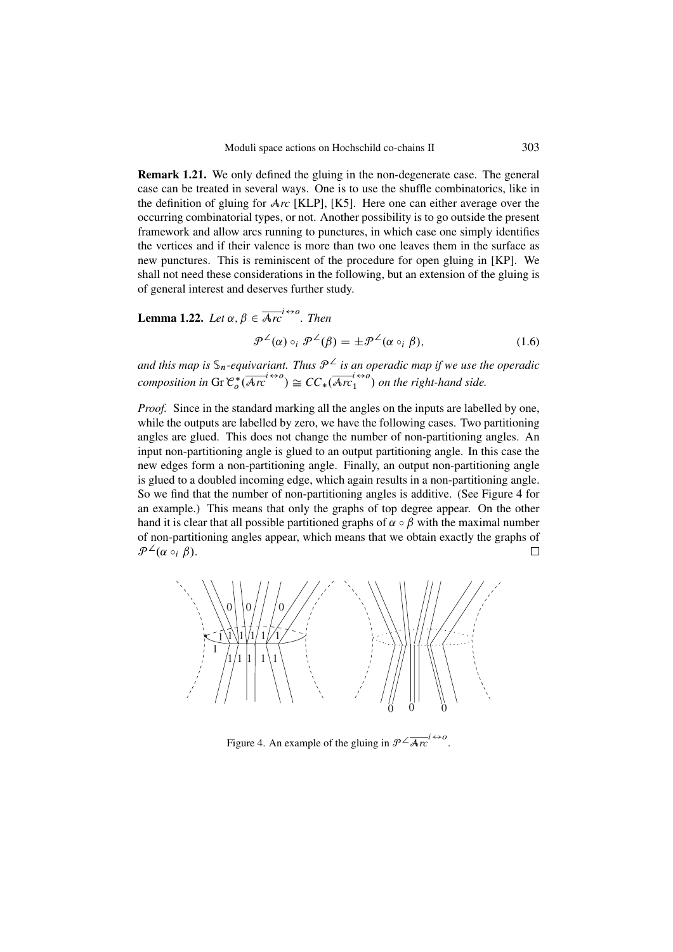<span id="page-20-0"></span>**Remark 1.21.** We only defined the gluing in the non-degenerate case. The general case can be treated in several ways. One is to use the shuffle combinatorics, like in the definition of gluing for A*rc* [\[KLP\]](#page-47-0), [\[K5\]](#page-47-0). Here one can either average over the occurring combinatorial types, or not. Another possibility is to go outside the present framework and allow arcs running to punctures, in which case one simply identifies the vertices and if their valence is more than two one leaves them in the surface as new punctures. This is reminiscent of the procedure for open gluing in [\[KP\]](#page-47-0). We shall not need these considerations in the following, but an extension of the gluing is of general interest and deserves further study.

# **Lemma 1.22.** *Let*  $\alpha, \beta \in Arc$  *Then*

$$
\mathcal{P}^{\angle}(\alpha) \circ_i \mathcal{P}^{\angle}(\beta) = \pm \mathcal{P}^{\angle}(\alpha \circ_i \beta), \tag{1.6}
$$

*and this map is*  $\mathcal{S}_n$ -equivariant. Thus  $\mathcal{P}^{\angle}$  *is an operadic map if we use the operadic composition in* Gr  $\mathcal{C}_o^*(\mathcal{A}r_c^{(1)}) \cong CC_*(\mathcal{A}r_c^{(1)})$  *on the right-hand side.* 

*Proof.* Since in the standard marking all the angles on the inputs are labelled by one, while the outputs are labelled by zero, we have the following cases. Two partitioning angles are glued. This does not change the number of non-partitioning angles. An input non-partitioning angle is glued to an output partitioning angle. In this case the new edges form a non-partitioning angle. Finally, an output non-partitioning angle is glued to a doubled incoming edge, which again results in a non-partitioning angle. So we find that the number of non-partitioning angles is additive. (See Figure 4 for an example.) This means that only the graphs of top degree appear. On the other hand it is clear that all possible partitioned graphs of  $\alpha \circ \beta$  with the maximal number of non-partitioning angles appear, which means that we obtain exactly the graphs of  $\mathcal{P}^{\angle}(\alpha \circ_i \beta)$ .  $\Box$ 



Figure 4. An example of the gluing in  $\mathcal{P}^{\angle} \overline{\mathcal{A}r} \overline{c}^{i \leftrightarrow o}$ .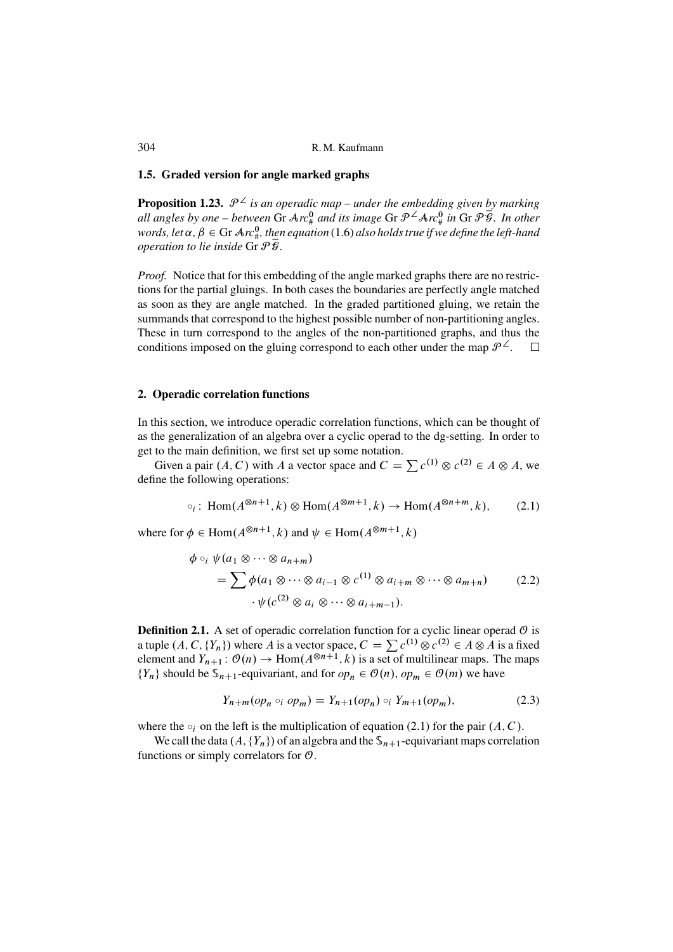#### **1.5. Graded version for angle marked graphs**

**Proposition 1.23.**  $\mathcal{P}^{\angle}$  *is an operadic map – under the embedding given by marking all angles by one – between* Gr A*rc*<sup>0</sup> # *and its image* Gr P †A*rc*<sup>0</sup> # *in* Gr <sup>P</sup> <sup>G</sup>x*. In other* words, let  $\alpha, \beta \in \mathrm{Gr\,}$  Arc $^0_\#$ , then equation [\(1.6\)](#page-20-0) also holds true if we define the left-hand<br>operation to lie inside  $\mathrm{Gr\,}$  P <del>T</del> *operation to lie inside* Gr  $\overline{\mathcal{P}}\overline{\mathcal{G}}$ .

*Proof.* Notice that for this embedding of the angle marked graphs there are no restrictions for the partial gluings. In both cases the boundaries are perfectly angle matched as soon as they are angle matched. In the graded partitioned gluing, we retain the summands that correspond to the highest possible number of non-partitioning angles. These in turn correspond to the angles of the non-partitioned graphs, and thus the conditions imposed on the gluing correspond to each other under the map  $\mathcal{P}^{\angle}$ .  $\Box$ 

#### **2. Operadic correlation functions**

In this section, we introduce operadic correlation functions, which can be thought of as the generalization of an algebra over a cyclic operad to the dg-setting. In order to get to the main definition, we first set up some notation.

Given a pair  $(A, C)$  with A a vector space and  $C = \sum_{i} c^{(1)} \otimes c^{(2)} \in A \otimes A$ , we define the following operations:

$$
\circ_i: \text{Hom}(A^{\otimes n+1}, k) \otimes \text{Hom}(A^{\otimes m+1}, k) \to \text{Hom}(A^{\otimes n+m}, k), \tag{2.1}
$$

where for  $\phi \in \text{Hom}(A^{\otimes n+1}, k)$  and  $\psi \in \text{Hom}(A^{\otimes m+1}, k)$ 

$$
\phi \circ_i \psi(a_1 \otimes \cdots \otimes a_{n+m})
$$
  
=  $\sum \phi(a_1 \otimes \cdots \otimes a_{i-1} \otimes c^{(1)} \otimes a_{i+m} \otimes \cdots \otimes a_{m+n})$  (2.2)  
 $\cdot \psi(c^{(2)} \otimes a_i \otimes \cdots \otimes a_{i+m-1}).$ 

**Definition 2.1.** A set of operadic correlation function for a cyclic linear operad  $\varnothing$  is a tuple  $(A, C, \{Y_n\})$  where A is a vector space,  $C = \sum_{i=1}^{n} c^{(1)} \otimes c^{(2)} \in A \otimes A$  is a fixed element and  $Y_{n+1}$ :  $\mathcal{O}(n) \to \text{Hom}(A^{\otimes n+1}, k)$  is a set of multilinear maps. The maps  ${Y_n}$  should be  $\mathcal{S}_{n+1}$ -equivariant, and for  $op_n \in \mathcal{O}(n)$ ,  $op_m \in \mathcal{O}(m)$  we have

$$
Y_{n+m}(op_n \circ_i op_m) = Y_{n+1}(op_n) \circ_i Y_{m+1}(op_m), \tag{2.3}
$$

where the  $\circ_i$  on the left is the multiplication of equation (2.1) for the pair  $(A, C)$ .

We call the data  $(A, \{Y_n\})$  of an algebra and the  $\mathcal{S}_{n+1}$ -equivariant maps correlation functions or simply correlators for O.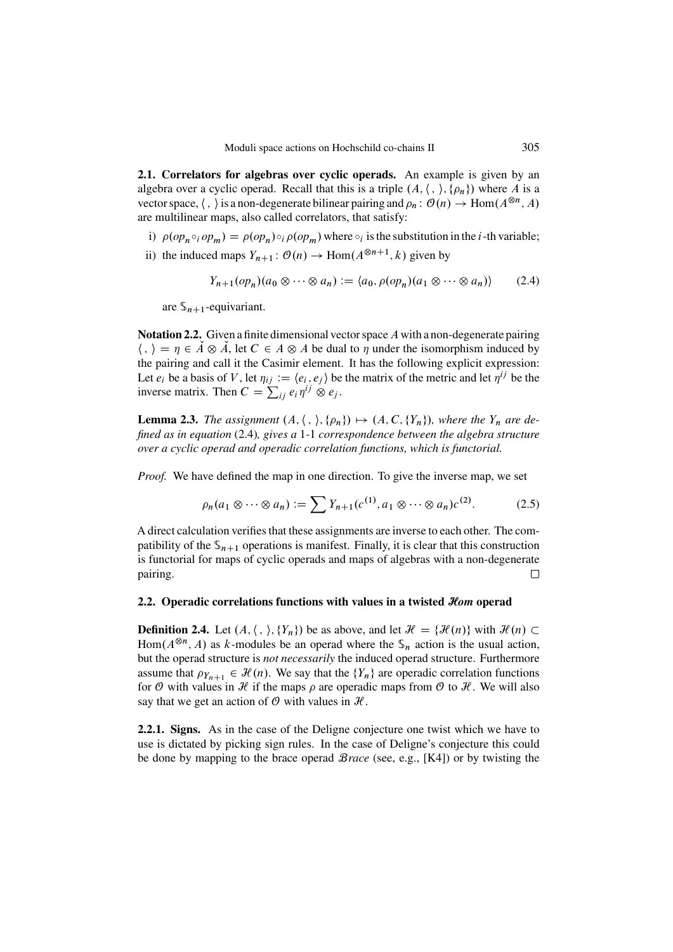**2.1. Correlators for algebras over cyclic operads.** An example is given by an algebra over a cyclic operad. Recall that this is a triple  $(A, \langle , \rangle, \{\rho_n\})$  where A is a vector space,  $\langle , \rangle$  is a non-degenerate bilinear pairing and  $\rho_n : \mathcal{O}(n) \to \text{Hom}(A^{\otimes n}, A)$ are multilinear maps, also called correlators, that satisfy:

- i)  $\rho(op_n \circ_i op_m) = \rho(op_n) \circ_i \rho(op_m)$  where  $\circ_i$  is the substitution in the *i*-th variable;
- ii) the induced maps  $Y_{n+1}$ :  $\mathcal{O}(n) \rightarrow \text{Hom}(A^{\otimes n+1}, k)$  given by

$$
Y_{n+1}(op_n)(a_0 \otimes \cdots \otimes a_n) := \langle a_0, \rho(op_n)(a_1 \otimes \cdots \otimes a_n) \rangle \tag{2.4}
$$

are  $\mathbb{S}_{n+1}$ -equivariant.

**Notation 2.2.** Given a finite dimensional vector space A with a non-degenerate pairing  $\langle , \rangle = \eta \in \dot{A} \otimes \dot{A}$ , let  $C \in A \otimes A$  be dual to  $\eta$  under the isomorphism induced by the pairing and call it the Casimir element. It has the following explicit expression: Let  $e_i$  be a basis of V, let  $\eta_{ij} := \langle e_i, e_j \rangle$  be the matrix of the metric and let  $\eta^{ij}$  be the inverse matrix. Then  $C = \sum_{ij} e_i \eta^{ij} \otimes e_j$ .

**Lemma 2.3.** *The assignment*  $(A, \langle , \rangle, \{\rho_n\}) \mapsto (A, C, \{Y_n\})$ *, where the*  $Y_n$  *are defined as in equation* (2.4)*, gives a* 1*-*1 *correspondence between the algebra structure over a cyclic operad and operadic correlation functions, which is functorial.*

*Proof.* We have defined the map in one direction. To give the inverse map, we set

$$
\rho_n(a_1 \otimes \cdots \otimes a_n) := \sum Y_{n+1}(c^{(1)}, a_1 \otimes \cdots \otimes a_n)c^{(2)}.
$$
 (2.5)

A direct calculation verifies that these assignments are inverse to each other. The compatibility of the  $\mathcal{S}_{n+1}$  operations is manifest. Finally, it is clear that this construction is functorial for maps of cyclic operads and maps of algebras with a non-degenerate pairing.  $\overline{\phantom{a}}$ 

#### **2.2. Operadic correlations functions with values in a twisted** H*om* **operad**

**Definition 2.4.** Let  $(A, \langle , \rangle, \{Y_n\})$  be as above, and let  $\mathcal{H} = \{ \mathcal{H}(n) \}$  with  $\mathcal{H}(n) \subset$ Hom $(A^{\otimes n}, A)$  as k-modules be an operad where the  $\mathcal{S}_n$  action is the usual action, but the operad structure is *not necessarily* the induced operad structure. Furthermore assume that  $\rho_{Y_{n+1}} \in \mathcal{H}(n)$ . We say that the  $\{Y_n\}$  are operadic correlation functions for  $\Theta$  with values in  $\mathcal H$  if the maps  $\rho$  are operadic maps from  $\Theta$  to  $\mathcal H$ . We will also say that we get an action of  $\Theta$  with values in  $\mathcal{H}$ .

**2.2.1. Signs.** As in the case of the Deligne conjecture one twist which we have to use is dictated by picking sign rules. In the case of Deligne's conjecture this could be done by mapping to the brace operad B*race* (see, e.g., [\[K4\]](#page-47-0)) or by twisting the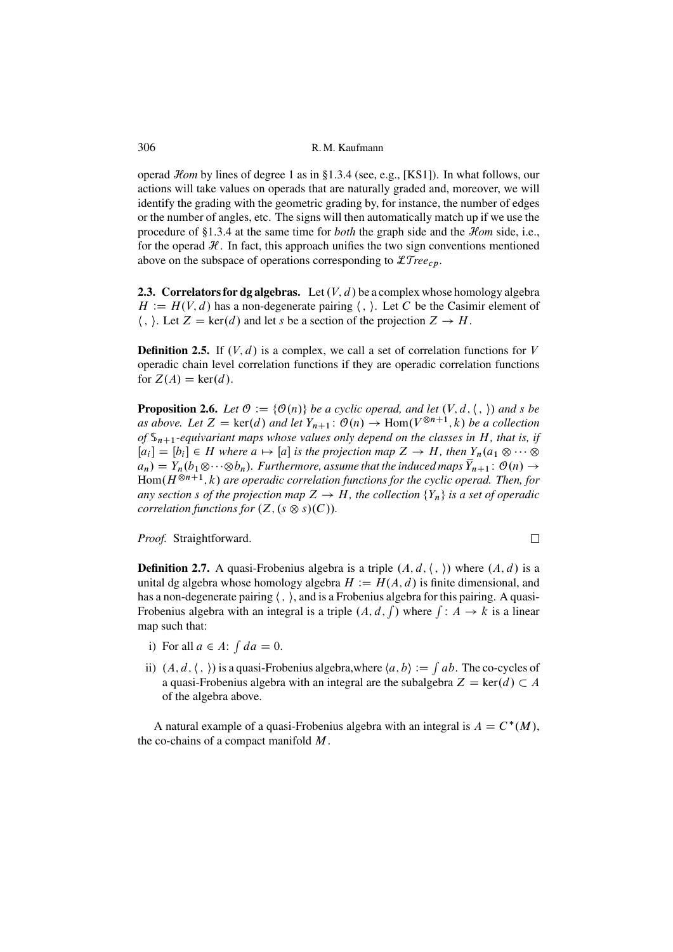<span id="page-23-0"></span>operad H*om* by lines of degree 1 as in [§1.3.4](#page-12-0) (see, e.g., [\[KS1\]](#page-47-0)). In what follows, our actions will take values on operads that are naturally graded and, moreover, we will identify the grading with the geometric grading by, for instance, the number of edges or the number of angles, etc. The signs will then automatically match up if we use the procedure of [§1.3.4](#page-12-0) at the same time for *both* the graph side and the H*om* side, i.e., for the operad  $H$ . In fact, this approach unifies the two sign conventions mentioned above on the subspace of operations corresponding to  $\mathscr{LT}$ *ree*<sub>cp</sub>.

**2.3. Correlators for dg algebras.** Let  $(V, d)$  be a complex whose homology algebra  $H := H(V, d)$  has a non-degenerate pairing  $\langle , \rangle$ . Let C be the Casimir element of  $\langle , \rangle$ . Let  $Z = \text{ker}(d)$  and let s be a section of the projection  $Z \to H$ .

**Definition 2.5.** If  $(V, d)$  is a complex, we call a set of correlation functions for V operadic chain level correlation functions if they are operadic correlation functions for  $Z(A) = \text{ker}(d)$ .

**Proposition 2.6.** *Let*  $\Theta := \{ \Theta(n) \}$  *be a cyclic operad, and let*  $(V, d, \langle , \rangle)$  *and s be as above. Let*  $Z = \text{ker}(d)$  *and let*  $Y_{n+1}$ :  $\mathcal{O}(n) \rightarrow \text{Hom}(V^{\otimes n+1}, k)$  *be a collection of*  $\mathcal{S}_{n+1}$ -equivariant maps whose values only depend on the classes in H, that is, if  $[a_i] = [b_i] \in H$  where  $a \mapsto [a]$  is the projection map  $Z \to H$ , then  $Y_n(a_1 \otimes \cdots \otimes$  $a_n = Y_n(b_1 \otimes \cdots \otimes b_n)$ . Furthermore, assume that the induced maps  $\overline{Y}_{n+1}$ :  $\mathcal{O}(n) \rightarrow$  $Hom(H^{\otimes n+1}, k)$  are operadic correlation functions for the cyclic operad. Then, for *any section s of the projection map*  $Z \rightarrow H$ *, the collection*  $\{Y_n\}$  *is a set of operadic correlation functions for*  $(Z, (s \otimes s)(C))$ *.* 

*Proof.* Straightforward.

**Definition 2.7.** A quasi-Frobenius algebra is a triple  $(A, d, \langle , \rangle)$  where  $(A, d)$  is a unital dg algebra whose homology algebra  $H := H(A, d)$  is finite dimensional, and has a non-degenerate pairing  $\langle , \rangle$ , and is a Frobenius algebra for this pairing. A quasi-Frobenius algebra with an integral is a triple  $(A, d, \int)$  where  $\int : A \to k$  is a linear man such that: map such that:

- i) For all  $a \in A$ :  $\int da = 0$ .
- ii)  $(A, d, \langle , \rangle)$  is a quasi-Frobenius algebra, where  $\langle a, b \rangle := \int ab$ . The co-cycles of a quasi-Frobenius algebra with an integral are the subalgebra  $Z = \text{ker}(d) \subset A$ of the algebra above.

A natural example of a quasi-Frobenius algebra with an integral is  $A = C^*(M)$ ,<br>co-chains of a compact manifold M the co-chains of a compact manifold  $M$ .

 $\Box$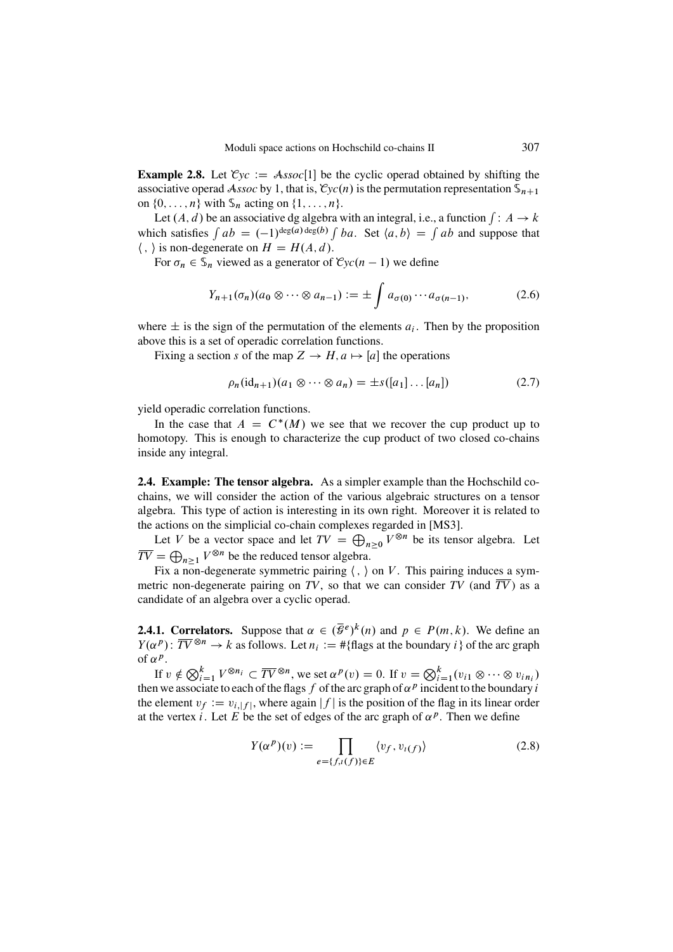<span id="page-24-0"></span>**Example 2.8.** Let  $\mathcal{C}_{\mathcal{V}C} := \mathcal{A}_{\mathcal{S}}\mathcal{S}_{\mathcal{O}}[1]$  be the cyclic operad obtained by shifting the associative operad Assoc by 1, that is,  $\mathcal{C}yc(n)$  is the permutation representation  $\mathcal{S}_{n+1}$ on  $\{0, \ldots, n\}$  with  $\mathcal{S}_n$  acting on  $\{1, \ldots, n\}$ .

Let  $(A, d)$  be an associative dg algebra with an integral, i.e., a function  $\int : A \to k$ <br>ch satisfies  $\int gh = (-1)^{\deg(a) \deg(b)} \int h a$ . Set  $\{a, b\} = \int ah$  and suppose that which satisfies  $\int ab = (-1)^{\deg(a) \deg(b)} \int ba$ . Set  $\langle a, b \rangle = \int ab$  and suppose that  $\langle \cdot \rangle$  is non-degenerate on  $H = H(A, d)$  $\langle , \rangle$  is non-degenerate on  $H = H(A, d)$ .

For  $\sigma_n \in \mathcal{S}_n$  viewed as a generator of  $\mathcal{C}yc(n-1)$  we define

$$
Y_{n+1}(\sigma_n)(a_0 \otimes \cdots \otimes a_{n-1}) := \pm \int a_{\sigma(0)} \cdots a_{\sigma(n-1)},
$$
 (2.6)

where  $\pm$  is the sign of the permutation of the elements  $a_i$ . Then by the proposition above this is a set of operadic correlation functions.

Fixing a section s of the map  $Z \to H$ ,  $a \mapsto [a]$  the operations

$$
\rho_n(\mathrm{id}_{n+1})(a_1 \otimes \cdots \otimes a_n) = \pm s([a_1] \dots [a_n]) \tag{2.7}
$$

yield operadic correlation functions.

In the case that  $A = C^*(M)$  we see that we recover the cup product up to notony. This is enough to characterize the cup product of two closed co-chains homotopy. This is enough to characterize the cup product of two closed co-chains inside any integral.

**2.4. Example: The tensor algebra.** As a simpler example than the Hochschild cochains, we will consider the action of the various algebraic structures on a tensor algebra. This type of action is interesting in its own right. Moreover it is related to the actions on the simplicial co-chain complexes regarded in [\[MS3\]](#page-48-0).

Let V be a vector space and let  $TV = \bigoplus_{n \geq 0} V^{\otimes n}$  be its tensor algebra. Let  $-\bigoplus_{V \otimes n} V^{\otimes n}$  be the reduced tensor algebra.  $TV = \bigoplus_{n \geq 1} V^{\otimes n}$  be the reduced tensor algebra.

Fix a non-degenerate symmetric pairing  $\langle , \rangle$  on V. This pairing induces a symmetric non-degenerate pairing on TV, so that we can consider TV (and  $\overline{TV}$ ) as a candidate of an algebra over a cyclic operad.

**2.4.1. Correlators.** Suppose that  $\alpha \in (\mathcal{G}^e)^k(n)$  and  $p \in P(m, k)$ . We define an  $Y(\alpha^p) \cdot \overline{TV}^{\otimes n} \to k$  as follows. Let  $n_i := #$  these at the boundary i k of the arc graph  $Y(\alpha^p)$ :  $TV^{\otimes n} \to k$  as follows. Let  $n_i := #{\text{flags at the boundary } i}$  of the arc graph of  $\alpha^p$ of  $\alpha^p$ .

If  $v \notin \bigotimes_{i=1}^k V^{\otimes n_i} \subset TV^{\otimes n}$ , we set  $\alpha^p(v) = 0$ . If  $v = \bigotimes_{i=1}^k (v_{i1} \otimes \cdots \otimes v_{in_i})$ <br>is we associate to each of the flags f of the arc graph of  $\alpha^p$  incident to the boundary i then we associate to each of the flags f of the arc graph of  $\alpha^p$  incident to the boundary i the element  $v_f := v_{i,j} f_j$ , where again  $|f|$  is the position of the flag in its linear order at the vertex i. Let E be the set of edges of the arc graph of  $\alpha^p$ . Then we define

$$
Y(\alpha^p)(v) := \prod_{e=\{f,\iota(f)\}\in E} \langle v_f, v_{\iota(f)} \rangle \tag{2.8}
$$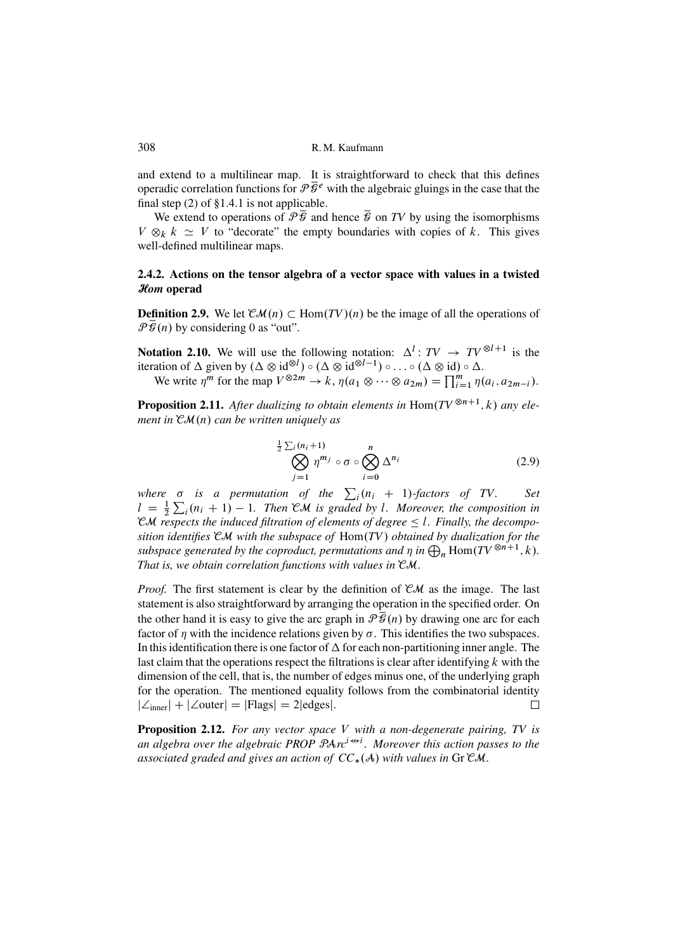<span id="page-25-0"></span>and extend to a multilinear map. It is straightforward to check that this defines operadic correlation functions for  $\mathcal{P}\overline{\mathcal{G}}^e$  with the algebraic gluings in the case that the final step  $(2)$  of [§1.4.1](#page-13-0) is not applicable.

We extend to operations of  $\overline{\mathcal{P}}\overline{\mathcal{G}}$  and hence  $\overline{\mathcal{G}}$  on *TV* by using the isomorphisms  $V \otimes_k k \simeq V$  to "decorate" the empty boundaries with copies of k. This gives well-defined multilinear maps.

# **2.4.2. Actions on the tensor algebra of a vector space with values in a twisted** H*om* **operad**

**Definition 2.9.** We let  $\mathcal{CM}(n) \subset \text{Hom}(TV)(n)$  be the image of all the operations of  $\mathcal{P}\mathcal{G}(n)$  by considering 0 as "out".

**Notation 2.10.** We will use the following notation:  $\Delta^l: TV \to TV^{\otimes l+1}$  is the interation of  $\Delta$  given by  $(\Delta \otimes id^{\otimes l}) \circ (\Delta \otimes id^{\otimes l-1}) \circ \cdots \circ (\Delta \otimes id) \circ \Delta$ iteration of  $\Delta$  given by  $(\Delta \otimes id^{\otimes l}) \circ (\Delta \otimes id^{\otimes l-1}) \circ \ldots \circ (\Delta \otimes id) \circ \Delta$ .  $(\Delta \otimes id^{\otimes l}) \circ (\Delta \otimes id^{\otimes l-1}) \circ \ldots \circ (\Delta \otimes id) \circ \Delta$ <br>man  $V^{\otimes 2m} \to k^- n(a, \otimes \ldots \otimes a_{2m}) = \prod_{m=1}^m n$ 

We write  $\eta^m$  for the map  $V^{\otimes 2m} \to k$ ,  $\eta(a_1 \otimes \cdots \otimes a_{2m}) = \prod_{i=1}^m \eta(a_i, a_{2m-i}).$ 

**Proposition 2.11.** After dualizing to obtain elements in Hom $(TV^{\otimes n+1}, k)$  any ele*ment in*  $\mathcal{CM}(n)$  *can be written uniquely as* 

$$
\bigotimes_{j=1}^{\frac{1}{2}\sum_{i}(n_i+1)} \eta^{m_j} \circ \sigma \circ \bigotimes_{i=0}^{n} \Delta^{n_i}
$$
 (2.9)

where  $\sigma$  is a permutation of the  $\sum_i (n_i)$  $i_{i}$ ( $n_{i}$  + 1)-factors of TV. Set<br>d by l Moreover the composition in  $l = \frac{1}{2} \sum_i (n_i + 1) - 1$ . Then CM is graded by l. Moreover, the composition in<br>CM respects the induced filtration of elements of degree  $\leq l$  Finally, the decompo- $CM$  *respects the induced filtration of elements of degree*  $\leq$  *l. Finally, the decompo-*<br>sition identifies  $\mathcal{C}M$  with the subspace of Hom(TV) obtained by dualization for the *sition identifies* CM *with the subspace of* Hom.*TV* / *obtained by dualization for the* subspace generated by the coproduct, permutations and  $\eta$  in  $\bigoplus_n$  Hom $(TV^{\otimes n+1}, k)$ *.*<br>That is we obtain correlation functions with values in  $\mathcal{C}$  M *That is, we obtain correlation functions with values in* CM*.*

*Proof.* The first statement is clear by the definition of  $CM$  as the image. The last statement is also straightforward by arranging the operation in the specified order. On the other hand it is easy to give the arc graph in  $\mathcal{P}\overline{\mathcal{G}}(n)$  by drawing one arc for each factor of  $\eta$  with the incidence relations given by  $\sigma$ . This identifies the two subspaces. In this identification there is one factor of  $\Delta$  for each non-partitioning inner angle. The last claim that the operations respect the filtrations is clear after identifying  $k$  with the dimension of the cell, that is, the number of edges minus one, of the underlying graph for the operation. The mentioned equality follows from the combinatorial identity  $|\angle$ <sub>inner</sub> $|+|\angle$ outer $|=$  |Flags $|=$  2 $|$ edges $|$ .  $\Box$ 

**Proposition 2.12.** *For any vector space* V *with a non-degenerate pairing, TV is an algebra over the algebraic PROP* PA*rc*i½<sup>i</sup> *. Moreover this action passes to the associated graded and gives an action of CC*-.A/ *with values in* Gr CM*.*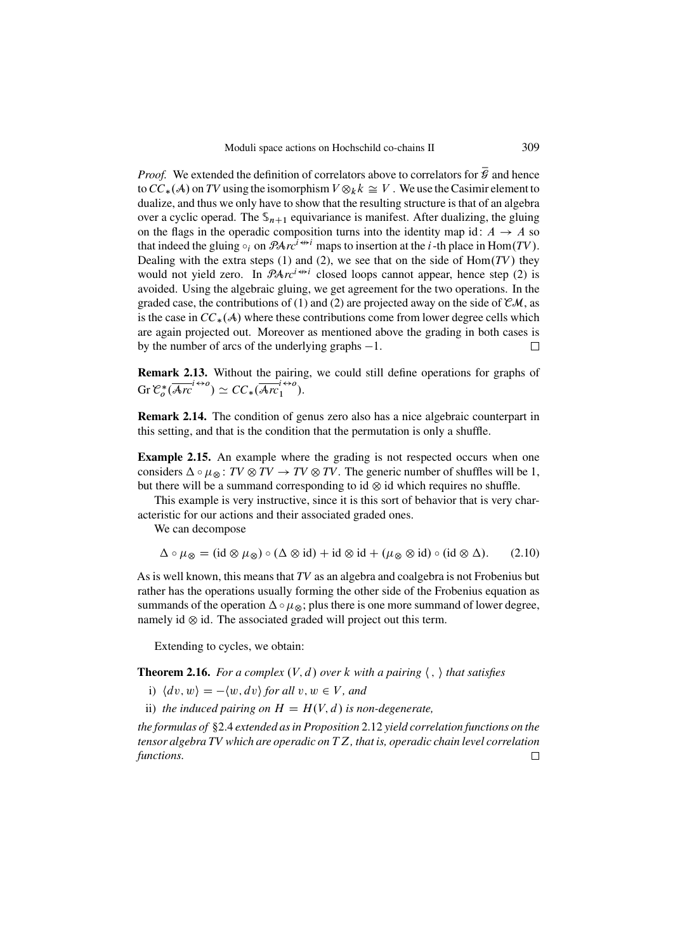*Proof.* We extended the definition of correlators above to correlators for  $\overline{g}$  and hence to  $CC_*({\cal A})$  on *TV* using the isomorphism  $V \otimes_k k \cong V$ . We use the Casimir element to chalize and thus we only have to show that the resulting structure is that of an algebra dualize, and thus we only have to show that the resulting structure is that of an algebra over a cyclic operad. The  $\mathcal{S}_{n+1}$  equivariance is manifest. After dualizing, the gluing on the flags in the operadic composition turns into the identity map id:  $A \rightarrow A$  so that indeed the gluing  $\circ_i$  on  $\mathcal{P} \mathcal{A} r c^{i \leftrightarrow i}$  maps to insertion at the *i*-th place in Hom $(TV)$ . Dealing with the extra steps  $(1)$  and  $(2)$ , we see that on the side of  $Hom(TV)$  they would not yield zero. In  $\mathcal{P}Ar^{i \leftrightarrow i}$  closed loops cannot appear, hence step (2) is avoided. Using the algebraic gluing, we get agreement for the two operations. In the graded case, the contributions of (1) and (2) are projected away on the side of  $\mathcal{CM}$ , as is the case in  $CC_*(A)$  where these contributions come from lower degree cells which<br>are again projected out. Moreover as montioned above the grading in both eases is are again projected out. Moreover as mentioned above the grading in both cases is by the number of arcs of the underlying graphs  $-1$ .  $\Box$ 

**Remark 2.13.** Without the pairing, we could still define operations for graphs of Gr  $\mathcal{C}_o^*(\mathcal{A}r\mathcal{C}^{\cdots}) \simeq CC_*(\mathcal{A}r\mathcal{C}_1^{\cdots}).$ 

**Remark 2.14.** The condition of genus zero also has a nice algebraic counterpart in this setting, and that is the condition that the permutation is only a shuffle.

**Example 2.15.** An example where the grading is not respected occurs when one considers  $\Delta \circ \mu_{\otimes} \colon TV \otimes TV \to TV \otimes TV$ . The generic number of shuffles will be 1, but there will be a summand corresponding to id  $\otimes$  id which requires no shuffle but there will be a summand corresponding to id  $\otimes$  id which requires no shuffle.

This example is very instructive, since it is this sort of behavior that is very characteristic for our actions and their associated graded ones.

We can decompose

$$
\Delta \circ \mu_{\otimes} = (\mathrm{id} \otimes \mu_{\otimes}) \circ (\Delta \otimes \mathrm{id}) + \mathrm{id} \otimes \mathrm{id} + (\mu_{\otimes} \otimes \mathrm{id}) \circ (\mathrm{id} \otimes \Delta). \tag{2.10}
$$

As is well known, this means that *TV* as an algebra and coalgebra is not Frobenius but rather has the operations usually forming the other side of the Frobenius equation as summands of the operation  $\Delta \circ \mu_{\otimes}$ ; plus there is one more summand of lower degree,<br>namely id  $\otimes$  id. The associated graded will project out this term namely id  $\otimes$  id. The associated graded will project out this term.

Extending to cycles, we obtain:

**Theorem 2.16.** *For a complex*  $(V, d)$  *over* k *with a pairing*  $\langle \, , \, \rangle$  *that satisfies* 

- i)  $\langle dv, w \rangle = -\langle w, dv \rangle$  *for all*  $v, w \in V$ *, and*
- ii) *the induced pairing on*  $H = H(V, d)$  *is non-degenerate,*

*the formulas of* [§2.4](#page-24-0) *extended as in Proposition* [2.12](#page-25-0) *yield correlation functions on the tensor algebra TV which are operadic on* T Z*, that is, operadic chain level correlation functions.* $\Box$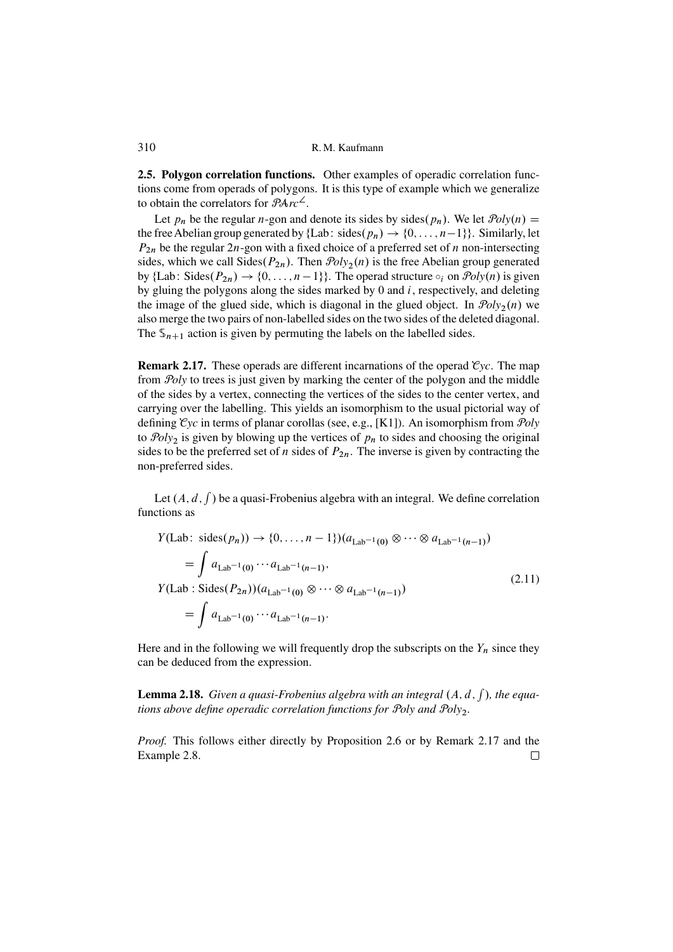<span id="page-27-0"></span>**2.5. Polygon correlation functions.** Other examples of operadic correlation functions come from operads of polygons. It is this type of example which we generalize to obtain the correlators for  $\mathcal{P}Arc^2$ .

Let  $p_n$  be the regular *n*-gon and denote its sides by sides  $(p_n)$ . We let  $\mathcal{P}oly(n) =$ the free Abelian group generated by {Lab: sides $(p_n) \rightarrow \{0, \ldots, n-1\}$ }. Similarly, let  $P_{2n}$  be the regular 2*n*-gon with a fixed choice of a preferred set of *n* non-intersecting  $P_{2n}$  be the regular 2n-gon with a fixed choice of a preferred set of n non-intersecting sides, which we call Sides $(P_{2n})$ . Then  $\mathcal{P}oly_2(n)$  is the free Abelian group generated by {Lab: Sides $(P_{2n}) \rightarrow \{0, \ldots, n-1\}$ }. The operad structure  $\circ_i$  on  $\mathcal{P}oly(n)$  is given<br>by gluing the polygons along the sides marked by 0 and *i* respectively and deleting by gluing the polygons along the sides marked by  $0$  and  $i$ , respectively, and deleting the image of the glued side, which is diagonal in the glued object. In  $\mathcal{P}oly_2(n)$  we also merge the two pairs of non-labelled sides on the two sides of the deleted diagonal. The  $\mathcal{S}_{n+1}$  action is given by permuting the labels on the labelled sides.

**Remark 2.17.** These operads are different incarnations of the operad  $\mathcal{C}_{\mathcal{V}\mathcal{C}}$ . The map from P*oly* to trees is just given by marking the center of the polygon and the middle of the sides by a vertex, connecting the vertices of the sides to the center vertex, and carrying over the labelling. This yields an isomorphism to the usual pictorial way of defining C*yc* in terms of planar corollas (see, e.g., [\[K1\]](#page-47-0)). An isomorphism from P*oly* to  $Poly_2$  is given by blowing up the vertices of  $p_n$  to sides and choosing the original sides to be the preferred set of n sides of  $P_{2n}$ . The inverse is given by contracting the non-preferred sides.

Let  $(A, d, f)$  be a quasi-Frobenius algebra with an integral. We define correlation functions as

$$
Y(\text{Lab: sides}(p_n)) \to \{0, \dots, n-1\}(a_{\text{Lab}^{-1}(0)} \otimes \dots \otimes a_{\text{Lab}^{-1}(n-1)})
$$
  
=  $\int a_{\text{Lab}^{-1}(0)} \dots a_{\text{Lab}^{-1}(n-1)},$   

$$
Y(\text{Lab: Sides}(P_{2n}))(a_{\text{Lab}^{-1}(0)} \otimes \dots \otimes a_{\text{Lab}^{-1}(n-1)})
$$
  
=  $\int a_{\text{Lab}^{-1}(0)} \dots a_{\text{Lab}^{-1}(n-1)}.$  (2.11)

Here and in the following we will frequently drop the subscripts on the  $Y_n$  since they can be deduced from the expression.

**Lemma 2.18.** Given a quasi-Frobenius algebra with an integral  $(A, d, \int)$ , the equa*tions above define operadic correlation functions for* <sup>P</sup>*oly and* <sup>P</sup>*oly*2*.*

*Proof.* This follows either directly by Proposition [2.6](#page-23-0) or by Remark 2.17 and the Example [2.8.](#page-23-0) $\Box$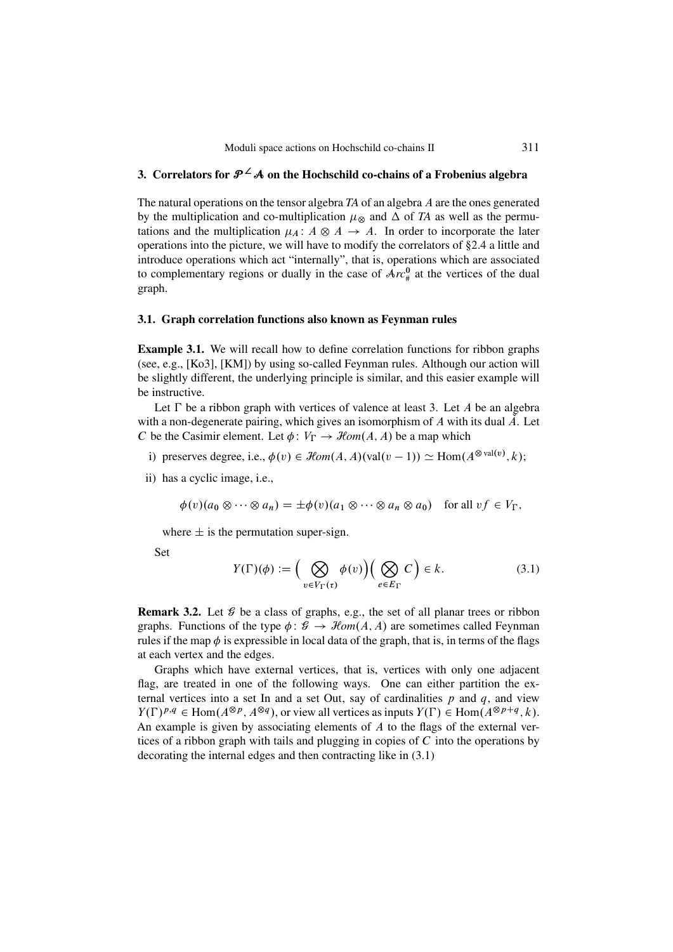# <span id="page-28-0"></span>**3.** Correlators for  $P^{\perp}$  **A** on the Hochschild co-chains of a Frobenius algebra

The natural operations on the tensor algebra *TA* of an algebra A are the ones generated by the multiplication and co-multiplication  $\mu_{\otimes}$  and  $\Delta$  of *TA* as well as the permutations and the multiplication  $\mu_{\otimes}$  *A*  $\Delta_{\otimes}$  *A*  $\Delta_{\otimes}$  *A*  $\Delta_{\otimes}$  *A*  $\Delta_{\otimes}$  *A*  $\Delta_{\otimes}$  *A*  $\Delta_{\otimes}$  *A* tations and the multiplication  $\mu_A : A \otimes A \rightarrow A$ . In order to incorporate the later operations into the picture, we will have to modify the correlators of [§2.4](#page-24-0) a little and introduce operations which act "internally", that is, operations which are associated to complementary regions or dually in the case of  $Arc_{\#}^0$  at the vertices of the dual graph.

#### **3.1. Graph correlation functions also known as Feynman rules**

**Example 3.1.** We will recall how to define correlation functions for ribbon graphs (see, e.g., [\[Ko3\]](#page-47-0), [\[KM\]](#page-47-0)) by using so-called Feynman rules. Although our action will be slightly different, the underlying principle is similar, and this easier example will be instructive.

Let  $\Gamma$  be a ribbon graph with vertices of valence at least 3. Let  $A$  be an algebra with a non-degenerate pairing, which gives an isomorphism of A with its dual  $\AA$ . Let C be the Casimir element. Let  $\phi: V_{\Gamma} \to \mathcal{H}om(A, A)$  be a map which

- i) preserves degree, i.e.,  $\phi(v) \in \mathcal{H}om(A, A)(val(v 1)) \simeq \text{Hom}(A^{\otimes \text{val}(v)}, k);$
- ii) has a cyclic image, i.e.,

$$
\phi(v)(a_0 \otimes \cdots \otimes a_n) = \pm \phi(v)(a_1 \otimes \cdots \otimes a_n \otimes a_0) \text{ for all } vf \in V_{\Gamma},
$$

where  $\pm$  is the permutation super-sign.

Set

$$
Y(\Gamma)(\phi) := \Big(\bigotimes_{v \in V_{\Gamma}(\tau)} \phi(v)\Big) \Big(\bigotimes_{e \in E_{\Gamma}} C\Big) \in k. \tag{3.1}
$$

**Remark 3.2.** Let  $\mathcal{G}$  be a class of graphs, e.g., the set of all planar trees or ribbon graphs. Functions of the type  $\phi : \mathcal{G} \to \mathcal{H}om(A, A)$  are sometimes called Feynman rules if the map  $\phi$  is expressible in local data of the graph, that is, in terms of the flags at each vertex and the edges.

Graphs which have external vertices, that is, vertices with only one adjacent flag, are treated in one of the following ways. One can either partition the external vertices into a set In and a set Out, say of cardinalities  $p$  and  $q$ , and view  $Y(\Gamma)^{p,q} \in \text{Hom}(A^{\otimes p}, A^{\otimes q})$ , or view all vertices as inputs  $Y(\Gamma) \in \text{Hom}(A^{\otimes p+q}, k)$ .<br>An example is given by associating elements of A to the flags of the external ver-An example is given by associating elements of  $A$  to the flags of the external vertices of a ribbon graph with tails and plugging in copies of  $C$  into the operations by decorating the internal edges and then contracting like in (3.1)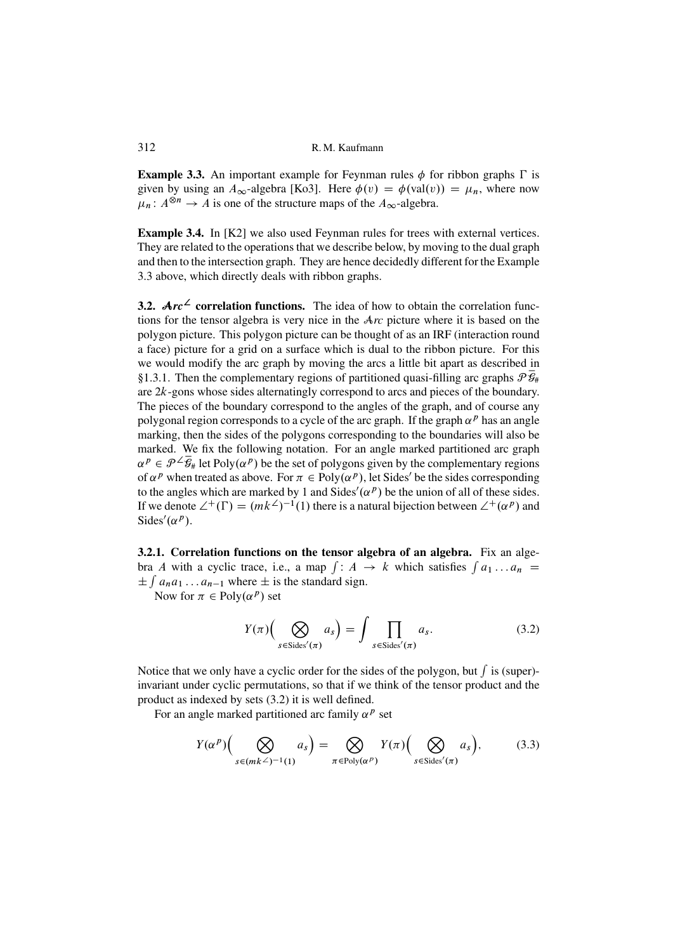<span id="page-29-0"></span>**Example 3.3.** An important example for Feynman rules  $\phi$  for ribbon graphs  $\Gamma$  is given by using an  $A_{\infty}$ -algebra [\[Ko3\]](#page-47-0). Here  $\phi(v) = \phi(\text{val}(v)) = \mu_n$ , where now  $\mu_n$ :  $A^{\otimes n} \to A$  is one of the structure maps of the  $A_{\infty}$ -algebra.

**Example 3.4.** In [\[K2\]](#page-47-0) we also used Feynman rules for trees with external vertices. They are related to the operations that we describe below, by moving to the dual graph and then to the intersection graph. They are hence decidedly different for the Example [3.3](#page-28-0) above, which directly deals with ribbon graphs.

**3.2.**  $Arc^2$  **correlation functions.** The idea of how to obtain the correlation functions for the tensor algebra is very nice in the A*rc* picture where it is based on the polygon picture. This polygon picture can be thought of as an IRF (interaction round a face) picture for a grid on a surface which is dual to the ribbon picture. For this we would modify the arc graph by moving the arcs a little bit apart as described in [§1.3.1.](#page-11-0) Then the complementary regions of partitioned quasi-filling arc graphs  $\mathcal{P}\overline{\mathcal{G}}_{\#}$ are  $2k$ -gons whose sides alternatingly correspond to arcs and pieces of the boundary. The pieces of the boundary correspond to the angles of the graph, and of course any polygonal region corresponds to a cycle of the arc graph. If the graph  $\alpha^p$  has an angle marking, then the sides of the polygons corresponding to the boundaries will also be marked. We fix the following notation. For an angle marked partitioned arc graph  $\alpha^p \in \mathcal{P}^{\angle} \overline{\mathcal{G}}_{\#}$  let Poly $(\alpha^p)$  be the set of polygons given by the complementary regions of  $\alpha^p$  when treated as above. For  $\pi \in \text{Poly}(\alpha^p)$ , let Sides' be the sides corresponding to the angles which are marked by 1 and  $Sides'(\alpha^p)$  be the union of all of these sides. If we denote  $\angle^+(\Gamma) = (mk^{\angle})^{-1}(1)$  there is a natural bijection between  $\angle^+(\alpha^p)$  and  $\text{Sides}'(\alpha^p)$ Sides' $(\alpha^p)$ .

**3.2.1. Correlation functions on the tensor algebra of an algebra.** Fix an algebra A with a cyclic trace, i.e., a map  $\int : A \to k$  which satisfies  $\int a_1 \dots a_n =$ <br>+  $\int a_n a_1 \dots a_{n-1}$  where + is the standard sign  $\pm \int a_n a_1 \dots a_{n-1}$  where  $\pm$  is the standard sign.

Now for  $\pi \in \text{Poly}(\alpha^p)$  set

$$
Y(\pi)\Big(\bigotimes_{s \in \text{Sides}'(\pi)} a_s\Big) = \int \prod_{s \in \text{Sides}'(\pi)} a_s. \tag{3.2}
$$

Notice that we only have a cyclic order for the sides of the polygon, but  $\int$  is (super)invariant under cyclic permutations, so that if we think of the tensor product and the product as indexed by sets (3.2) it is well defined.

For an angle marked partitioned arc family  $\alpha^p$  set

$$
Y(\alpha^p) \Big( \bigotimes_{s \in (mk^\angle)^{-1}(1)} a_s \Big) = \bigotimes_{\pi \in \text{Poly}(\alpha^p)} Y(\pi) \Big( \bigotimes_{s \in \text{Sides}'(\pi)} a_s \Big), \tag{3.3}
$$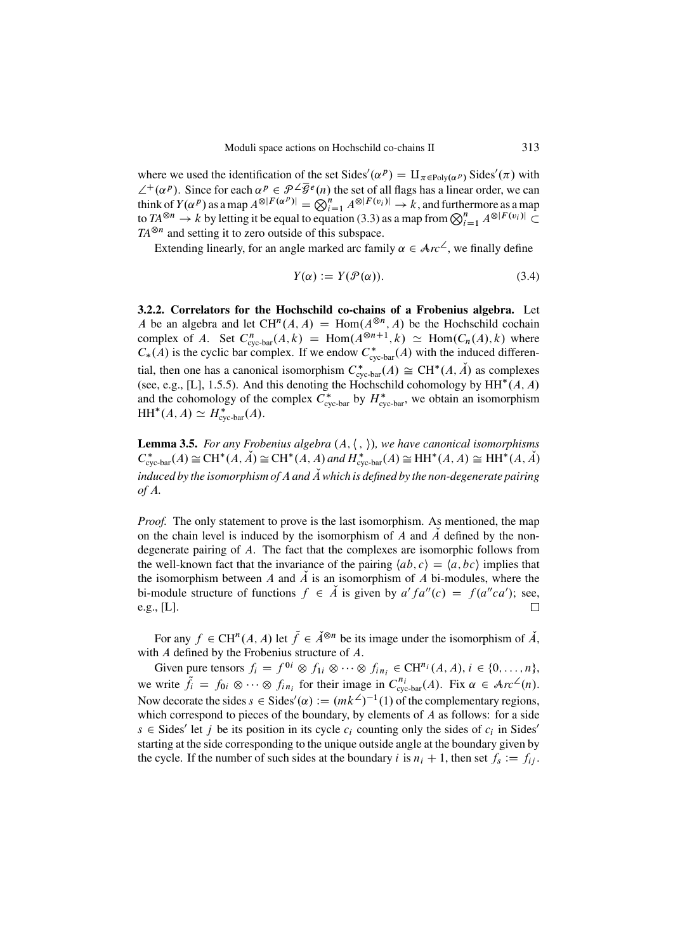<span id="page-30-0"></span>where we used the identification of the set Sides' $(\alpha^p) = \amalg_{\pi \in Poly(\alpha^p)}$  Sides' $(\pi)$  with  $\angle^+(\alpha^p)$ . Since for each  $\alpha^p \in \mathcal{P}^{\angle} \overline{\mathcal{G}}^e(n)$  the set of all flags has a linear order, we can  $\angle^+( \alpha^p)$ . Since for each  $\alpha^p \in \mathcal{P}^{\angle} \mathcal{G}^e(n)$  the set of all flags has a linear order, we can<br>think of  $Y(\alpha^p)$  as a man  $A^{\otimes |F(\alpha^p)|} = \bigotimes^n A^{\otimes |F(v_i)|} \rightarrow k$  and furthermore as a man think of  $Y(\alpha^p)$  as a map  $A^{\otimes |F(\alpha^p)|} = \bigotimes_{i=1}^n A^{\otimes |F(v_i)|} \to k$ , and furthermore as a map<br>to  $TA^{\otimes n} \to k$  by letting it be equal to equation (3.3) as a map from  $\bigotimes_{i=1}^n A^{\otimes |F(v_i)|} \subset$ to *TA*<sup>⊗n</sup>  $\rightarrow k$  by letting it be equal to equation [\(3.3\)](#page-29-0) as a map from  $\bigotimes_{i=1}^{n} A^{\otimes |F(v_i)|} \subset T_A^{\otimes n}$  and setting it to zero outside of this subspace  $TA^{\otimes n}$  and setting it to zero outside of this subspace.

Extending linearly, for an angle marked arc family  $\alpha \in \mathcal{A}r c^2$ , we finally define

$$
Y(\alpha) := Y(\mathcal{P}(\alpha)).\tag{3.4}
$$

**3.2.2. Correlators for the Hochschild co-chains of a Frobenius algebra.** Let A be an algebra and let CH<sup>n</sup>(A, A) = Hom( $A^{\otimes n}$ , A) be the Hochschild cochain complex of A. Set  $C_{\text{cyc-bar}}^n(A, k) = \text{Hom}(A^{\otimes n+1}, k) \simeq \text{Hom}(C_n(A), k)$  where  $C_n(A)$  is the cyclic bar complex. If we endow  $C^*$ . (4) with the induced differen- $C_*(A)$  is the cyclic bar complex. If we endow  $C_{\text{cyc-bar}}^*(A)$  with the induced differential, then one has a canonical isomorphism  $C_{\text{cyc-bar}}^*(A) \cong CH^*(A, A)$  as complexes (see e.g.  $\Pi$  1.1.5.5). And this denoting the Hochschild cohomology by  $HH^*(A, A)$ (see, e.g., [\[L\]](#page-48-0), 1.5.5). And this denoting the Hochschild cohomology by  $HH^*(A, A)$ and the cohomology of the complex  $C^*_{\text{cyc-bar}}$  by  $H^*_{\text{cyc-bar}}$ , we obtain an isomorphism  $HH^*(A, A) \simeq H^*_{\text{cyc-bar}}(A).$ 

**Lemma 3.5.** *For any Frobenius algebra*  $(A, \langle , \rangle)$ *, we have canonical isomorphisms*  $C_{\text{cyc-bar}}^*(A) \cong \text{CH}^*(A, A) \cong \text{CH}^*(A, A)$  and  $H_{\text{cyc-bar}}^*(A) \cong \text{HH}^*(A, A) \cong \text{HH}^*(A, A)$ *induced by the isomorphism of* <sup>A</sup> *and* <sup>A</sup>L*which is defined by the non-degenerate pairing of* A*.*

*Proof.* The only statement to prove is the last isomorphism. As mentioned, the map on the chain level is induced by the isomorphism of A and  $\vec{A}$  defined by the nondegenerate pairing of A. The fact that the complexes are isomorphic follows from the well-known fact that the invariance of the pairing  $\langle ab, c \rangle = \langle a, bc \rangle$  implies that the isomorphism between A and  $\tilde{A}$  is an isomorphism of A bi-modules, where the bi-module structure of functions  $f \in A$  is given by  $a'fa''(c) = f(a''ca')$ ; see, e.g., [\[L\]](#page-48-0).  $\Box$ 

For any  $f \in \text{CH}^n(A, A)$  let  $\tilde{f} \in \tilde{A}^{\otimes n}$  be its image under the isomorphism of  $\tilde{A}$ , with A defined by the Frobenius structure of A.

Given pure tensors  $f_i = f^{0i} \otimes f_{1i} \otimes \cdots \otimes f_{in_i} \in CH^{n_i}(A, A), i \in \{0, \ldots, n\},\$ we write  $f_i = f_{0i} \otimes \cdots \otimes f_{in_i}$  for their image in  $C_{\text{cyc-bar}}^{n_i}(A)$ . Fix  $\alpha \in \mathcal{A}r\mathcal{C}(n)$ .<br>Now decounts the sides  $\alpha \in \text{Stdev}(\infty)$ ,  $(n+k-1)$ , of the complementary resigns. Now decorate the sides  $s \in Sides'(\alpha) := (mk^2)^{-1}(1)$  of the complementary regions,<br>which correspond to pieces of the boundary, by elements of 4 as follows: for a side which correspond to pieces of the boundary, by elements of  $A$  as follows: for a side  $s \in S$ ides' let j be its position in its cycle  $c_i$  counting only the sides of  $c_i$  in Sides' starting at the side corresponding to the unique outside angle at the boundary given by the cycle. If the number of such sides at the boundary i is  $n_i + 1$ , then set  $f_s := f_{ij}$ .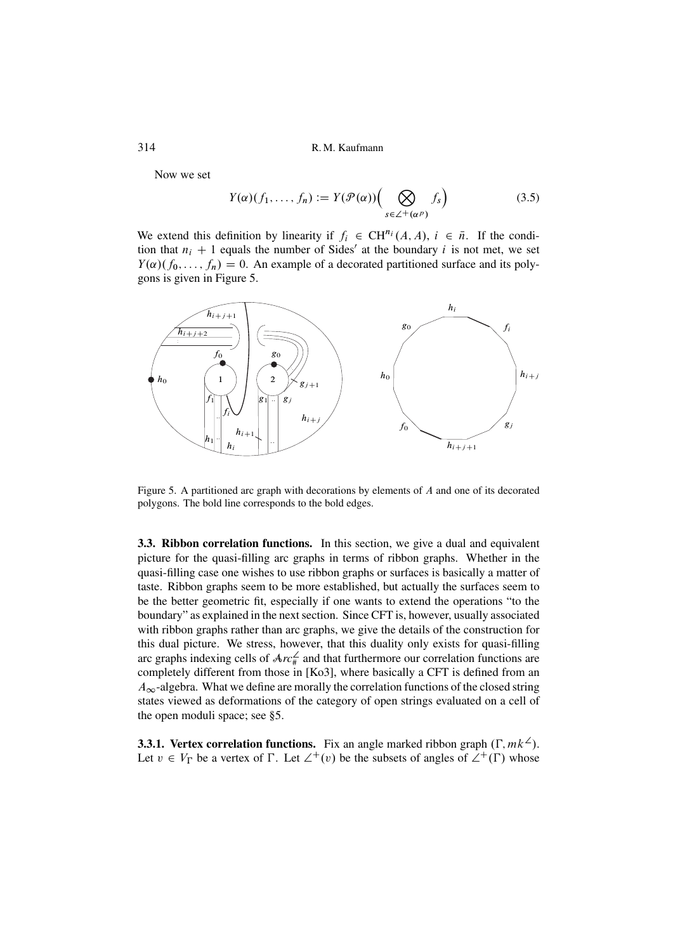Now we set

$$
Y(\alpha)(f_1, \dots, f_n) := Y(\mathcal{P}(\alpha)) \Big( \bigotimes_{s \in \angle^+(\alpha^p)} f_s \Big)
$$
(3.5)

We extend this definition by linearity if  $f_i \in \text{CH}^{n_i}(A, A), i \in \overline{n}$ . If the condition that  $n_i + 1$  equals the number of Sides' at the boundary i is not met, we set  $Y(\alpha)(f_0,\ldots,f_n) = 0$ . An example of a decorated partitioned surface and its polygons is given in Figure 5.



Figure 5. A partitioned arc graph with decorations by elements of  $A$  and one of its decorated polygons. The bold line corresponds to the bold edges.

**3.3. Ribbon correlation functions.** In this section, we give a dual and equivalent picture for the quasi-filling arc graphs in terms of ribbon graphs. Whether in the quasi-filling case one wishes to use ribbon graphs or surfaces is basically a matter of taste. Ribbon graphs seem to be more established, but actually the surfaces seem to be the better geometric fit, especially if one wants to extend the operations "to the boundary" as explained in the next section. Since CFT is, however, usually associated with ribbon graphs rather than arc graphs, we give the details of the construction for this dual picture. We stress, however, that this duality only exists for quasi-filling arc graphs indexing cells of  $Arc_{\#}^2$  and that furthermore our correlation functions are completely different from those in [\[Ko3\]](#page-47-0), where basically a CFT is defined from an  $A_{\infty}$ -algebra. What we define are morally the correlation functions of the closed string states viewed as deformations of the category of open strings evaluated on a cell of the open moduli space; see [§5.](#page-44-0)

**3.3.1. Vertex correlation functions.** Fix an angle marked ribbon graph  $(\Gamma, mk^{\perp})$ . Let  $v \in V_{\Gamma}$  be a vertex of  $\Gamma$ . Let  $\angle^+(v)$  be the subsets of angles of  $\angle^+(\Gamma)$  whose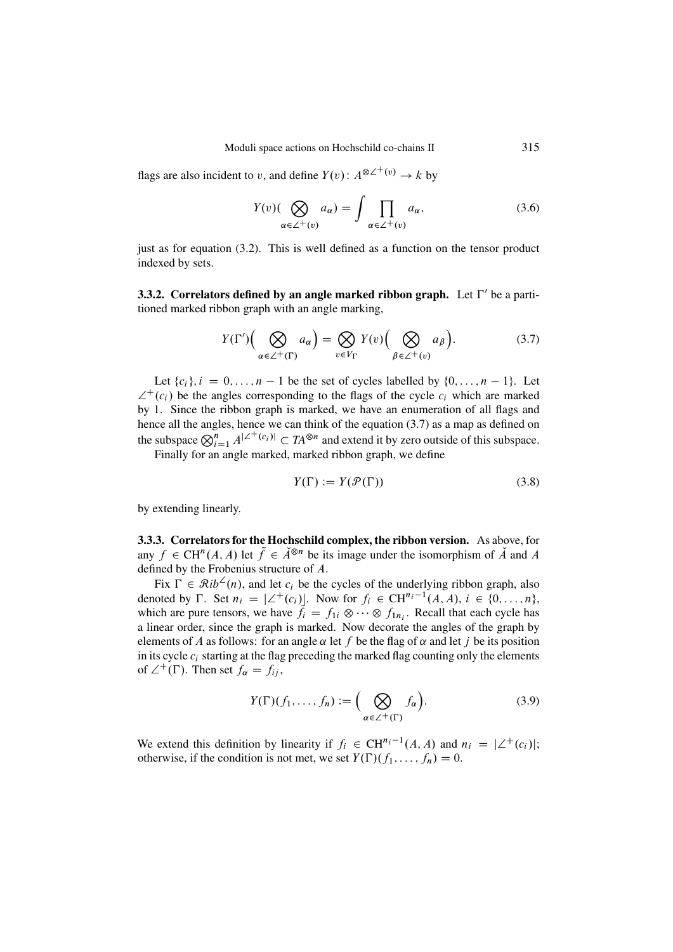flags are also incident to v, and define  $Y(v)$ :  $A^{\otimes \angle^{+}(v)} \rightarrow k$  by

$$
Y(v)\left(\bigotimes_{\alpha \in \angle^+(v)} a_{\alpha}\right) = \int \prod_{\alpha \in \angle^+(v)} a_{\alpha},\tag{3.6}
$$

just as for equation [\(3.2\)](#page-29-0). This is well defined as a function on the tensor product indexed by sets.

**3.3.2.** Correlators defined by an angle marked ribbon graph. Let  $\Gamma'$  be a partitioned marked ribbon graph with an angle marking,

$$
Y(\Gamma')\Big(\bigotimes_{\alpha \in \angle^+(\Gamma)} a_{\alpha}\Big) = \bigotimes_{v \in V_{\Gamma}} Y(v)\Big(\bigotimes_{\beta \in \angle^+(v)} a_{\beta}\Big). \tag{3.7}
$$

Let  $\{c_i\}$ ,  $i = 0, \ldots, n - 1$  be the set of cycles labelled by  $\{0, \ldots, n - 1\}$ . Let  $(c_i)$  be the angles corresponding to the flags of the cycle  $c_i$  which are marked  $\angle^{+}(c_i)$  be the angles corresponding to the flags of the cycle  $c_i$  which are marked by 1. Since the ribbon graph is marked, we have an enumeration of all flags and hence all the angles, hence we can think of the equation (3.7) as a map as defined on the subspace  $\bigotimes_{i=1}^{n} A^{|\mathcal{L}^{+}(c_i)|} \subset T A^{\otimes n}$  and extend it by zero outside of this subspace.<br>Finally for an angle marked, marked ribbon graph, we define

Finally for an angle marked, marked ribbon graph, we define

$$
Y(\Gamma) := Y(\mathcal{P}(\Gamma))\tag{3.8}
$$

by extending linearly.

**3.3.3. Correlators for the Hochschild complex, the ribbon version.** As above, for any  $f \in \mathrm{CH}^n(A, A)$  let  $\tilde{f} \in \tilde{A}^{\otimes n}$  be its image under the isomorphism of  $\tilde{A}$  and A defined by the Frobenius structure of A.

Fix  $\Gamma \in \mathcal{R}ib^{\perp}(n)$ , and let  $c_i$  be the cycles of the underlying ribbon graph, also oted by  $\Gamma$ . Set  $n_i = |\angle^+(c_i)|$ . Now for  $f_i \in \mathbb{C}H^{n_i-1}(A, A)$ ,  $i \in \{0, \ldots, n\}$ denoted by  $\Gamma$ . Set  $n_i = |\angle^+(c_i)|$ . Now for  $f_i \in \text{CH}^{n_i-1}(A, A), i \in \{0, ..., n\}$ ,<br>which are pure tensors, we have  $\tilde{f}_i = f_i \otimes \cdots \otimes f_i$ . Recall that each cycle has which are pure tensors, we have  $f_i = f_{1i} \otimes \cdots \otimes f_{1n_i}$ . Recall that each cycle has a linear order, since the graph is marked. Now decorate the angles of the graph by elements of A as follows: for an angle  $\alpha$  let f be the flag of  $\alpha$  and let j be its position in its cycle  $c_i$  starting at the flag preceding the marked flag counting only the elements of  $\angle^+(\Gamma)$ . Then set  $f_\alpha = f_{ij}$ ,

$$
Y(\Gamma)(f_1,\ldots,f_n) := \Big(\bigotimes_{\alpha \in \angle^+(\Gamma)} f_\alpha\Big). \tag{3.9}
$$

We extend this definition by linearity if  $f_i \in \text{CH}^{n_i-1}(A, A)$  and  $n_i = |\angle^+(c_i)|$ ; otherwise, if the condition is not met, we set  $Y(\Gamma)(f_1,\ldots,f_n) = 0$ .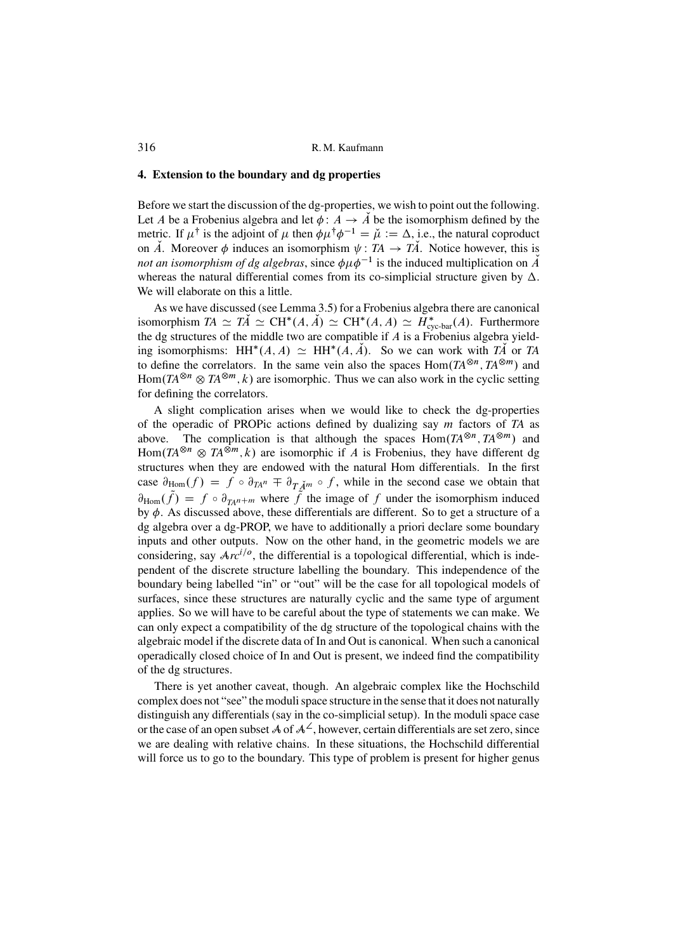#### **4. Extension to the boundary and dg properties**

Before we start the discussion of the dg-properties, we wish to point out the following.<br>Let A be a Frobenius algebra and let  $\phi$ :  $A \rightarrow \tilde{A}$  be the isomorphism defined by the Let A be a Frobenius algebra and let  $\phi: A \to A$  be the isomorphism defined by the metric. If  $u^{\dagger}$  is the adjoint of u then  $\phi u^{\dagger} \phi^{-1} = \tilde{u} := A$  i.e., the natural conroduct metric. If  $\mu^{\dagger}$  is the adjoint of  $\mu$  then  $\phi \mu^{\dagger} \phi^{-1} = \tilde{\mu} := \Delta$ , i.e., the natural coproduct on  $\tilde{A}$ . Moreover  $\phi$  induces an isomorphism  $\psi : TA \to T\tilde{A}$ . Notice however this is on A. Moreover  $\phi$  induces an isomorphism  $\psi : TA \to TA$ . Notice however, this is not an isomorphism of de algebras, since  $\phi u \phi^{-1}$  is the induced multiplication on  $\check{A}$ *not an isomorphism of dg algebras*, since  $\phi \mu \phi^{-1}$  is the induced multiplication on A<br>whereas the natural differential sames from its so simplicial structure given by  $\Lambda$ whereas the natural differential comes from its co-simplicial structure given by  $\Delta$ . We will elaborate on this a little.

As we have discussed (see Lemma [3.5\)](#page-30-0) for a Frobenius algebra there are canonical isomorphism  $TA \simeq TA \simeq \text{CH}^*(A, A) \simeq \text{CH}^*(A, A) \simeq H_{\text{cyc-bar}}^*(A)$ . Furthermore the dg structures of the middle two are compatible if  $\vec{A}$  is a Frobenius algebra yielding isomorphisms:  $HH^*(A, A) \simeq HH^*(A, A)$ . So we can work with *TA* or *TA*<br>to define the correlators. In the same win also the grosses  $\text{Hom}(T_A \otimes n, T_A \otimes m)$  and to define the correlators. In the same vein also the spaces  $\text{Hom}(TA^{\otimes n}, TA^{\otimes m})$  and  $\text{Hom}(TA^{\otimes n} \otimes TA^{\otimes m}, k)$  are isomorphic. Thus we can also work in the cyclic setting for defining the correlators.

A slight complication arises when we would like to check the dg-properties of the operadic of PROPic actions defined by dualizing say m factors of *TA* as above. The complication is that although the spaces  $\text{Hom}(TA^{\otimes n}, TA^{\otimes m})$  and Hom $(TA^{\otimes n} \otimes TA^{\otimes m}, k)$  are isomorphic if A is Frobenius, they have different dg structures when they are endowed with the natural Hom differentials. In the first case  $\partial_{\text{Hom}}(f) = f \circ \partial_{T_A} f \otimes \partial_{T_A} f$  of, while in the second case we obtain that  $\partial_{\text{Hom}}(\tilde{f}) = f \circ \partial_{\tau A^n + m}$  where  $\tilde{f}$  the image of f under the isomorphism induced by  $\phi$ . As discussed above, these differentials are different. So to get a structure of a dg algebra over a dg-PROP, we have to additionally a priori declare some boundary inputs and other outputs. Now on the other hand, in the geometric models we are considering, say  $Arc^{i/\rho}$ , the differential is a topological differential, which is independent of the discrete structure labelling the boundary. This independence of the boundary being labelled "in" or "out" will be the case for all topological models of surfaces, since these structures are naturally cyclic and the same type of argument applies. So we will have to be careful about the type of statements we can make. We can only expect a compatibility of the dg structure of the topological chains with the algebraic model if the discrete data of In and Out is canonical. When such a canonical operadically closed choice of In and Out is present, we indeed find the compatibility of the dg structures.

There is yet another caveat, though. An algebraic complex like the Hochschild complex does not "see" the moduli space structure in the sense that it does not naturally distinguish any differentials (say in the co-simplicial setup). In the moduli space case or the case of an open subset A of  $A^2$ , however, certain differentials are set zero, since we are dealing with relative chains. In these situations, the Hochschild differential will force us to go to the boundary. This type of problem is present for higher genus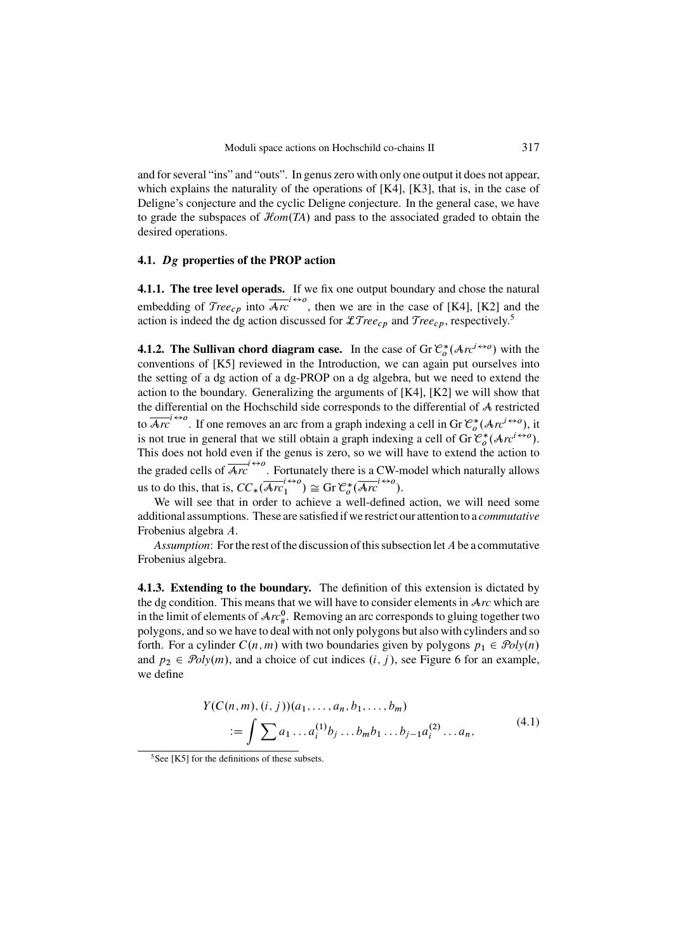<span id="page-34-0"></span>and for several "ins" and "outs". In genus zero with only one output it does not appear, which explains the naturality of the operations of  $[K4]$ ,  $[K3]$ , that is, in the case of Deligne's conjecture and the cyclic Deligne conjecture. In the general case, we have to grade the subspaces of  $\mathcal{H}om(TA)$  and pass to the associated graded to obtain the desired operations.

# **4.1.** Dg **properties of the PROP action**

**4.1.1. The tree level operads.** If we fix one output boundary and chose the natural embedding of  $Tree_{cp}$  into  $Arc^{\sim}$ , then we are in the case of [\[K4\]](#page-47-0), [\[K2\]](#page-47-0) and the action is indeed the dg action discussed for  $\mathcal{I}Tree_{cn}$  and  $Tree_{cn}$ , respectively.<sup>5</sup>

**4.1.2. The Sullivan chord diagram case.** In the case of Gr  $\mathcal{C}_o^*(\mathcal{A}r^{l^{\leftrightarrow o}})$  with the conventions of [K5] reviewed in the Introduction, we can again put ourselves into conventions of [\[K5\]](#page-47-0) reviewed in the Introduction, we can again put ourselves into the setting of a dg action of a dg-PROP on a dg algebra, but we need to extend the action to the boundary. Generalizing the arguments of [\[K4\]](#page-47-0), [\[K2\]](#page-47-0) we will show that the differential on the Hochschild side corresponds to the differential of A restricted to  $Arc^{i\rightarrow\infty}$ . If one removes an arc from a graph indexing a cell in Gr  $\mathcal{C}_o^*(Arc^{i\leftrightarrow o})$ , it<br>is not true in general that we still obtain a graph indexing a cell of Gr  $\mathcal{C}_o^*(Arc^{i\leftrightarrow o})$ .<br>This does not hold even if the This does not hold even if the genus is zero, so we will have to extend the action to the graded cells of  $Arc$ <sup>ord</sup>. Fortunately there is a CW-model which naturally allows us to do this, that is,  $CC_* (Arc_1^{\bullet\bullet}) \cong \text{Gr } \mathcal{C}_o^*(Arc_1^{\bullet\bullet})$ .<br>We will see that in order to achieve a well-defined

We will see that in order to achieve a well-defined action, we will need some additional assumptions. These are satisfied if we restrict our attention to a *commutative* Frobenius algebra A.

*Assumption*: For the rest of the discussion of this subsection let A be a commutative Frobenius algebra.

**4.1.3. Extending to the boundary.** The definition of this extension is dictated by the dg condition. This means that we will have to consider elements in A*rc* which are in the limit of elements of  $\mathcal{A}r c^0_{\#}$ . Removing an arc corresponds to gluing together two polygons, and so we have to deal with not only polygons but also with cylinders and so forth. For a cylinder  $C(n, m)$  with two boundaries given by polygons  $p_1 \in Poly(n)$ . and  $p_2 \in Poly(m)$ , and a choice of cut indices  $(i, j)$ , see Figure [6](#page-35-0) for an example, we define

$$
Y(C(n,m), (i, j))(a_1, \dots, a_n, b_1, \dots, b_m)
$$
  
:=  $\int \sum a_1 \dots a_i^{(1)} b_j \dots b_m b_1 \dots b_{j-1} a_i^{(2)} \dots a_n,$  (4.1)

<sup>5</sup>See [\[K5\]](#page-47-0) for the definitions of these subsets.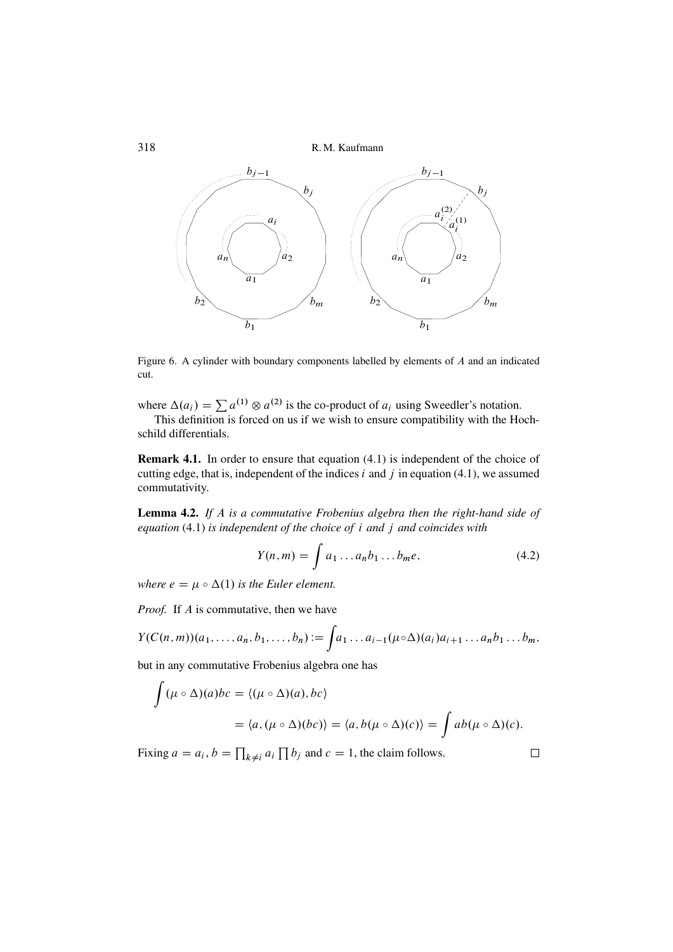<span id="page-35-0"></span>318 R. M. Kaufmann



Figure 6. A cylinder with boundary components labelled by elements of A and an indicated cut.

where  $\Delta(a_i) = \sum a^{(1)} \otimes a^{(2)}$  is the co-product of  $a_i$  using Sweedler's notation.<br>This definition is forced on us if we wish to ensure compatibility with the Ha

This definition is forced on us if we wish to ensure compatibility with the Hochschild differentials.

**Remark 4.1.** In order to ensure that equation [\(4.1\)](#page-34-0) is independent of the choice of cutting edge, that is, independent of the indices  $i$  and  $j$  in equation [\(4.1\)](#page-34-0), we assumed commutativity.

**Lemma 4.2.** *If* A *is a commutative Frobenius algebra then the right-hand side of equation* [\(4.1\)](#page-34-0) *is independent of the choice of* i *and* j *and coincides with*

$$
Y(n,m) = \int a_1 \dots a_n b_1 \dots b_m e,
$$
 (4.2)

 $\Box$ 

where  $e = \mu \circ \Delta(1)$  is the Euler element.

*Proof.* If A is commutative, then we have

$$
Y(C(n,m))(a_1,\ldots,a_n,b_1,\ldots,b_n):=\int a_1\ldots a_{i-1}(\mu\circ\Delta)(a_i)a_{i+1}\ldots a_nb_1\ldots b_m,
$$

but in any commutative Frobenius algebra one has

$$
\int (\mu \circ \Delta)(a)bc = \langle (\mu \circ \Delta)(a), bc \rangle
$$
  
=  $\langle a, (\mu \circ \Delta)(bc) \rangle = \langle a, b(\mu \circ \Delta)(c) \rangle = \int ab(\mu \circ \Delta)(c).$ 

Fixing  $a = a_i$ ,  $b = \prod_{k \neq i} a_i \prod b_j$  and  $c = 1$ , the claim follows.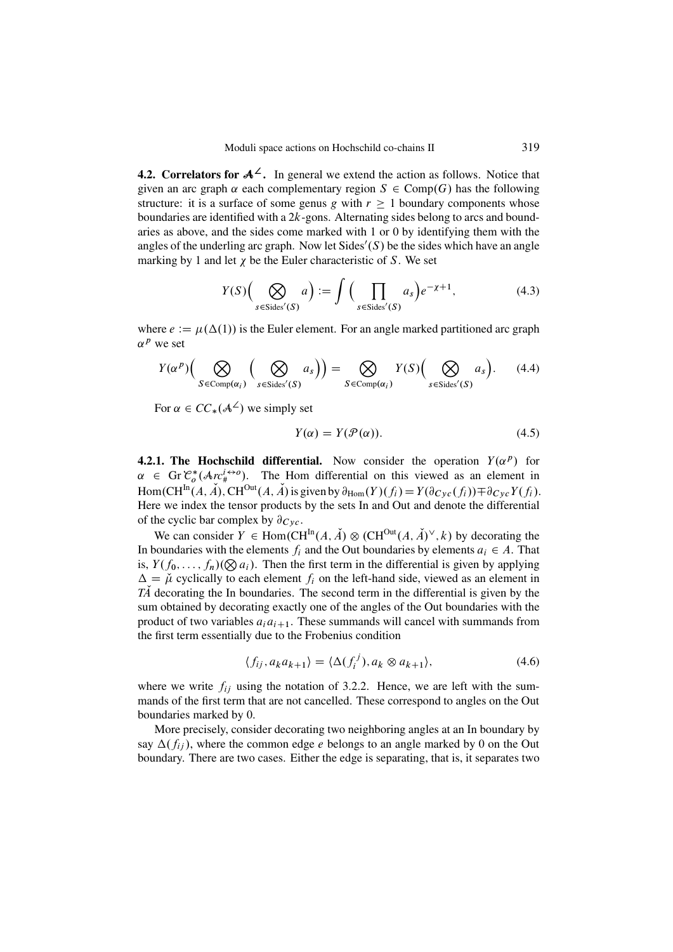<span id="page-36-0"></span>**4.2. Correlators for**  $A^2$ **.** In general we extend the action as follows. Notice that given an arc graph  $\alpha$  each complementary region  $S \in \text{Comp}(G)$  has the following structure: it is a surface of some genus g with  $r > 1$  boundary components whose boundaries are identified with a  $2k$ -gons. Alternating sides belong to arcs and boundaries as above, and the sides come marked with 1 or 0 by identifying them with the angles of the underling arc graph. Now let  $Sides'(S)$  be the sides which have an angle marking by 1 and let  $\chi$  be the Euler characteristic of S. We set

$$
Y(S)\Big(\bigotimes_{s \in \text{Sides}'(S)} a\Big) := \int \Big(\prod_{s \in \text{Sides}'(S)} a_s\Big) e^{-\chi + 1},\tag{4.3}
$$

where  $e := \mu(\Delta(1))$  is the Euler element. For an angle marked partitioned arc graph  $\alpha^p$  we set  $\alpha^p$  we set

$$
Y(\alpha^p) \Big( \bigotimes_{S \in \text{Comp}(\alpha_i)} \Big( \bigotimes_{s \in \text{Sides}'(S)} a_s \Big) \Big) = \bigotimes_{S \in \text{Comp}(\alpha_i)} Y(S) \Big( \bigotimes_{s \in \text{Sides}'(S)} a_s \Big). \tag{4.4}
$$

For  $\alpha \in CC_*(\mathcal{A}^{\angle})$  we simply set

$$
Y(\alpha) = Y(\mathcal{P}(\alpha)).\tag{4.5}
$$

**4.2.1. The Hochschild differential.** Now consider the operation  $Y(\alpha^p)$  for  $\alpha \in \text{Gr } \mathcal{C}_\delta^*(\mathcal{A}rc^{(\leftrightarrow)}_t).$  The Hom differential on this viewed as an element in  $\text{Hom}(\text{CH}^{\text{In}}(\mathcal{A}, \check{A}), \text{CH}^{\text{Out}}(\mathcal{A}, \check{A}))$  is given by  $\partial_\alpha (V)(f) = V(\partial_\alpha, (f)) \pm 2 \pi (V(f))$ Hom. (CH<sup>In</sup>(A,  $\check{A}$ ), CH<sup>Out</sup>(A,  $\check{A}$ ) is given by  $\partial_{\text{Hom}}(Y)(f_i) = Y(\partial_{\text{Cyc}}(f_i)) \mp \partial_{\text{Cyc}} Y(f_i)$ . Here we index the tensor products by the sets In and Out and denote the differential of the cyclic bar complex by  $\partial_{\mathcal{C}yc}$ .

We can consider  $Y \in Hom(CH^{In}(A, \check{A}) \otimes (CH^{Out}(A, \check{A})^{\vee}, k)$  by decorating the In boundaries with the elements  $f_i$  and the Out boundaries by elements  $a_i \in A$ . That is,  $Y(f_0,\ldots,f_n)(\bigotimes a_i)$ . Then the first term in the differential is given by applying  $\Delta = \tilde{\mu}$  cyclically to each element  $f_i$  on the left-hand side, viewed as an element in  $T\tilde{\mu}$  decorating the In boundaries. The second term in the differential is given by the  $T\ddot{A}$  decorating the In boundaries. The second term in the differential is given by the sum obtained by decorating exactly one of the angles of the Out boundaries with the product of two variables  $a_i a_{i+1}$ . These summands will cancel with summands from the first term essentially due to the Frobenius condition

$$
\langle f_{ij}, a_k a_{k+1} \rangle = \langle \Delta(f_i^j), a_k \otimes a_{k+1} \rangle, \tag{4.6}
$$

where we write  $f_{ij}$  using the notation of [3.2.2.](#page-30-0) Hence, we are left with the summands of the first term that are not cancelled. These correspond to angles on the Out boundaries marked by 0.

More precisely, consider decorating two neighboring angles at an In boundary by say  $\Delta(f_{ij})$ , where the common edge e belongs to an angle marked by 0 on the Out<br>boundary. There are two gases. Fither the edge is separating, that is it separates two boundary. There are two cases. Either the edge is separating, that is, it separates two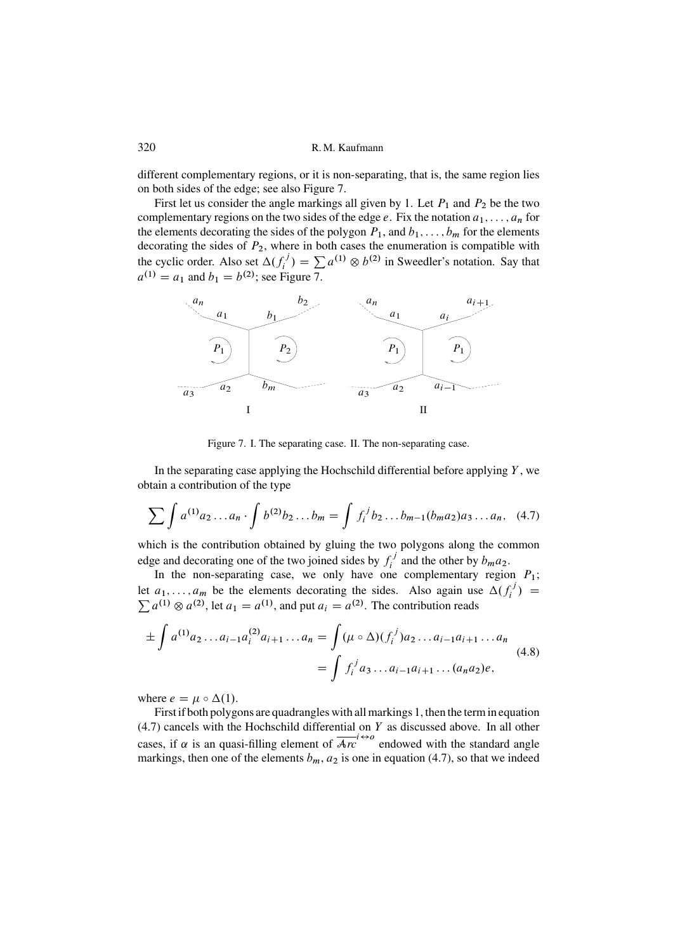<span id="page-37-0"></span>different complementary regions, or it is non-separating, that is, the same region lies on both sides of the edge; see also Figure 7.

First let us consider the angle markings all given by 1. Let  $P_1$  and  $P_2$  be the two complementary regions on the two sides of the edge e. Fix the notation  $a_1, \ldots, a_n$  for the elements decorating the sides of the polygon  $P_1$ , and  $b_1, \ldots, b_m$  for the elements decorating the sides of  $P_2$ , where in both cases the enumeration is compatible with the cyclic order. Also set  $\Delta(f_i^j) = \sum a^{(1)} \otimes b^{(2)}$  in Sweedler's notation. Say that  $a^{(1)} = a$ , and  $b_i = b^{(2)}$  see Figure 7.  $a^{(1)} = a_1$  and  $b_1 = b^{(2)}$ ; see Figure 7.



Figure 7. I. The separating case. II. The non-separating case.

In the separating case applying the Hochschild differential before applying  $Y$ , we obtain a contribution of the type

$$
\sum \int a^{(1)} a_2 \dots a_n \cdot \int b^{(2)} b_2 \dots b_m = \int f_i^j b_2 \dots b_{m-1} (b_m a_2) a_3 \dots a_n, \quad (4.7)
$$

which is the contribution obtained by gluing the two polygons along the common edge and decorating one of the two joined sides by  $f_i^j$  and the other by  $b_m a_2$ .<br>In the non-separating case, we only have one complementary regio

In the non-separating case, we only have one complementary region  $P_1$ ; let  $a_1, \ldots, a_m$  be the elements decorating the sides. Also again use  $\Delta(f_i^f)$  $\sum a^{(1)} \otimes a^{(2)}$ , let  $a_1 = a^{(1)}$ , and put  $a_i = a^{(2)}$ . The contribution reads

$$
\pm \int a^{(1)} a_2 \dots a_{i-1} a_i^{(2)} a_{i+1} \dots a_n = \int (\mu \circ \Delta) (f_i^j) a_2 \dots a_{i-1} a_{i+1} \dots a_n
$$
\n
$$
= \int f_i^j a_3 \dots a_{i-1} a_{i+1} \dots (a_n a_2) e,
$$
\n(4.8)

where  $e = \mu \circ \Delta(1)$ .<br>First if both polyge

First if both polygons are quadrangles with all markings 1, then the term in equation  $(4.7)$  cancels with the Hochschild differential on Y as discussed above. In all other cases, if  $\alpha$  is an quasi-filling element of  $Arc^{1/2}$  endowed with the standard angle markings, then one of the elements  $b_m$ ,  $a_2$  is one in equation (4.7), so that we indeed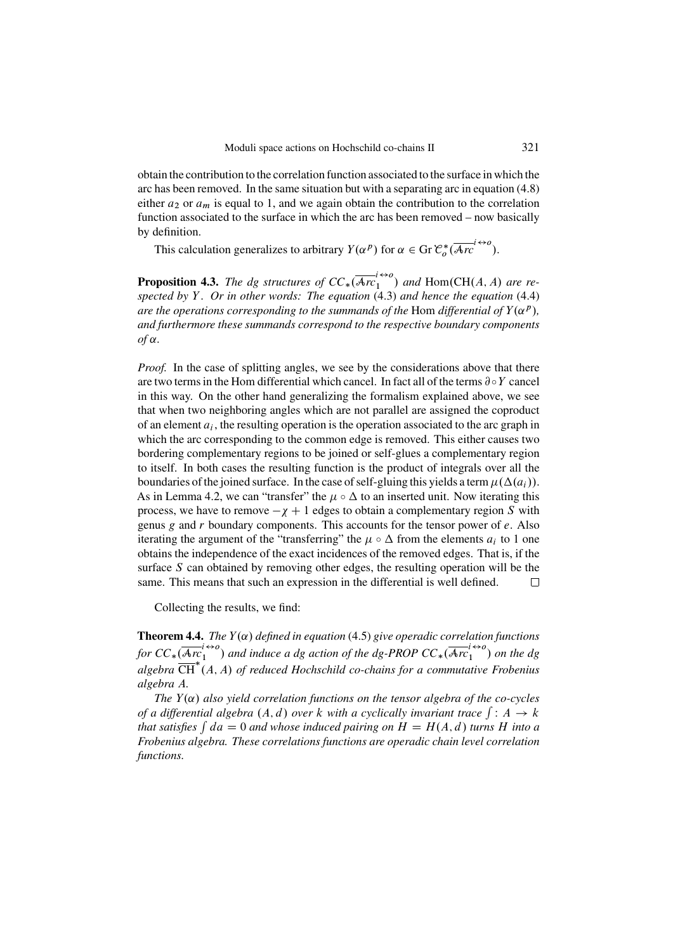obtain the contribution to the correlation function associated to the surface in which the arc has been removed. In the same situation but with a separating arc in equation [\(4.8\)](#page-37-0) either  $a_2$  or  $a_m$  is equal to 1, and we again obtain the contribution to the correlation function associated to the surface in which the arc has been removed – now basically by definition.

This calculation generalizes to arbitrary  $Y(\alpha^p)$  for  $\alpha \in \text{Gr } \mathcal{C}^*_{\sigma}(\mathcal{A}r\alpha^{1-\alpha})$ .

**Proposition 4.3.** The dg structures of  $CC_*(Arc_1^{i\infty})$  and Hom(CH(A, A) are re-<br>spected by Y. Or in other words: The equation (4.3) and hence the equation (4.4) *spected by* Y *. Or in other words: The equation* [\(4.3\)](#page-36-0) *and hence the equation* [\(4.4\)](#page-36-0) *are the operations corresponding to the summands of the Hom differential of*  $Y(\alpha^p)$ *, and furthermore these summands correspond to the respective boundary components*  $of \alpha$ .

*Proof.* In the case of splitting angles, we see by the considerations above that there are two terms in the Hom differential which cancel. In fact all of the terms  $\partial \circ Y$  cancel in this way. On the other hand generalizing the formalism explained above, we see that when two neighboring angles which are not parallel are assigned the coproduct of an element  $a_i$ , the resulting operation is the operation associated to the arc graph in which the arc corresponding to the common edge is removed. This either causes two bordering complementary regions to be joined or self-glues a complementary region to itself. In both cases the resulting function is the product of integrals over all the boundaries of the joined surface. In the case of self-gluing this yields a term  $\mu(\Delta(a_i))$ . As in Lemma [4.2,](#page-35-0) we can "transfer" the  $\mu \circ \Delta$  to an inserted unit. Now iterating this process we have to remove  $-\gamma + 1$  edges to obtain a complementary region S with process, we have to remove  $-\chi + 1$  edges to obtain a complementary region S with secourts of  $\chi$  and  $\chi$  have components. This accounts for the tensor power of  $e$ . Also genus g and  $r$  boundary components. This accounts for the tensor power of  $e$ . Also iterating the argument of the "transferring" the  $\mu \circ \Delta$  from the elements  $a_i$  to 1 one<br>obtains the independence of the exact incidences of the removed edges. That is if the obtains the independence of the exact incidences of the removed edges. That is, if the surface  $S$  can obtained by removing other edges, the resulting operation will be the same. This means that such an expression in the differential is well defined.  $\Box$ 

Collecting the results, we find:

**Theorem 4.4.** *The*  $Y(\alpha)$  *defined in equation* [\(4.5\)](#page-36-0) *give operadic correlation functions for*  $CC_* (Arc'_1)$  *and induce a dg action of the dg-PROP*  $CC_* (Arc'_1)$  *on the dg*<br>glashes  $\overline{CH^*} (A, A)$  of natural Hashahild as shains for a sequentative Evaluation algebra CH<sup>+</sup>(A, A) of reduced Hochschild co-chains for a commutative Frobenius *algebra* A*.*

*The*  $Y(\alpha)$  *also yield correlation functions on the tensor algebra of the co-cycles of a differential algebra*  $(A, d)$  *over* k *with a cyclically invariant trace*  $\int : A \to k$ <br>that satisfies  $\int da = 0$  and whose induced pairing on  $H = H(A, d)$  turns H into a *that satisfies*  $\int da = 0$  *and whose induced pairing on*  $H = H(A, d)$  *turns* H *into a Frobenius algebra. These correlations functions are operadic chain level correlation functions.*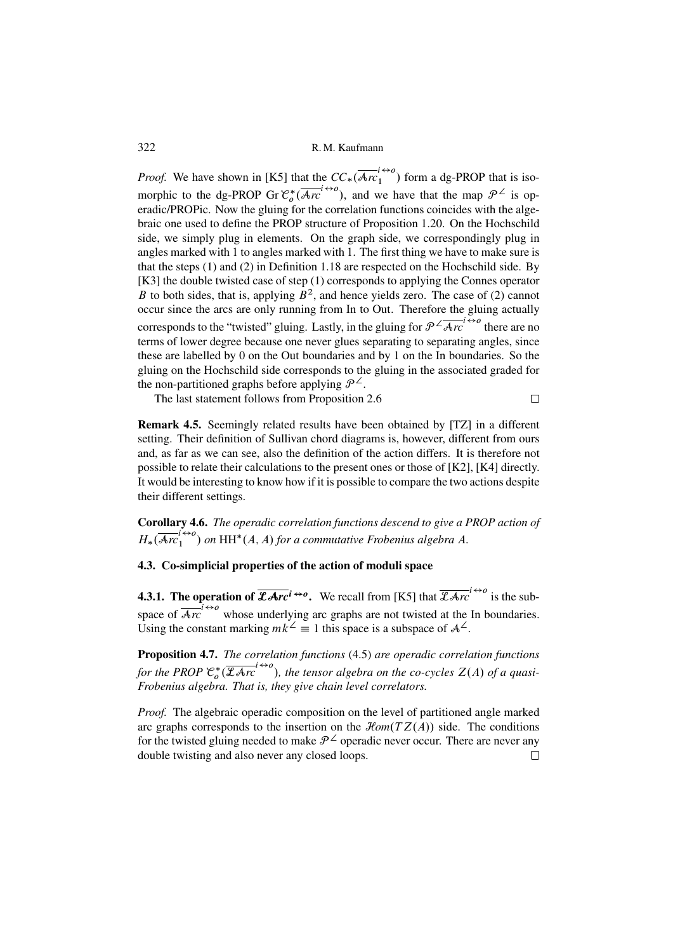*Proof.* We have shown in [\[K5\]](#page-47-0) that the  $CC_*(\text{Arc}_1^{\bullet})$  form a dg-PROP that is isomorphic to the dg-PROP Gr  $\mathcal{C}_o^*(\mathcal{A}r\mathcal{C})$ , and we have that the map  $\mathcal{P}^{\angle}$  is op-<br>eradic/PROPic. Now the gluing for the correlation functions coincides with the algeeradic/PROPic. Now the gluing for the correlation functions coincides with the algebraic one used to define the PROP structure of Proposition [1.20.](#page-19-0) On the Hochschild side, we simply plug in elements. On the graph side, we correspondingly plug in angles marked with 1 to angles marked with 1. The first thing we have to make sure is that the steps (1) and (2) in Definition [1.18](#page-18-0) are respected on the Hochschild side. By [\[K3\]](#page-47-0) the double twisted case of step (1) corresponds to applying the Connes operator B to both sides, that is, applying  $B^2$ , and hence yields zero. The case of (2) cannot occur since the arcs are only running from In to Out. Therefore the gluing actually corresponds to the "twisted" gluing. Lastly, in the gluing for  $\mathcal{P}^{\perp} Av$ <sup>-""</sup> there are no terms of lower degree because one never glues separating to separating angles, since these are labelled by 0 on the Out boundaries and by 1 on the In boundaries. So the gluing on the Hochschild side corresponds to the gluing in the associated graded for the non-partitioned graphs before applying  $\mathcal{P}^{\angle}$ .

The last statement follows from Proposition [2.6](#page-23-0)

**Remark 4.5.** Seemingly related results have been obtained by [\[TZ\]](#page-48-0) in a different setting. Their definition of Sullivan chord diagrams is, however, different from ours and, as far as we can see, also the definition of the action differs. It is therefore not possible to relate their calculations to the present ones or those of [\[K2\]](#page-47-0), [\[K4\]](#page-47-0) directly. It would be interesting to know how if it is possible to compare the two actions despite their different settings.

**Corollary 4.6.** *The operadic correlation functions descend to give a PROP action of*  $H_*(\mathcal{A}r\mathcal{C}_1^{\cdots})$  on  $HH^*(A, A)$  for a commutative Frobenius algebra A.

# **4.3. Co-simplicial properties of the action of moduli space**

**4.3.1. The operation of**  $\overline{\mathcal{L}Arc} \rightarrow 0$ **.** We recall from [\[K5\]](#page-47-0) that  $\overline{\mathcal{L}Arc} \rightarrow 0$  is the subspace of  $Arc$ <sup>o</sup> whose underlying arc graphs are not twisted at the In boundaries. Using the constant marking  $mk^2 \equiv 1$  this space is a subspace of  $A^2$ .

**Proposition 4.7.** *The correlation functions* [\(4.5\)](#page-36-0) *are operadic correlation functions* for the PROP  $\mathcal{C}_o^*(\mathcal{L}Arc^{(18)})$ , the tensor algebra on the co-cycles  $Z(A)$  of a quasi-<br>Frobenius algebra. That is, they give chain level correlators *Frobenius algebra. That is, they give chain level correlators.*

*Proof.* The algebraic operadic composition on the level of partitioned angle marked arc graphs corresponds to the insertion on the  $\mathcal{H}om(TZ(A))$  side. The conditions for the twisted gluing needed to make  $\mathcal{P}^{\angle}$  operadic never occur. There are never any double twisting and also never any closed loops. $\Box$ 

 $\Box$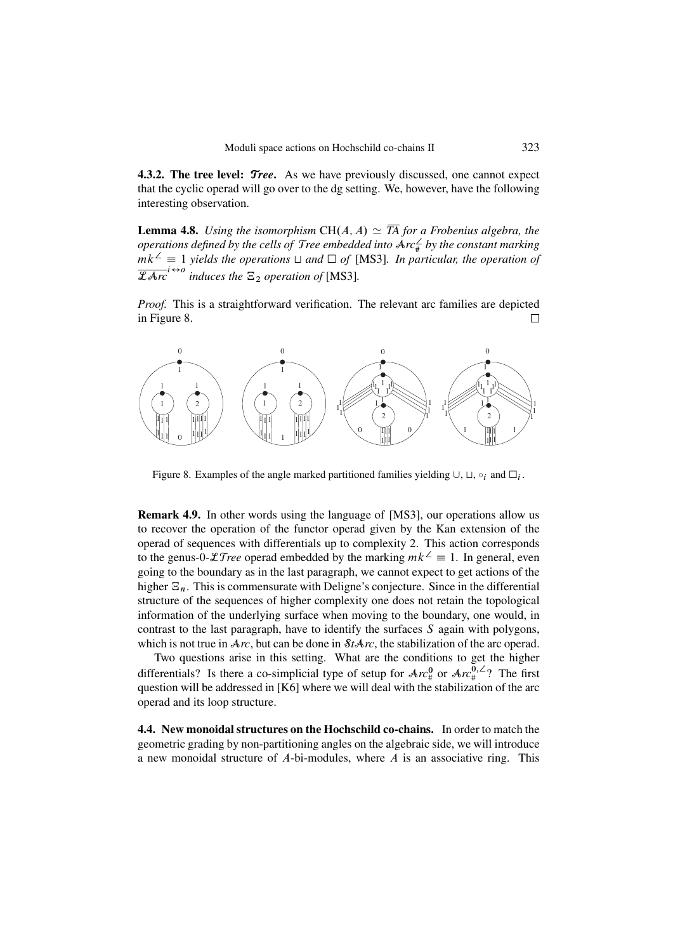<span id="page-40-0"></span>**4.3.2. The tree level: Tree.** As we have previously discussed, one cannot expect that the cyclic operad will go over to the dg setting. We, however, have the following interesting observation.

**Lemma 4.8.** *Using the isomorphism* CH( $A$ ,  $A$ )  $\simeq \overline{TA}$  *for a Frobenius algebra, the operations defined by the cells of* T*ree embedded into* A*rc*† # *by the constant marking*  $mk^2 \equiv 1$  yields the operations  $\Box$  and  $\Box$  of [\[MS3\]](#page-48-0)*. In particular, the operation of*<br> $\frac{\partial^2 A}{\partial x^2}$  is described  $\Box$  converting of MS21.  $\mathcal{L}$ *Arc* induces the  $\Xi_2$  operation of [\[MS3\]](#page-48-0).

*Proof.* This is a straightforward verification. The relevant arc families are depicted in Figure 8.  $\Box$ 



Figure 8. Examples of the angle marked partitioned families yielding  $\cup$ ,  $\cup$ ,  $\circ$ <sub>i</sub> and  $\Box$ <sub>i</sub>.

**Remark 4.9.** In other words using the language of [\[MS3\]](#page-48-0), our operations allow us to recover the operation of the functor operad given by the Kan extension of the operad of sequences with differentials up to complexity 2. This action corresponds to the genus-0-*LTree* operad embedded by the marking  $mk^2 \equiv 1$ . In general, even going to the boundary as in the last paragraph, we cannot expect to get actions of the higher  $\Xi_n$ . This is commensurate with Deligne's conjecture. Since in the differential structure of the sequences of higher complexity one does not retain the topological information of the underlying surface when moving to the boundary, one would, in contrast to the last paragraph, have to identify the surfaces S again with polygons, which is not true in  $Arc$ , but can be done in  $\delta t Arc$ , the stabilization of the arc operad.

Two questions arise in this setting. What are the conditions to get the higher differentials? Is there a co-simplicial type of setup for  $Arc_{\#}^{0}$  or  $Arc_{\#}^{0,2}$ ? The first question will be addressed in  $[K6]$  where we will deal with the stabilization of the arc operad and its loop structure.

**4.4. New monoidal structures on the Hochschild co-chains.** In order to match the geometric grading by non-partitioning angles on the algebraic side, we will introduce a new monoidal structure of  $A$ -bi-modules, where  $A$  is an associative ring. This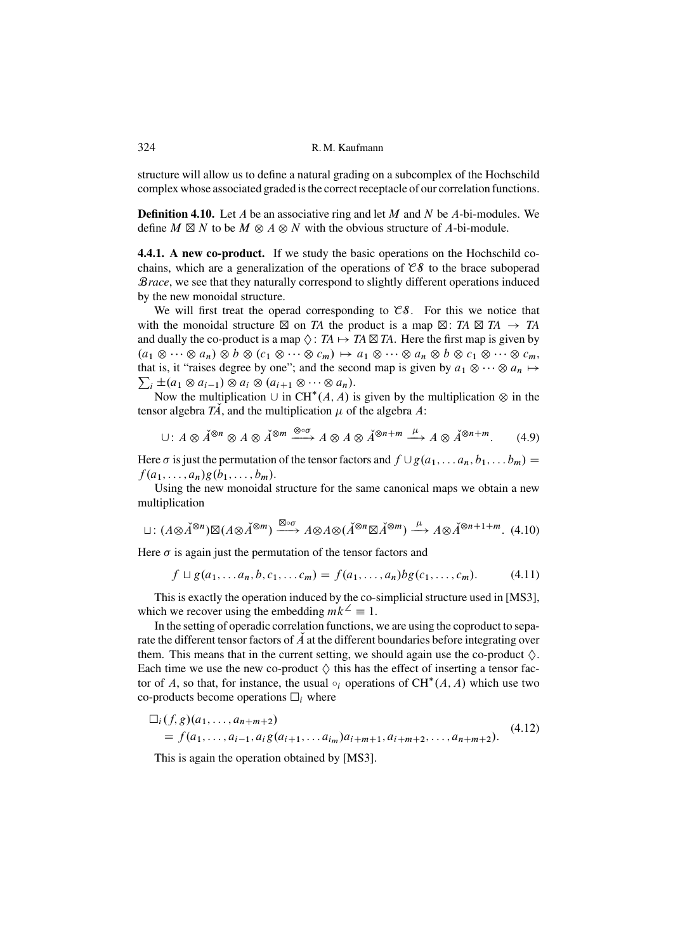structure will allow us to define a natural grading on a subcomplex of the Hochschild complex whose associated graded is the correct receptacle of our correlation functions.

**Definition 4.10.** Let A be an associative ring and let M and N be A-bi-modules. We define  $M \boxtimes N$  to be  $M \otimes A \otimes N$  with the obvious structure of A-bi-module.

**4.4.1. A new co-product.** If we study the basic operations on the Hochschild cochains, which are a generalization of the operations of  $\mathcal{CS}$  to the brace suboperad B*race*, we see that they naturally correspond to slightly different operations induced by the new monoidal structure.

We will first treat the operad corresponding to  $\mathcal{CS}$ . For this we notice that with the monoidal structure  $\boxtimes$  on *TA* the product is a map  $\boxtimes$ : *TA*  $\boxtimes$  *TA*  $\rightarrow$  *TA* and dually the co-product is a map  $\Diamond$ : *TA*  $\mapsto$  *TA*  $\boxtimes$  *TA*. Here the first map is given by  $(a_1 \otimes \cdots \otimes a_n) \otimes b \otimes (c_1 \otimes \cdots \otimes c_m) \mapsto a_1 \otimes \cdots \otimes a_n \otimes b \otimes c_1 \otimes \cdots \otimes c_m$ that is, it "raises degree by one"; and the second map is given by  $a_1 \otimes \cdots \otimes a_n \mapsto$ <br> $\sum_{i=1}^n (a_i \otimes a_{i-1}) \otimes a_i \otimes (a_{i+1} \otimes a_{i+1}) \otimes a_{i+1}$  $\sum_i \pm (a_1 \otimes a_{i-1}) \otimes a_i \otimes (a_{i+1} \otimes \cdots \otimes a_n).$ <br>Now the multiplication  $\Box$  in CH<sup>\*</sup>(A\_A) is

Now the multiplication  $\cup$  in CH<sup>\*</sup>(A, A) is given by the multiplication  $\otimes$  in the sor-algebra  $\overrightarrow{A}$  and the multiplication  $\mu$  of the algebra  $\overrightarrow{A}$ . tensor algebra  $TA$ , and the multiplication  $\mu$  of the algebra A:

$$
\bigcup: A \otimes \check{A}^{\otimes n} \otimes A \otimes \check{A}^{\otimes m} \xrightarrow{\otimes \circ \sigma} A \otimes A \otimes \check{A}^{\otimes n+m} \xrightarrow{\mu} A \otimes \check{A}^{\otimes n+m}.\tag{4.9}
$$

Here  $\sigma$  is just the permutation of the tensor factors and  $f \cup g(a_1, \ldots, a_n, b_1, \ldots, b_m) =$  $f(a_1,\ldots,a_n)g(b_1,\ldots,b_m).$ 

Using the new monoidal structure for the same canonical maps we obtain a new multiplication

$$
\sqcup: (A\otimes \check{A}^{\otimes n})\boxtimes (A\otimes \check{A}^{\otimes m}) \xrightarrow{\boxtimes\circ \sigma} A\otimes A\otimes (\check{A}^{\otimes n}\boxtimes \check{A}^{\otimes m}) \xrightarrow{\mu} A\otimes \check{A}^{\otimes n+1+m}.
$$
 (4.10)

Here  $\sigma$  is again just the permutation of the tensor factors and

 $f \sqcup g(a_1, \ldots, a_n, b, c_1, \ldots, c_m) = f(a_1, \ldots, a_n)bg(c_1, \ldots, c_m).$  (4.11)

This is exactly the operation induced by the co-simplicial structure used in [\[MS3\]](#page-48-0), which we recover using the embedding  $mk^2 \equiv 1$ .

In the setting of operadic correlation functions, we are using the coproduct to separate the different tensor factors of  $\vec{A}$  at the different boundaries before integrating over them. This means that in the current setting, we should again use the co-product  $\diamondsuit$ . Each time we use the new co-product  $\Diamond$  this has the effect of inserting a tensor factor of A, so that, for instance, the usual  $\circ_i$  operations of CH<sup>\*</sup>(A, A) which use two co-products become operations  $\Box$  where co-products become operations  $\Box_i$  where

$$
\Box_i(f, g)(a_1, \ldots, a_{n+m+2})
$$
\n
$$
= f(a_1, \ldots, a_{i-1}, a_i g(a_{i+1}, \ldots, a_{i_m}) a_{i+m+1}, a_{i+m+2}, \ldots, a_{n+m+2}).
$$
\n
$$
(4.12)
$$

This is again the operation obtained by [\[MS3\]](#page-48-0).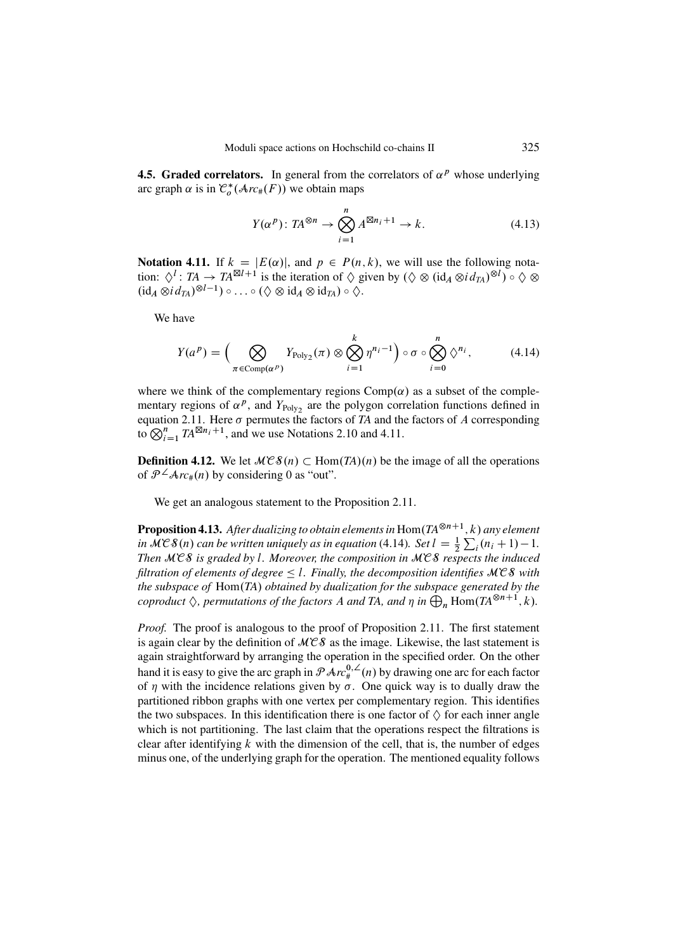<span id="page-42-0"></span>**4.5. Graded correlators.** In general from the correlators of  $\alpha^p$  whose underlying arc graph  $\alpha$  is in  $\mathcal{C}^*_{\sigma}(\mathcal{A}rc_{\#}(F))$  we obtain maps

$$
Y(\alpha^p): T A^{\otimes n} \to \bigotimes_{i=1}^n A^{\boxtimes n_i+1} \to k. \tag{4.13}
$$

**Notation 4.11.** If  $k = |E(\alpha)|$ , and  $p \in P(n, k)$ , we will use the following nota-<br>tion:  $\triangle^l \colon TA \to TA^{\boxtimes l+1}$  is the iteration of  $\triangle$  given by  $(\triangle \otimes (id \star \otimes id_{\pi})^{\otimes l}) \circ \triangle \otimes$ tion:  $\Diamond^l$ : *TA*  $\rightarrow$  *TA*<sup> $\boxtimes l+1$ </sup> is the iteration of  $\Diamond$  given by  $(\Diamond \otimes (\mathrm{id}_A \otimes id_{TA})^{\otimes l}) \circ \Diamond \otimes$ <br>(id  $\Box \otimes id_{\alpha} \otimes id_{\alpha} \otimes id_{\alpha} \otimes id_{\alpha} \otimes id_{\alpha} \otimes id_{\alpha}$ )  $(\mathrm{id}_A \otimes id_{TA})^{\otimes I-1}) \circ \ldots \circ (\Diamond \otimes \mathrm{id}_A \otimes \mathrm{id}_{TA}) \circ \Diamond.$ 

We have

$$
Y(a^p) = \left(\bigotimes_{\pi \in \text{Comp}(\alpha^p)} Y_{\text{Poly}_2}(\pi) \otimes \bigotimes_{i=1}^k \eta^{n_i - 1}\right) \circ \sigma \circ \bigotimes_{i=0}^n \Diamond^{n_i},\tag{4.14}
$$

where we think of the complementary regions  $Comp(\alpha)$  as a subset of the complementary regions of  $\alpha^p$ , and  $Y_{\text{Poly}_2}$  are the polygon correlation functions defined in equation [2.11.](#page-27-0) Here  $\sigma$  permutes the factors of *TA* and the factors of *A* corresponding to  $\bigotimes_{i=1}^{n} T A^{\boxtimes n_i+1}$ , and we use Notations [2.10](#page-25-0) and 4.11.

**Definition 4.12.** We let  $MCS(n) \subset \text{Hom}(TA)(n)$  be the image of all the operations of  $\mathcal{P}^{\neq}$  *Arc*# $(n)$  by considering 0 as "out".

We get an analogous statement to the Proposition [2.11.](#page-25-0)

**Proposition 4.13.** *After dualizing to obtain elements in*  $\text{Hom}(TA^{\otimes n+1}, k)$  *any element* in  $MCS(n)$  can be written uniquely as in equation (4.14). Set  $l = \frac{1}{2} \sum_i (n_i + 1) - 1$ .<br>Then MCS is graded by l. Moreover, the composition in MCS respects the induced 2 *Then* MCS *is graded by* l*. Moreover, the composition in* MCS *respects the induced filtration of elements of degree*  $\leq$  *l. Finally, the decomposition identifies*  $MCS$  *with the subspace of Hom(TA) obtained by dualization for the subspace generated by the coproduct*  $\Diamond$ *, permutations of the factors A and TA, and*  $\eta$  *in*  $\bigoplus_n$  Hom $(TA^{\otimes n+1}, k)$ *.* 

*Proof.* The proof is analogous to the proof of Proposition [2.11.](#page-25-0) The first statement is again clear by the definition of  $MCS$  as the image. Likewise, the last statement is again straightforward by arranging the operation in the specified order. On the other hand it is easy to give the arc graph in  $\mathcal{P}Arc_{\#}^{0,2}(n)$  by drawing one arc for each factor of  $\eta$  with the incidence relations given by  $\sigma$ . One quick way is to dually draw the partitioned ribbon graphs with one vertex per complementary region. This identifies the two subspaces. In this identification there is one factor of  $\Diamond$  for each inner angle which is not partitioning. The last claim that the operations respect the filtrations is clear after identifying  $k$  with the dimension of the cell, that is, the number of edges minus one, of the underlying graph for the operation. The mentioned equality follows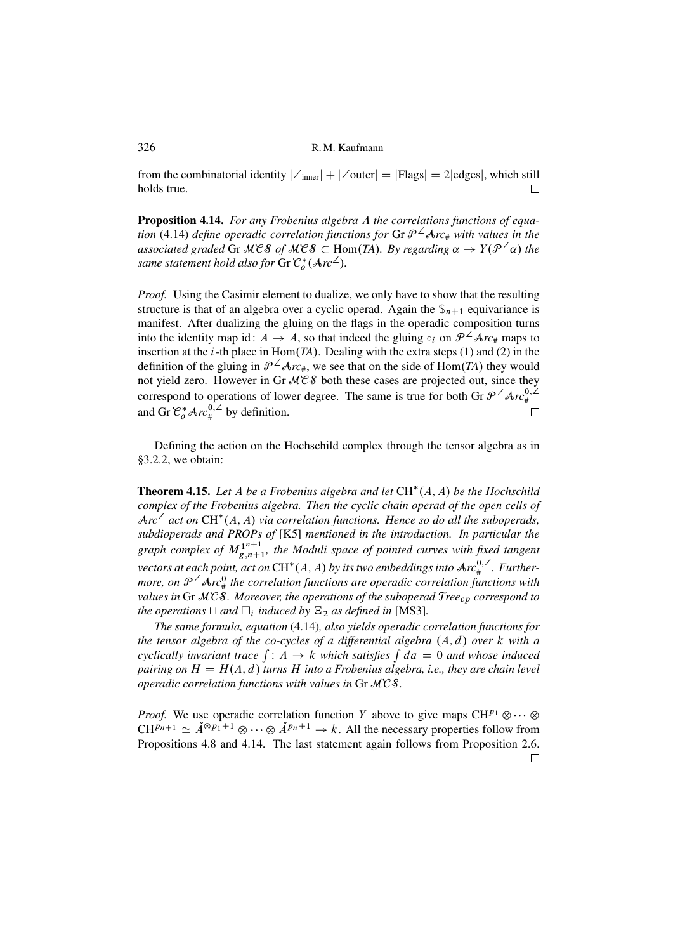from the combinatorial identity  $|\angle_{\text{inner}}| + |\angle_{\text{outer}}| = |\text{Flags}| = 2|\text{edges}|$ , which still holds true. holds true.

**Proposition 4.14.** *For any Frobenius algebra* A *the correlations functions of equation* [\(4.14\)](#page-42-0) *define operadic correlation functions for* Gr  $\mathcal{P}^{\angle}$  *Arc*# *with values in the associated graded* Gr  $MCS$  *of*  $MCS \subset Hom(TA)$ *. By regarding*  $\alpha \rightarrow Y(\mathcal{P}^{\angle}\alpha)$  the same statement hold also for  $\operatorname{Gr} C_o^*({\mathcal Ar}c^{\angle}).$ 

*Proof.* Using the Casimir element to dualize, we only have to show that the resulting structure is that of an algebra over a cyclic operad. Again the  $\mathcal{S}_{n+1}$  equivariance is manifest. After dualizing the gluing on the flags in the operadic composition turns into the identity map id:  $A \rightarrow A$ , so that indeed the gluing  $\circ_i$  on  $\mathcal{P}^{\angle} A r c_{\#}$  maps to insertion at the  $i$ -th place in Hom $(TA)$ . Dealing with the extra steps (1) and (2) in the definition of the gluing in  $\mathcal{P}^{\angle}$  *Arc*#, we see that on the side of Hom $(TA)$  they would not yield zero. However in Gr  $MCS$  both these cases are projected out, since they correspond to operations of lower degree. The same is true for both Gr  $\mathcal{P}^{\perp} \mathcal{A} r c_{\#}^{0,2}$  $\Box$ and Gr  $\mathcal{C}_o^* \mathcal{A} r c_{\#}^{\mathbf{0}, \angle}$  by definition.

Defining the action on the Hochschild complex through the tensor algebra as in [§3.2.2,](#page-30-0) we obtain:

**Theorem 4.15.** Let A be a Frobenius algebra and let  $CH^*(A, A)$  be the Hochschild *complex of the Frobenius algebra. Then the cyclic chain operad of the open cells of*  $Arc<sup>2</sup>$  *act on*  $CH<sup>*</sup>(A, A)$  *via correlation functions. Hence so do all the suboperads, subdioperads and PROPs of* [\[K5\]](#page-47-0) *mentioned in the introduction. In particular the graph complex of*  $M_{g,n+1}^{1^{n+1}}$ , the Moduli space of pointed curves with fixed tangent  $\alpha$  *vectors at each point, act on*  $\mathrm{CH}^*(A, A)$  *by its two embeddings into*  $\mathrm{Arc}_\#^{\mathbf{0}, \mathbf{2}}$  *. Further*more, on  $\mathcal{P}^{\angle}$  Arc $^0_{\#}$  the correlation functions are operadic correlation functions with *values in* Gr MCS*. Moreover, the operations of the suboperad* <sup>T</sup>*ree*cp *correspond to the operations*  $\Box$  *and*  $\Box$ *i induced by*  $\Xi$ <sub>2</sub> *as defined in* [\[MS3\]](#page-48-0)*.*<br>*The same formula, aquation* (4,14), also vialds operadic c

*The same formula, equation* [\(4.14\)](#page-42-0)*, also yields operadic correlation functions for the tensor algebra of the co-cycles of a differential algebra*  $(A, d)$  *over* k with a *cyclically invariant trace*  $\int : A \to k$  which satisfies  $\int da = 0$  and whose induced nairing on  $H = H(A, d)$  turns H into a Exphenius algebra i.e., they are chain level *pairing on*  $H = H(A, d)$  *turns* H *into a Frobenius algebra, i.e., they are chain level operadic correlation functions with values in* Gr MCS*.*

*Proof.* We use operadic correlation function Y above to give maps  $CH^{p_1} \otimes \cdots \otimes$  $CH^{p_{n+1}} \simeq \check{A}^{\otimes p_1+1} \otimes \cdots \otimes \check{A}^{p_n+1} \to k$ . All the necessary properties follow from Propositions [4.8](#page-40-0) and 4.14. The last statement again follows from Proposition [2.6.](#page-23-0) $\Box$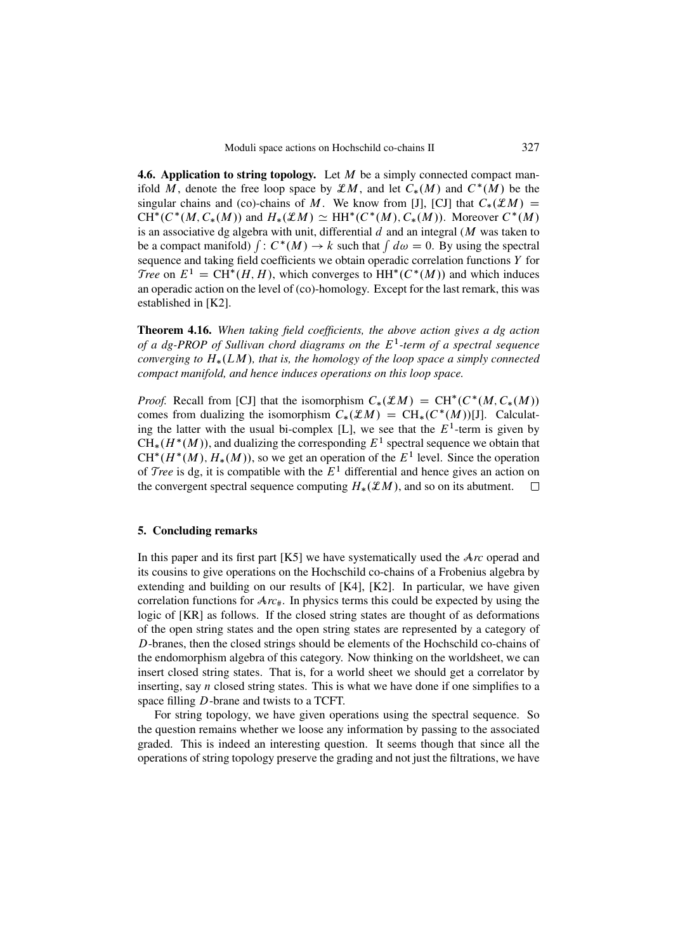<span id="page-44-0"></span>**4.6. Application to string topology.** Let M be a simply connected compact manifold M, denote the free loop space by  $\mathcal{L}M$ , and let  $C_*(M)$  and  $C^*(M)$  be the singular chains and (co) chains of M. We know from  $\Pi$ . ICH that  $C_*(\mathcal{L}M)$ singular chains and (co)-chains of M. We know from [\[J\]](#page-46-0), [\[CJ\]](#page-46-0) that  $C_*(\mathcal{L}M) =$ <br> $CH^*(C^*(M, C, (M)))$  and  $H_*(\mathcal{F}M) \sim HH^*(C^*(M, C, (M)))$ . Moreover  $C^*(M)$  $CH^*(C^*(M, C_*(M))$  and  $H_*(\mathcal{L}M) \simeq HH^*(C^*(M), C_*(M))$ . Moreover  $C^*(M)$ <br>is an associative do elgebre with unit differential d and an integral (M wes taken to is an associative dg algebra with unit, differential  $d$  and an integral (M was taken to be a compact manifold)  $\int: C^*(M) \to k$  such that  $\int d\omega = 0$ . By using the spectral<br>sequence and taking field coefficients we obtain operadic correlation functions Y for sequence and taking field coefficients we obtain operadic correlation functions Y for Tree on  $E^1 = \text{CH}^*(H, H)$ , which converges to  $\text{HH}^*(C^*(M))$  and which induces<br>an operadic action on the level of (co)-homology. Except for the last remark, this was an operadic action on the level of (co)-homology. Except for the last remark, this was established in [\[K2\]](#page-47-0).

**Theorem 4.16.** *When taking field coefficients, the above action gives a dg action of a dg-PROP of Sullivan chord diagrams on the* E1*-term of a spectral sequence converging to*  $H_*(LM)$ *, that is, the homology of the loop space a simply connected*<br>converging to  $H_*(LM)$ , that is, the homology of the loop space a simply connected *compact manifold, and hence induces operations on this loop space.*

*Proof.* Recall from [\[CJ\]](#page-46-0) that the isomorphism  $C_*(\mathcal{L}M) = \text{CH}^*(C^*(M), C_*(M))$ <br>comes from dualizing the isomorphism  $C_*(\mathcal{V}M) = \text{CH}^*(C^*(M))$  [I] Calculatcomes from dualizing the isomorphism  $C_*(\mathcal{L}M) = CH_*(C^*(M))[J]$ . Calculating the latter with the usual bi-complex [\[L\]](#page-48-0), we see that the  $E^1$ -term is given by comes from dualizing the isomorphism  $C_*(\mathcal{L}M) = CH_*(C^*(M))$ [\[J\]](#page-46-0). Calculating the latter with the usual bi-complex  $\Pi$ , we see that the  $F^1$  term is given by  $CH_*(H^*(M))$ , and dualizing the corresponding  $E^1$  spectral sequence we obtain that  $CH^*(H^*(M), H^*(M))$  so we get an operation of the  $E^1$  level. Since the operation  $CH^*(H^*(M), H_*(M))$ , so we get an operation of the  $E^1$  level. Since the operation<br>of Tree is do it is compatible with the  $F^1$  differential and hance gives an action on of  $Tree$  is dg, it is compatible with the  $E<sup>1</sup>$  differential and hence gives an action on the convergent spectral sequence computing  $H_*(\mathcal{L}M)$ , and so on its abutment.  $\Box$ 

#### **5. Concluding remarks**

In this paper and its first part [\[K5\]](#page-47-0) we have systematically used the A*rc* operad and its cousins to give operations on the Hochschild co-chains of a Frobenius algebra by extending and building on our results of [\[K4\]](#page-47-0), [\[K2\]](#page-47-0). In particular, we have given correlation functions for  $Arc_{\#}$ . In physics terms this could be expected by using the logic of [\[KR\]](#page-47-0) as follows. If the closed string states are thought of as deformations of the open string states and the open string states are represented by a category of D-branes, then the closed strings should be elements of the Hochschild co-chains of the endomorphism algebra of this category. Now thinking on the worldsheet, we can insert closed string states. That is, for a world sheet we should get a correlator by inserting, say *n* closed string states. This is what we have done if one simplifies to a space filling D-brane and twists to a TCFT.

For string topology, we have given operations using the spectral sequence. So the question remains whether we loose any information by passing to the associated graded. This is indeed an interesting question. It seems though that since all the operations of string topology preserve the grading and not just the filtrations, we have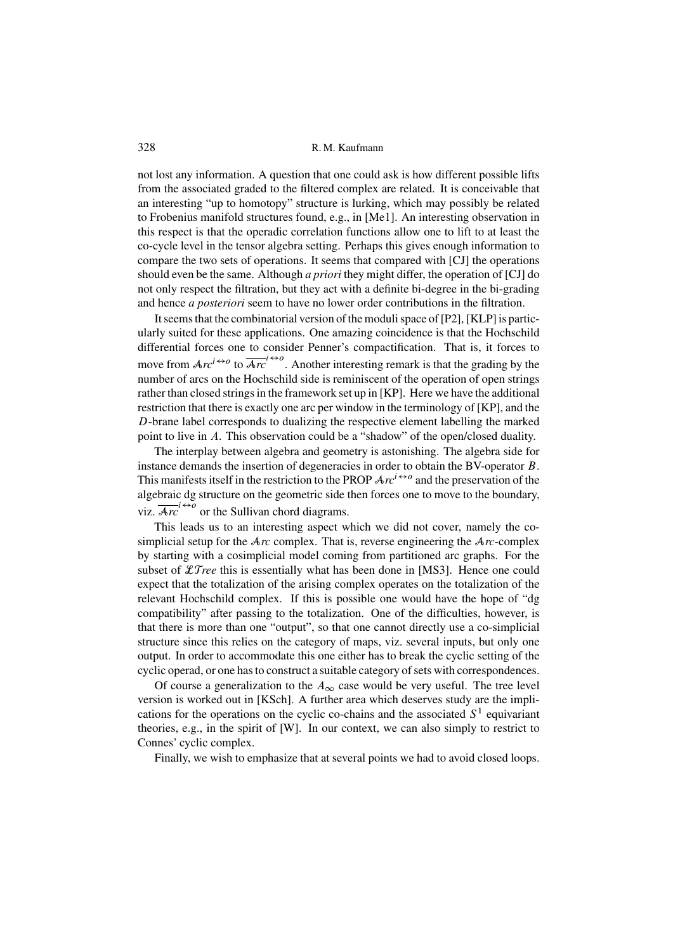not lost any information. A question that one could ask is how different possible lifts from the associated graded to the filtered complex are related. It is conceivable that an interesting "up to homotopy" structure is lurking, which may possibly be related to Frobenius manifold structures found, e.g., in [\[Me1\]](#page-48-0). An interesting observation in this respect is that the operadic correlation functions allow one to lift to at least the co-cycle level in the tensor algebra setting. Perhaps this gives enough information to compare the two sets of operations. It seems that compared with [\[CJ\]](#page-46-0) the operations should even be the same. Although *a priori* they might differ, the operation of [\[CJ\]](#page-46-0) do not only respect the filtration, but they act with a definite bi-degree in the bi-grading and hence *a posteriori* seem to have no lower order contributions in the filtration.

It seems that the combinatorial version of the moduli space of [\[P2\]](#page-48-0), [\[KLP\]](#page-47-0) is particularly suited for these applications. One amazing coincidence is that the Hochschild differential forces one to consider Penner's compactification. That is, it forces to move from  $Ar^{t\leftrightarrow o}$  to  $Ar^{t\leftrightarrow o}$ . Another interesting remark is that the grading by the number of arcs on the Hochschild side is reminiscent of the operation of open strings rather than closed strings in the framework set up in [\[KP\]](#page-47-0). Here we have the additional restriction that there is exactly one arc per window in the terminology of [\[KP\]](#page-47-0), and the D-brane label corresponds to dualizing the respective element labelling the marked point to live in A. This observation could be a "shadow" of the open/closed duality.

The interplay between algebra and geometry is astonishing. The algebra side for instance demands the insertion of degeneracies in order to obtain the BV-operator B. This manifests itself in the restriction to the PROP  $Arc^{i\leftrightarrow o}$  and the preservation of the algebraic dg structure on the geometric side then forces one to move to the boundary, viz.  $Arc^{\sim}$  or the Sullivan chord diagrams.

This leads us to an interesting aspect which we did not cover, namely the cosimplicial setup for the A*rc* complex. That is, reverse engineering the A*rc*-complex by starting with a cosimplicial model coming from partitioned arc graphs. For the subset of  $\mathcal{L} \mathcal{T} \text{re}$  this is essentially what has been done in [\[MS3\]](#page-48-0). Hence one could expect that the totalization of the arising complex operates on the totalization of the relevant Hochschild complex. If this is possible one would have the hope of "dg compatibility" after passing to the totalization. One of the difficulties, however, is that there is more than one "output", so that one cannot directly use a co-simplicial structure since this relies on the category of maps, viz. several inputs, but only one output. In order to accommodate this one either has to break the cyclic setting of the cyclic operad, or one has to construct a suitable category of sets with correspondences.

Of course a generalization to the  $A_{\infty}$  case would be very useful. The tree level version is worked out in [\[KSch\]](#page-47-0). A further area which deserves study are the implications for the operations on the cyclic co-chains and the associated  $S<sup>1</sup>$  equivariant theories, e.g., in the spirit of [\[W\]](#page-49-0). In our context, we can also simply to restrict to Connes' cyclic complex.

Finally, we wish to emphasize that at several points we had to avoid closed loops.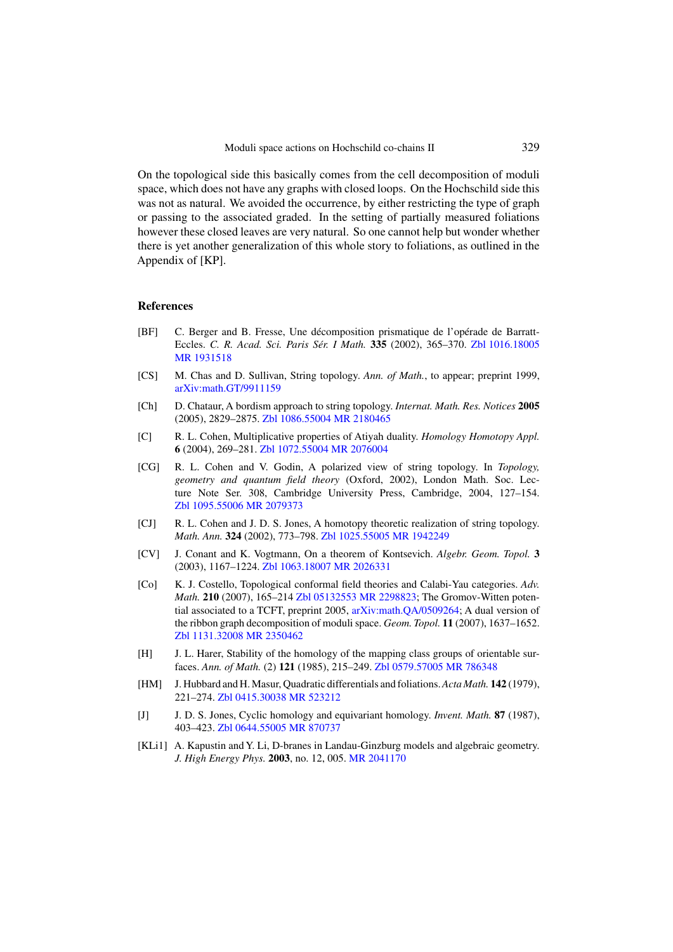<span id="page-46-0"></span>On the topological side this basically comes from the cell decomposition of moduli space, which does not have any graphs with closed loops. On the Hochschild side this was not as natural. We avoided the occurrence, by either restricting the type of graph or passing to the associated graded. In the setting of partially measured foliations however these closed leaves are very natural. So one cannot help but wonder whether there is yet another generalization of this whole story to foliations, as outlined in the Appendix of [\[KP\]](#page-47-0).

# **References**

- [BF] C. Berger and B. Fresse, Une décomposition prismatique de l'opérade de Barratt-Eccles. *C. R. Acad. Sci. Paris Sér. I Math.* **335** (2002), 365–370. [Zbl 1016.18005](http://www.emis.de/MATH-item?1016.18005) [MR 1931518](http://www.ams.org/mathscinet-getitem?mr=1931518)
- [CS] M. Chas and D. Sullivan, String topology. *Ann. of Math.*, to appear; preprint 1999, [arXiv:math.GT/9911159](http://arxiv.org/abs/math.GT/9911159)
- [Ch] D. Chataur, A bordism approach to string topology. *Internat. Math. Res. Notices* **2005** (2005), 2829–2875. [Zbl 1086.55004](http://www.emis.de/MATH-item?1086.55004) [MR 2180465](http://www.ams.org/mathscinet-getitem?mr=2180465)
- [C] R. L. Cohen, Multiplicative properties of Atiyah duality. *Homology Homotopy Appl.* **6** (2004), 269–281. [Zbl 1072.55004](http://www.emis.de/MATH-item?1072.55004) [MR 2076004](http://www.ams.org/mathscinet-getitem?mr=2076004)
- [CG] R. L. Cohen and V. Godin, A polarized view of string topology. In *Topology, geometry and quantum field theory* (Oxford, 2002), London Math. Soc. Lecture Note Ser. 308, Cambridge University Press, Cambridge, 2004, 127–154. [Zbl 1095.55006](http://www.emis.de/MATH-item?1095.55006) [MR 2079373](http://www.ams.org/mathscinet-getitem?mr=2079373)
- [CJ] R. L. Cohen and J. D. S. Jones, A homotopy theoretic realization of string topology. *Math. Ann.* **324** (2002), 773–798. [Zbl 1025.55005](http://www.emis.de/MATH-item?1025.55005) [MR 1942249](http://www.ams.org/mathscinet-getitem?mr=1942249)
- [CV] J. Conant and K. Vogtmann, On a theorem of Kontsevich. *Algebr. Geom. Topol.* **3** (2003), 1167–1224. [Zbl 1063.18007](http://www.emis.de/MATH-item?1063.18007) [MR 2026331](http://www.ams.org/mathscinet-getitem?mr=2026331)
- [Co] K. J. Costello, Topological conformal field theories and Calabi-Yau categories. *Adv. Math.* **210** (2007), 165–214 [Zbl 05132553](http://www.emis.de/MATH-item?05132553) [MR 2298823;](http://www.ams.org/mathscinet-getitem?mr=2298823) The Gromov-Witten potential associated to a TCFT, preprint 2005, [arXiv:math.QA/0509264;](http://arxiv.org/abs/math.QA/0509264) A dual version of the ribbon graph decomposition of moduli space. *Geom. Topol.* **11** (2007), 1637–1652. [Zbl 1131.32008](http://www.emis.de/MATH-item?1131.32008) [MR 2350462](http://www.ams.org/mathscinet-getitem?mr=2350462)
- [H] J. L. Harer, Stability of the homology of the mapping class groups of orientable surfaces. *Ann. of Math.* (2) **121** (1985), 215–249. [Zbl 0579.57005](http://www.emis.de/MATH-item?0579.57005) [MR 786348](http://www.ams.org/mathscinet-getitem?mr=786348)
- [HM] J. Hubbard and H. Masur, Quadratic differentials and foliations.*Acta Math.* **142** (1979), 221–274. [Zbl 0415.30038](http://www.emis.de/MATH-item?0415.30038) [MR 523212](http://www.ams.org/mathscinet-getitem?mr=523212)
- [J] J. D. S. Jones, Cyclic homology and equivariant homology. *Invent. Math.* **87** (1987), 403–423. [Zbl 0644.55005](http://www.emis.de/MATH-item?0644.55005) [MR 870737](http://www.ams.org/mathscinet-getitem?mr=870737)
- [KLi1] A. Kapustin and Y. Li, D-branes in Landau-Ginzburg models and algebraic geometry. *J. High Energy Phys.* **2003**, no. 12, 005. [MR 2041170](http://www.ams.org/mathscinet-getitem?mr=2041170)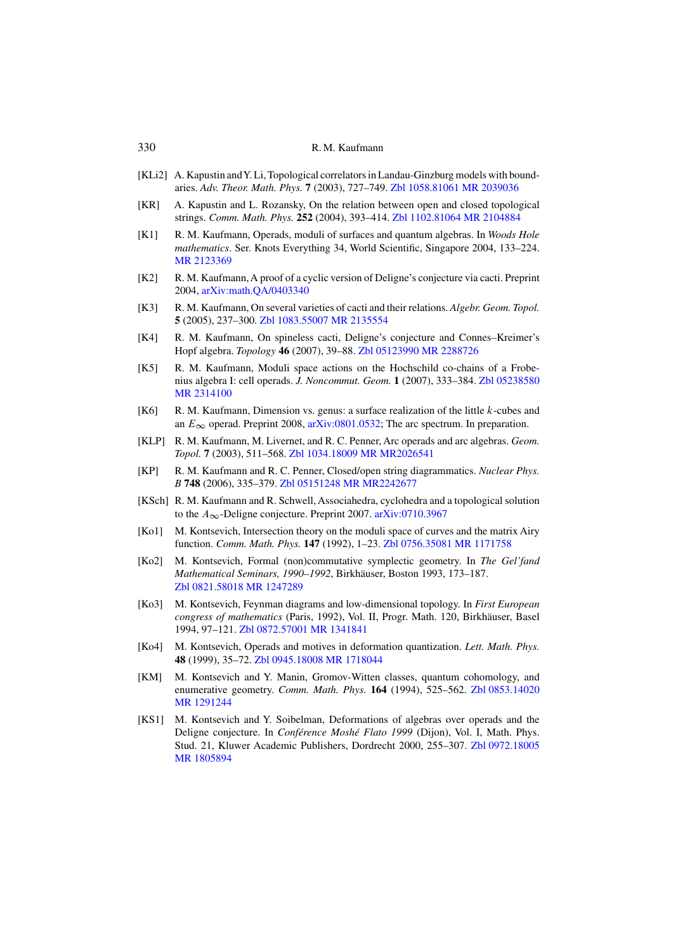- <span id="page-47-0"></span>[KLi2] A. Kapustin andY. Li, Topological correlators in Landau-Ginzburg models with boundaries. *Adv. Theor. Math. Phys.* **7** (2003), 727–749. [Zbl 1058.81061](http://www.emis.de/MATH-item?1058.81061) [MR 2039036](http://www.ams.org/mathscinet-getitem?mr=2039036)
- [KR] A. Kapustin and L. Rozansky, On the relation between open and closed topological strings. *Comm. Math. Phys.* **252** (2004), 393–414. [Zbl 1102.81064](http://www.emis.de/MATH-item?1102.81064) [MR 2104884](http://www.ams.org/mathscinet-getitem?mr=2104884)
- [K1] R. M. Kaufmann, Operads, moduli of surfaces and quantum algebras. In *Woods Hole mathematics*. Ser. Knots Everything 34, World Scientific, Singapore 2004, 133–224. [MR 2123369](http://www.ams.org/mathscinet-getitem?mr=2123369)
- [K2] R. M. Kaufmann, A proof of a cyclic version of Deligne's conjecture via cacti. Preprint 2004, [arXiv:math.QA/0403340](http://arxiv.org/abs/math.QA/0403340)
- [K3] R. M. Kaufmann, On several varieties of cacti and their relations. *Algebr. Geom. Topol.* **5** (2005), 237–300. [Zbl 1083.55007](http://www.emis.de/MATH-item?1083.55007) [MR 2135554](http://www.ams.org/mathscinet-getitem?mr=2135554)
- [K4] R. M. Kaufmann, On spineless cacti, Deligne's conjecture and Connes–Kreimer's Hopf algebra. *Topology* **46** (2007), 39–88. [Zbl 05123990](http://www.emis.de/MATH-item?05123990) [MR 2288726](http://www.ams.org/mathscinet-getitem?mr=2288726)
- [K5] R. M. Kaufmann, Moduli space actions on the Hochschild co-chains of a Frobenius algebra I: cell operads. *J. Noncommut. Geom.* **1** (2007), 333–384. [Zbl 05238580](http://www.emis.de/MATH-item?05238580) [MR 2314100](http://www.ams.org/mathscinet-getitem?mr=2314100)
- $[K6]$  R. M. Kaufmann, Dimension vs. genus: a surface realization of the little k-cubes and an  $E_{\infty}$  operad. Preprint 2008, [arXiv:0801.0532;](http://arxiv.org/abs/0801.0532) The arc spectrum. In preparation.
- [KLP] R. M. Kaufmann, M. Livernet, and R. C. Penner, Arc operads and arc algebras. *Geom. Topol.* **7** (2003), 511–568. [Zbl 1034.18009](http://www.emis.de/MATH-item?1034.18009) [MR MR2026541](http://www.ams.org/mathscinet-getitem?mr=MR2026541)
- [KP] R. M. Kaufmann and R. C. Penner, Closed/open string diagrammatics. *Nuclear Phys. B* **748** (2006), 335–379. [Zbl 05151248](http://www.emis.de/MATH-item?05151248) [MR MR2242677](http://www.ams.org/mathscinet-getitem?mr=MR2242677)
- [KSch] R. M. Kaufmann and R. Schwell, Associahedra, cyclohedra and a topological solution to the  $A_{\infty}$ -Deligne conjecture. Preprint 2007. [arXiv:0710.3967](http://arxiv.org/abs/0710.3967)
- [Ko1] M. Kontsevich, Intersection theory on the moduli space of curves and the matrix Airy function. *Comm. Math. Phys.* **147** (1992), 1–23. [Zbl 0756.35081](http://www.emis.de/MATH-item?0756.35081) [MR 1171758](http://www.ams.org/mathscinet-getitem?mr=1171758)
- [Ko2] M. Kontsevich, Formal (non)commutative symplectic geometry. In *The Gel'fand Mathematical Seminars, 1990–1992*, Birkhäuser, Boston 1993, 173–187. [Zbl 0821.58018](http://www.emis.de/MATH-item?0821.58018) [MR 1247289](http://www.ams.org/mathscinet-getitem?mr=1247289)
- [Ko3] M. Kontsevich, Feynman diagrams and low-dimensional topology. In *First European congress of mathematics* (Paris, 1992), Vol. II, Progr. Math. 120, Birkhäuser, Basel 1994, 97–121. [Zbl 0872.57001](http://www.emis.de/MATH-item?0872.57001) [MR 1341841](http://www.ams.org/mathscinet-getitem?mr=1341841)
- [Ko4] M. Kontsevich, Operads and motives in deformation quantization. *Lett. Math. Phys.* **48** (1999), 35–72. [Zbl 0945.18008](http://www.emis.de/MATH-item?0945.18008) [MR 1718044](http://www.ams.org/mathscinet-getitem?mr=1718044)
- [KM] M. Kontsevich and Y. Manin, Gromov-Witten classes, quantum cohomology, and enumerative geometry. *Comm. Math. Phys.* **164** (1994), 525–562. [Zbl 0853.14020](http://www.emis.de/MATH-item?0853.14020) [MR 1291244](http://www.ams.org/mathscinet-getitem?mr=1291244)
- [KS1] M. Kontsevich and Y. Soibelman, Deformations of algebras over operads and the Deligne conjecture. In *Conférence Moshé Flato 1999* (Dijon), Vol. I, Math. Phys. Stud. 21, Kluwer Academic Publishers, Dordrecht 2000, 255–307. [Zbl 0972.18005](http://www.emis.de/MATH-item?0972.18005) [MR 1805894](http://www.ams.org/mathscinet-getitem?mr=1805894)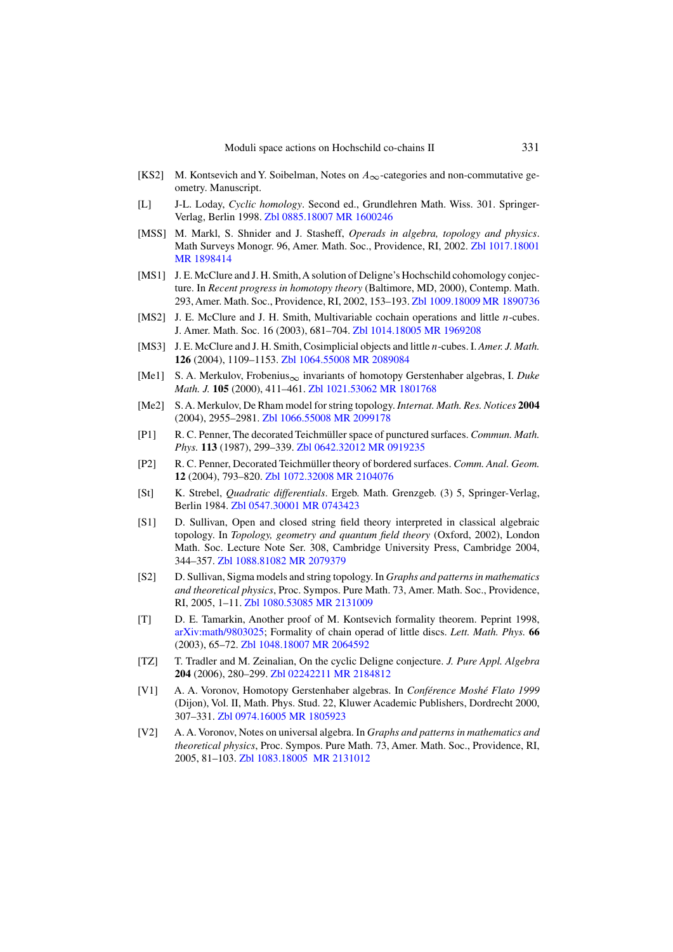- <span id="page-48-0"></span>[KS2] M. Kontsevich and Y. Soibelman, Notes on  $A_{\infty}$ -categories and non-commutative geometry. Manuscript.
- [L] J-L. Loday, *Cyclic homology*. Second ed., Grundlehren Math. Wiss. 301. Springer-Verlag, Berlin 1998. [Zbl 0885.18007](http://www.emis.de/MATH-item?0885.18007) [MR 1600246](http://www.ams.org/mathscinet-getitem?mr=1600246)
- [MSS] M. Markl, S. Shnider and J. Stasheff, *Operads in algebra, topology and physics*. Math Surveys Monogr. 96, Amer. Math. Soc., Providence, RI, 2002. [Zbl 1017.18001](http://www.emis.de/MATH-item?1017.18001) [MR 1898414](http://www.ams.org/mathscinet-getitem?mr=1898414)
- [MS1] J. E. McClure and J. H. Smith, A solution of Deligne's Hochschild cohomology conjecture. In *Recent progress in homotopy theory* (Baltimore, MD, 2000), Contemp. Math. 293, Amer. Math. Soc., Providence, RI, 2002, 153–193. [Zbl 1009.18009](http://www.emis.de/MATH-item?1009.18009) [MR 1890736](http://www.ams.org/mathscinet-getitem?mr=1890736)
- [MS2] J. E. McClure and J. H. Smith, Multivariable cochain operations and little *n*-cubes. J. Amer. Math. Soc. 16 (2003), 681–704. [Zbl 1014.18005](http://www.emis.de/MATH-item?1014.18005) [MR 1969208](http://www.ams.org/mathscinet-getitem?mr=1969208)
- [MS3] J. E. McClure and J. H. Smith, Cosimplicial objects and little n-cubes. I. *Amer. J. Math.* **126** (2004), 1109–1153. [Zbl 1064.55008](http://www.emis.de/MATH-item?1064.55008) [MR 2089084](http://www.ams.org/mathscinet-getitem?mr=2089084)
- [Me1] S. A. Merkulov, Frobenius<sub>oo</sub> invariants of homotopy Gerstenhaber algebras, I. *Duke Math. J.* **105** (2000), 411–461. [Zbl 1021.53062](http://www.emis.de/MATH-item?1021.53062) [MR 1801768](http://www.ams.org/mathscinet-getitem?mr=1801768)
- [Me2] S. A. Merkulov, De Rham model for string topology. *Internat. Math. Res. Notices* **2004** (2004), 2955–2981. [Zbl 1066.55008](http://www.emis.de/MATH-item?1066.55008) [MR 2099178](http://www.ams.org/mathscinet-getitem?mr=2099178)
- [P1] R. C. Penner, The decorated Teichmüller space of punctured surfaces. *Commun. Math. Phys.* **113** (1987), 299–339. [Zbl 0642.32012](http://www.emis.de/MATH-item?0642.32012) [MR 0919235](http://www.ams.org/mathscinet-getitem?mr=0919235)
- [P2] R. C. Penner, Decorated Teichmüller theory of bordered surfaces. *Comm. Anal. Geom.* **12** (2004), 793–820. [Zbl 1072.32008](http://www.emis.de/MATH-item?1072.32008) [MR 2104076](http://www.ams.org/mathscinet-getitem?mr=2104076)
- [St] K. Strebel, *Quadratic differentials*. Ergeb. Math. Grenzgeb. (3) 5, Springer-Verlag, Berlin 1984. [Zbl 0547.30001](http://www.emis.de/MATH-item?0547.30001) [MR 0743423](http://www.ams.org/mathscinet-getitem?mr=0743423)
- [S1] D. Sullivan, Open and closed string field theory interpreted in classical algebraic topology. In *Topology, geometry and quantum field theory* (Oxford, 2002), London Math. Soc. Lecture Note Ser. 308, Cambridge University Press, Cambridge 2004, 344–357. [Zbl 1088.81082](http://www.emis.de/MATH-item?1088.81082) [MR 2079379](http://www.ams.org/mathscinet-getitem?mr=2079379)
- [S2] D. Sullivan, Sigma models and string topology. In *Graphs and patterns in mathematics and theoretical physics*, Proc. Sympos. Pure Math. 73, Amer. Math. Soc., Providence, RI, 2005, 1–11. [Zbl 1080.53085](http://www.emis.de/MATH-item?1080.53085) [MR 2131009](http://www.ams.org/mathscinet-getitem?mr=2131009)
- [T] D. E. Tamarkin, Another proof of M. Kontsevich formality theorem. Peprint 1998, [arXiv:math/9803025;](http://arxiv.org/abs/math/9803025) Formality of chain operad of little discs. *Lett. Math. Phys.* **66** (2003), 65–72. [Zbl 1048.18007](http://www.emis.de/MATH-item?1048.18007) [MR 2064592](http://www.ams.org/mathscinet-getitem?mr=2064592)
- [TZ] T. Tradler and M. Zeinalian, On the cyclic Deligne conjecture. *J. Pure Appl. Algebra* **204** (2006), 280–299. [Zbl 02242211](http://www.emis.de/MATH-item?02242211) [MR 2184812](http://www.ams.org/mathscinet-getitem?mr=2184812)
- [V1] A. A. Voronov, Homotopy Gerstenhaber algebras. In *Conférence Moshé Flato 1999* (Dijon), Vol. II, Math. Phys. Stud. 22, Kluwer Academic Publishers, Dordrecht 2000, 307–331. [Zbl 0974.16005](http://www.emis.de/MATH-item?0974.16005) [MR 1805923](http://www.ams.org/mathscinet-getitem?mr=1805923)
- [V2] A. A. Voronov, Notes on universal algebra. In *Graphs and patterns in mathematics and theoretical physics*, Proc. Sympos. Pure Math. 73, Amer. Math. Soc., Providence, RI, 2005, 81–103. [Zbl 1083.18005](http://www.emis.de/MATH-item?1083.18005 ) [MR 2131012](http://www.ams.org/mathscinet-getitem?mr=2131012)